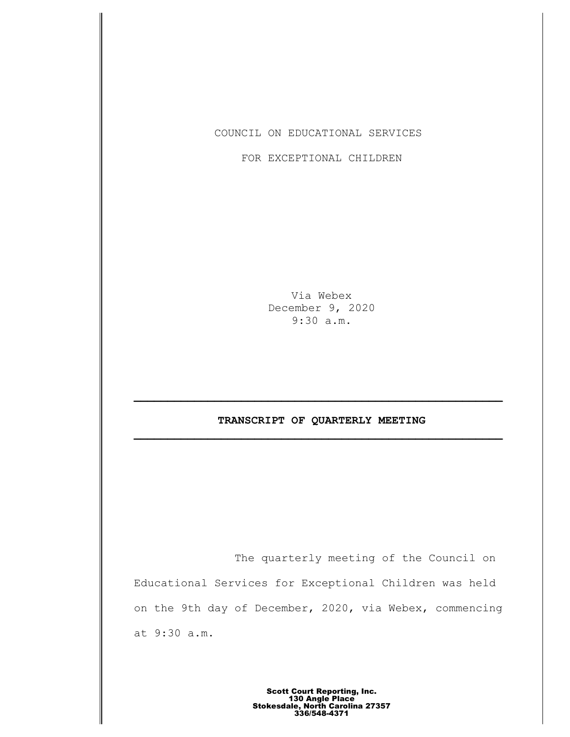COUNCIL ON EDUCATIONAL SERVICES

FOR EXCEPTIONAL CHILDREN

Via Webex December 9, 2020 9:30 a.m.

# **TRANSCRIPT OF QUARTERLY MEETING \_\_\_\_\_\_\_\_\_\_\_\_\_\_\_\_\_\_\_\_\_\_\_\_\_\_\_\_\_\_\_\_\_\_\_\_\_\_\_\_\_\_\_\_\_\_\_\_\_\_\_\_\_\_\_**

The quarterly meeting of the Council on Educational Services for Exceptional Children was held on the 9th day of December, 2020, via Webex, commencing at 9:30 a.m.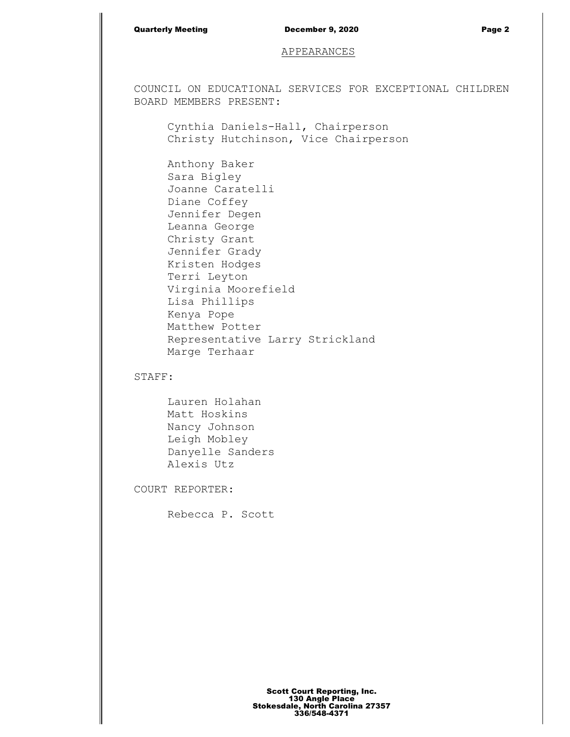### Quarterly Meeting December 9, 2020 Page 2

## APPEARANCES

COUNCIL ON EDUCATIONAL SERVICES FOR EXCEPTIONAL CHILDREN BOARD MEMBERS PRESENT:

Cynthia Daniels-Hall, Chairperson Christy Hutchinson, Vice Chairperson

Anthony Baker Sara Bigley Joanne Caratelli Diane Coffey Jennifer Degen Leanna George Christy Grant Jennifer Grady Kristen Hodges Terri Leyton Virginia Moorefield Lisa Phillips Kenya Pope Matthew Potter Representative Larry Strickland Marge Terhaar

# STAFF:

Lauren Holahan Matt Hoskins Nancy Johnson Leigh Mobley Danyelle Sanders Alexis Utz

COURT REPORTER:

Rebecca P. Scott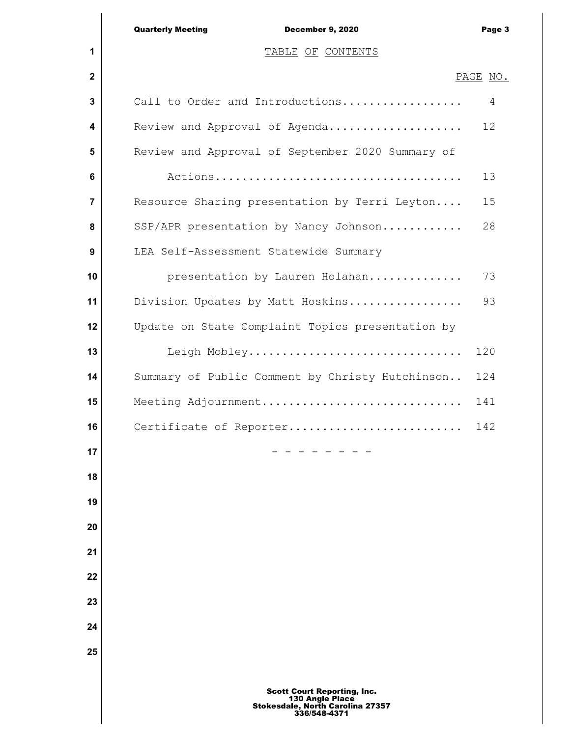|              | <b>Quarterly Meeting</b><br>December 9, 2020     | Page 3   |
|--------------|--------------------------------------------------|----------|
| 1            | TABLE OF CONTENTS                                |          |
| $\mathbf{2}$ |                                                  | PAGE NO. |
| 3            | Call to Order and Introductions                  | 4        |
| 4            | Review and Approval of Agenda                    | 12       |
| 5            | Review and Approval of September 2020 Summary of |          |
| 6            |                                                  | 13       |
| 7            | Resource Sharing presentation by Terri Leyton    | 15       |
| 8            | SSP/APR presentation by Nancy Johnson            | 28       |
| 9            | LEA Self-Assessment Statewide Summary            |          |
| 10           | presentation by Lauren Holahan                   | 73       |
| 11           | Division Updates by Matt Hoskins                 | 93       |
| 12           | Update on State Complaint Topics presentation by |          |
| 13           | Leigh Mobley                                     | 120      |
| 14           | Summary of Public Comment by Christy Hutchinson  | 124      |
| 15           | Meeting Adjournment                              | 141      |
| 16           | Certificate of Reporter                          | 142      |
| 17           |                                                  |          |
| 18           |                                                  |          |
| 19           |                                                  |          |
| 20           |                                                  |          |
| 21           |                                                  |          |
| 22           |                                                  |          |
| 23           |                                                  |          |
| 24           |                                                  |          |
| 25           |                                                  |          |
|              |                                                  |          |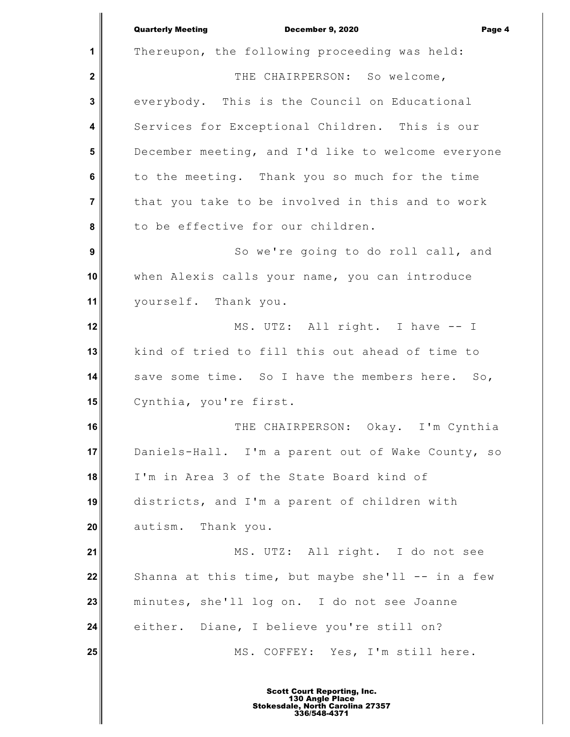**1 2 3 4 5 6 7 8 9 10 11 12 13 14 15 16 17 18 19 20 21 22 23 24 25** Quarterly Meeting December 9, 2020 Page 4 Thereupon, the following proceeding was held: THE CHAIRPERSON: So welcome, everybody. This is the Council on Educational Services for Exceptional Children. This is our December meeting, and I'd like to welcome everyone to the meeting. Thank you so much for the time that you take to be involved in this and to work to be effective for our children. So we're going to do roll call, and when Alexis calls your name, you can introduce yourself. Thank you. MS. UTZ: All right. I have -- I kind of tried to fill this out ahead of time to save some time. So I have the members here. So, Cynthia, you're first. THE CHAIRPERSON: Okay. I'm Cynthia Daniels-Hall. I'm a parent out of Wake County, so I'm in Area 3 of the State Board kind of districts, and I'm a parent of children with autism. Thank you. MS. UTZ: All right. I do not see Shanna at this time, but maybe she'll  $--$  in a few minutes, she'll log on. I do not see Joanne either. Diane, I believe you're still on? MS. COFFEY: Yes, I'm still here.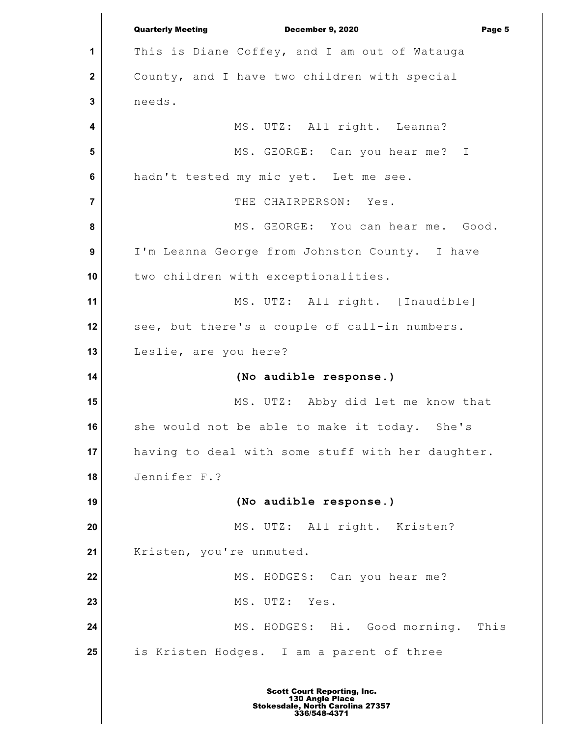**1 2 3 4 5 6 7 8 9 10 11 12 13 14 15 16 17 18 19 20 21 22 23 24 25** Quarterly Meeting December 9, 2020 Page 5 This is Diane Coffey, and I am out of Watauga County, and I have two children with special needs. MS. UTZ: All right. Leanna? MS. GEORGE: Can you hear me? I hadn't tested my mic yet. Let me see. THE CHAIRPERSON: Yes. MS. GEORGE: You can hear me. Good. I'm Leanna George from Johnston County. I have two children with exceptionalities. MS. UTZ: All right. [Inaudible] see, but there's a couple of call-in numbers. Leslie, are you here? **(No audible response.)** MS. UTZ: Abby did let me know that she would not be able to make it today. She's having to deal with some stuff with her daughter. Jennifer F.? **(No audible response.)** MS. UTZ: All right. Kristen? Kristen, you're unmuted. MS. HODGES: Can you hear me? MS. UTZ: Yes. MS. HODGES: Hi. Good morning. This is Kristen Hodges. I am a parent of three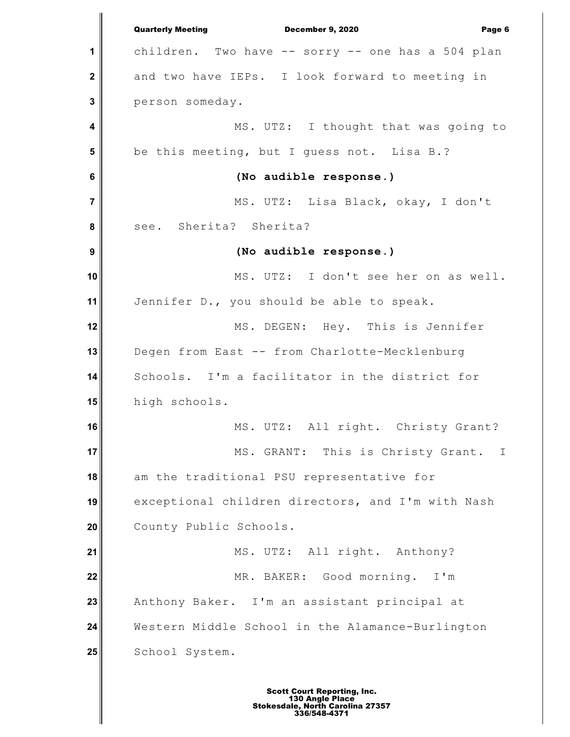**1 2 3 4 5 6 7 8 9 10 11 12 13 14 15 16 17 18 19 20 21 22 23 24 25** Quarterly Meeting December 9, 2020 Page 6 children. Two have -- sorry -- one has a 504 plan and two have IEPs. I look forward to meeting in person someday. MS. UTZ: I thought that was going to be this meeting, but I guess not. Lisa B.? **(No audible response.)** MS. UTZ: Lisa Black, okay, I don't see. Sherita? Sherita? **(No audible response.)** MS. UTZ: I don't see her on as well. Jennifer D., you should be able to speak. MS. DEGEN: Hey. This is Jennifer Degen from East -- from Charlotte-Mecklenburg Schools. I'm a facilitator in the district for high schools. MS. UTZ: All right. Christy Grant? MS. GRANT: This is Christy Grant. I am the traditional PSU representative for exceptional children directors, and I'm with Nash County Public Schools. MS. UTZ: All right. Anthony? MR. BAKER: Good morning. I'm Anthony Baker. I'm an assistant principal at Western Middle School in the Alamance-Burlington School System.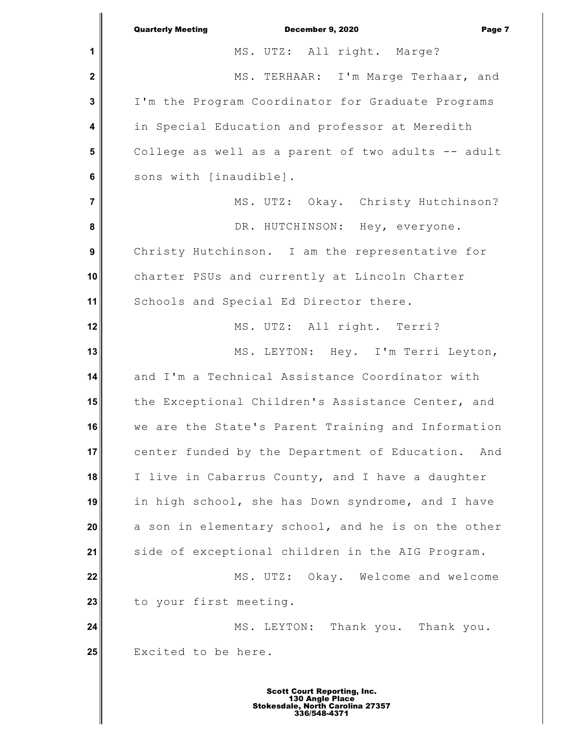|                         | <b>Quarterly Meeting</b><br>December 9, 2020<br>Page 7 |
|-------------------------|--------------------------------------------------------|
| 1                       | MS. UTZ: All right. Marge?                             |
| $\mathbf{2}$            | MS. TERHAAR: I'm Marge Terhaar, and                    |
| $\mathbf{3}$            | I'm the Program Coordinator for Graduate Programs      |
| $\overline{\mathbf{4}}$ | in Special Education and professor at Meredith         |
| 5                       | College as well as a parent of two adults -- adult     |
| $6\phantom{1}$          | sons with [inaudible].                                 |
| $\overline{7}$          | MS. UTZ: Okay. Christy Hutchinson?                     |
| 8                       | DR. HUTCHINSON: Hey, everyone.                         |
| $\boldsymbol{9}$        | Christy Hutchinson. I am the representative for        |
| 10                      | charter PSUs and currently at Lincoln Charter          |
| 11                      | Schools and Special Ed Director there.                 |
| 12                      | MS. UTZ: All right. Terri?                             |
| 13                      | MS. LEYTON: Hey. I'm Terri Leyton,                     |
| 14                      | and I'm a Technical Assistance Coordinator with        |
| 15                      | the Exceptional Children's Assistance Center, and      |
| 16                      | we are the State's Parent Training and Information     |
| 17                      | center funded by the Department of Education.<br>And   |
| 18                      | I live in Cabarrus County, and I have a daughter       |
| 19                      | in high school, she has Down syndrome, and I have      |
| 20                      | a son in elementary school, and he is on the other     |
| 21                      | side of exceptional children in the AIG Program.       |
| 22                      | MS. UTZ: Okay. Welcome and welcome                     |
| 23                      | to your first meeting.                                 |
| 24                      | MS. LEYTON: Thank you. Thank you.                      |
| 25                      | Excited to be here.                                    |
|                         |                                                        |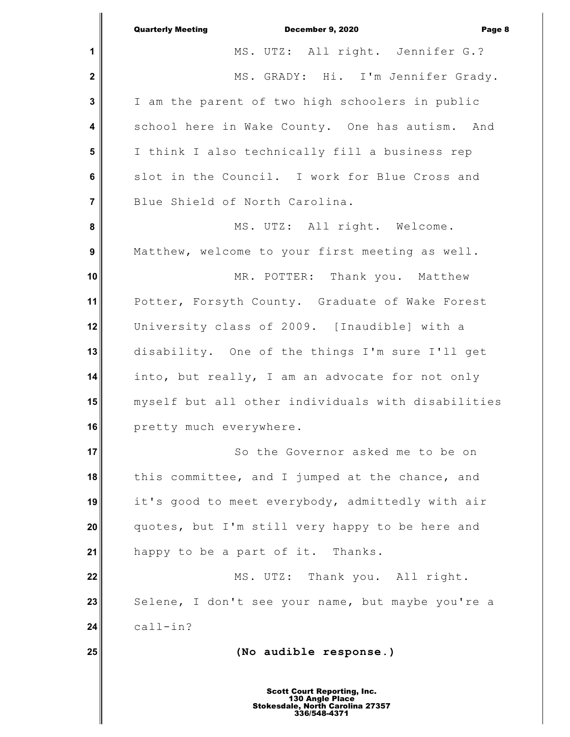|                         | <b>Quarterly Meeting</b><br><b>December 9, 2020</b><br>Page 8       |
|-------------------------|---------------------------------------------------------------------|
| $\mathbf 1$             | MS. UTZ: All right. Jennifer G.?                                    |
| $\mathbf 2$             | MS. GRADY: Hi. I'm Jennifer Grady.                                  |
| $\mathbf 3$             | I am the parent of two high schoolers in public                     |
| $\overline{\mathbf{4}}$ | school here in Wake County. One has autism. And                     |
| $5\phantom{1}$          | I think I also technically fill a business rep                      |
| $6\phantom{1}$          | slot in the Council. I work for Blue Cross and                      |
| $\overline{7}$          | Blue Shield of North Carolina.                                      |
| 8                       | MS. UTZ: All right. Welcome.                                        |
| $\boldsymbol{9}$        | Matthew, welcome to your first meeting as well.                     |
| 10                      | MR. POTTER: Thank you. Matthew                                      |
| 11                      | Potter, Forsyth County. Graduate of Wake Forest                     |
| 12                      | University class of 2009. [Inaudible] with a                        |
| 13                      | disability. One of the things I'm sure I'll get                     |
| 14                      | into, but really, I am an advocate for not only                     |
| 15                      | myself but all other individuals with disabilities                  |
| 16                      | pretty much everywhere.                                             |
| 17                      | So the Governor asked me to be on                                   |
| 18                      | this committee, and I jumped at the chance, and                     |
| 19                      | it's good to meet everybody, admittedly with air                    |
| 20                      | quotes, but I'm still very happy to be here and                     |
| 21                      | happy to be a part of it. Thanks.                                   |
| 22                      | MS. UTZ: Thank you. All right.                                      |
| 23                      | Selene, I don't see your name, but maybe you're a                   |
| 24                      | $call-in?$                                                          |
| 25                      | (No audible response.)                                              |
|                         | <b>Scott Court Reporting, Inc.</b>                                  |
|                         | 130 Angle Place<br>Stokesdale, North Carolina 27357<br>336/548-4371 |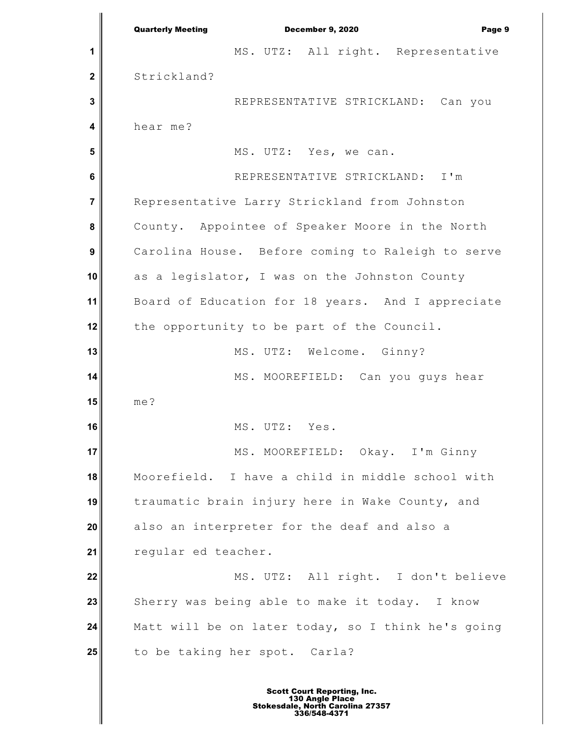**1 2 3 4 5 6 7 8 9 10 11 12 13 14 15 16 17 18 19 20 21 22 23 24 25** Quarterly Meeting December 9, 2020 Page 9 MS. UTZ: All right. Representative Strickland? REPRESENTATIVE STRICKLAND: Can you hear me? MS. UTZ: Yes, we can. REPRESENTATIVE STRICKLAND: I'm Representative Larry Strickland from Johnston County. Appointee of Speaker Moore in the North Carolina House. Before coming to Raleigh to serve as a legislator, I was on the Johnston County Board of Education for 18 years. And I appreciate the opportunity to be part of the Council. MS. UTZ: Welcome. Ginny? MS. MOOREFIELD: Can you guys hear me? MS. UTZ: Yes. MS. MOOREFIELD: Okay. I'm Ginny Moorefield. I have a child in middle school with traumatic brain injury here in Wake County, and also an interpreter for the deaf and also a regular ed teacher. MS. UTZ: All right. I don't believe Sherry was being able to make it today. I know Matt will be on later today, so I think he's going to be taking her spot. Carla?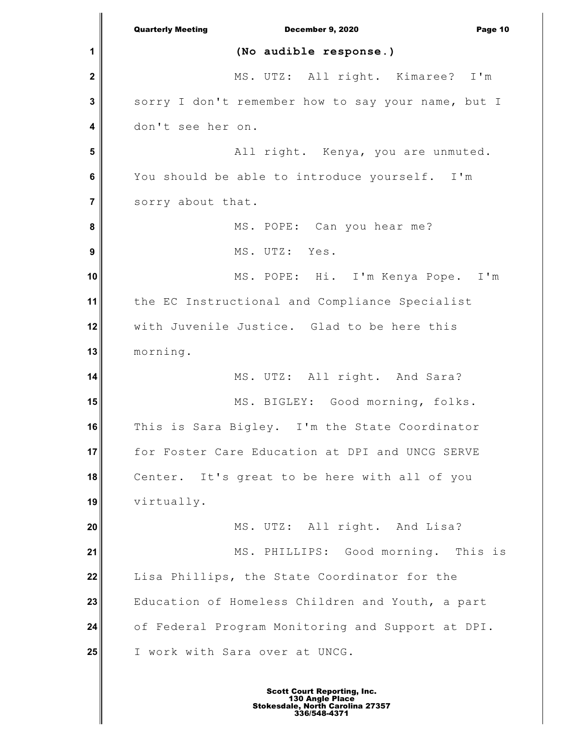**1 2 3 4 5 6 7 8 9 10 11 12 13 14 15 16 17 18 19 20 21 22 23 24 25** Quarterly Meeting December 9, 2020 Page 10 **(No audible response.)** MS. UTZ: All right. Kimaree? I'm sorry I don't remember how to say your name, but I don't see her on. All right. Kenya, you are unmuted. You should be able to introduce yourself. I'm sorry about that. MS. POPE: Can you hear me? MS. UTZ: Yes. MS. POPE: Hi. I'm Kenya Pope. I'm the EC Instructional and Compliance Specialist with Juvenile Justice. Glad to be here this morning. MS. UTZ: All right. And Sara? MS. BIGLEY: Good morning, folks. This is Sara Bigley. I'm the State Coordinator for Foster Care Education at DPI and UNCG SERVE Center. It's great to be here with all of you virtually. MS. UTZ: All right. And Lisa? MS. PHILLIPS: Good morning. This is Lisa Phillips, the State Coordinator for the Education of Homeless Children and Youth, a part of Federal Program Monitoring and Support at DPI. I work with Sara over at UNCG.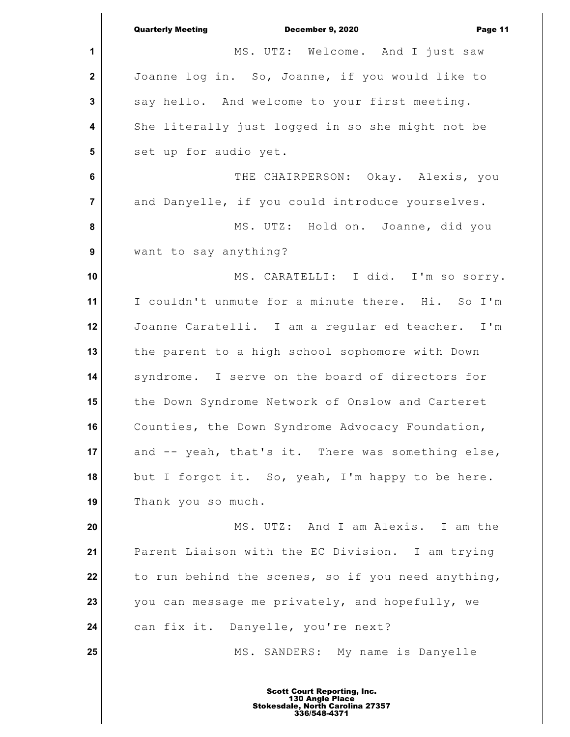|                  | <b>Quarterly Meeting</b><br>December 9, 2020<br>Page 11 |
|------------------|---------------------------------------------------------|
| 1                | MS. UTZ: Welcome. And I just saw                        |
| $\mathbf 2$      | Joanne log in. So, Joanne, if you would like to         |
| $\mathbf{3}$     | say hello. And welcome to your first meeting.           |
| 4                | She literally just logged in so she might not be        |
| 5                | set up for audio yet.                                   |
| 6                | THE CHAIRPERSON: Okay. Alexis, you                      |
| $\overline{7}$   | and Danyelle, if you could introduce yourselves.        |
| 8                | MS. UTZ: Hold on. Joanne, did you                       |
| $\boldsymbol{9}$ | want to say anything?                                   |
| 10               | MS. CARATELLI: I did. I'm so sorry.                     |
| 11               | I couldn't unmute for a minute there. Hi. So I'm        |
| 12               | Joanne Caratelli. I am a regular ed teacher. I'm        |
| 13               | the parent to a high school sophomore with Down         |
| 14               | syndrome. I serve on the board of directors for         |
| 15               | the Down Syndrome Network of Onslow and Carteret        |
| 16               | Counties, the Down Syndrome Advocacy Foundation,        |
| 17               | and -- yeah, that's it. There was something else,       |
| 18               | but I forgot it. So, yeah, I'm happy to be here.        |
| 19               | Thank you so much.                                      |
| 20               | MS. UTZ: And I am Alexis. I am the                      |
| 21               | Parent Liaison with the EC Division. I am trying        |
| 22               | to run behind the scenes, so if you need anything,      |
| 23               | you can message me privately, and hopefully, we         |
| 24               | can fix it. Danyelle, you're next?                      |
| 25               | MS. SANDERS: My name is Danyelle                        |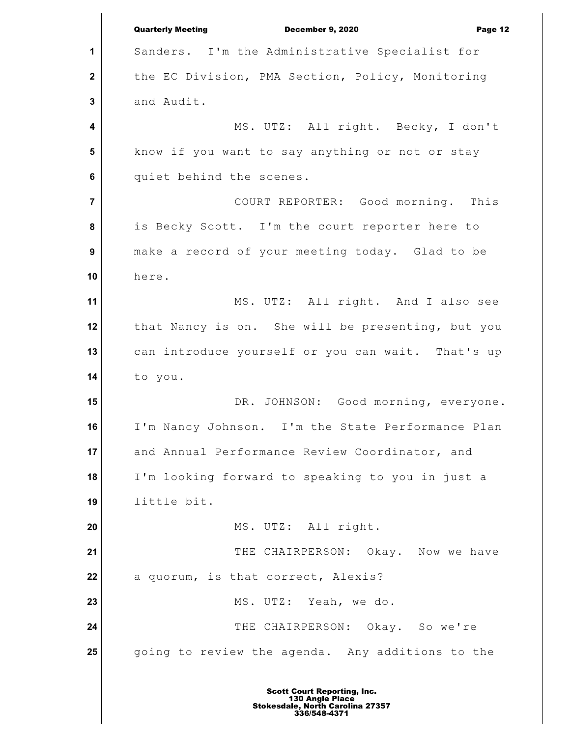**1 2 3 4 5 6 7 8 9 10 11 12 13 14 15 16 17 18 19 20 21 22 23 24 25** Quarterly Meeting December 9, 2020 Page 12 Sanders. I'm the Administrative Specialist for the EC Division, PMA Section, Policy, Monitoring and Audit. MS. UTZ: All right. Becky, I don't know if you want to say anything or not or stay quiet behind the scenes. COURT REPORTER: Good morning. This is Becky Scott. I'm the court reporter here to make a record of your meeting today. Glad to be here. MS. UTZ: All right. And I also see that Nancy is on. She will be presenting, but you can introduce yourself or you can wait. That's up to you. DR. JOHNSON: Good morning, everyone. I'm Nancy Johnson. I'm the State Performance Plan and Annual Performance Review Coordinator, and I'm looking forward to speaking to you in just a little bit. MS. UTZ: All right. THE CHAIRPERSON: Okay. Now we have a quorum, is that correct, Alexis? MS. UTZ: Yeah, we do. THE CHAIRPERSON: Okay. So we're going to review the agenda. Any additions to the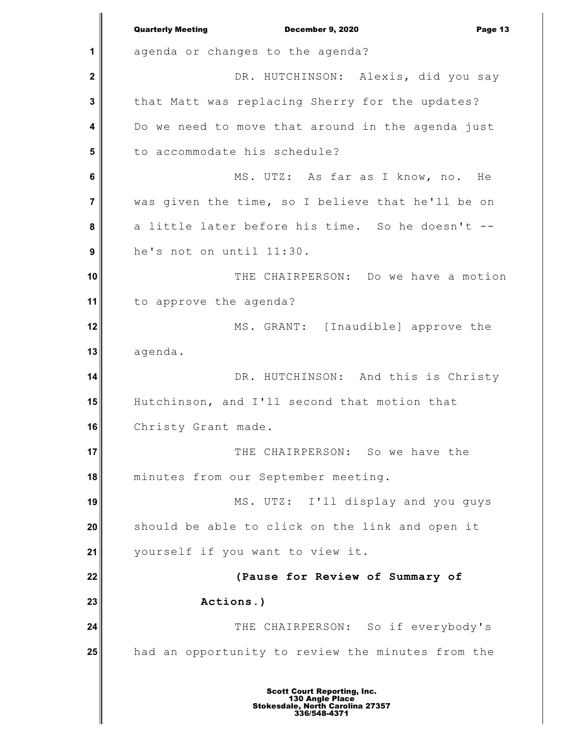**1 2 3 4 5 6 7 8 9 10 11 12 13 14 15 16 17 18 19 20 21 22 23 24 25** Quarterly Meeting December 9, 2020 Page 13 agenda or changes to the agenda? DR. HUTCHINSON: Alexis, did you say that Matt was replacing Sherry for the updates? Do we need to move that around in the agenda just to accommodate his schedule? MS. UTZ: As far as I know, no. He was given the time, so I believe that he'll be on a little later before his time. So he doesn't - he's not on until 11:30. THE CHAIRPERSON: Do we have a motion to approve the agenda? MS. GRANT: [Inaudible] approve the agenda. DR. HUTCHINSON: And this is Christy Hutchinson, and I'll second that motion that Christy Grant made. THE CHAIRPERSON: So we have the minutes from our September meeting. MS. UTZ: I'll display and you guys should be able to click on the link and open it yourself if you want to view it. **(Pause for Review of Summary of Actions.)** THE CHAIRPERSON: So if everybody's had an opportunity to review the minutes from the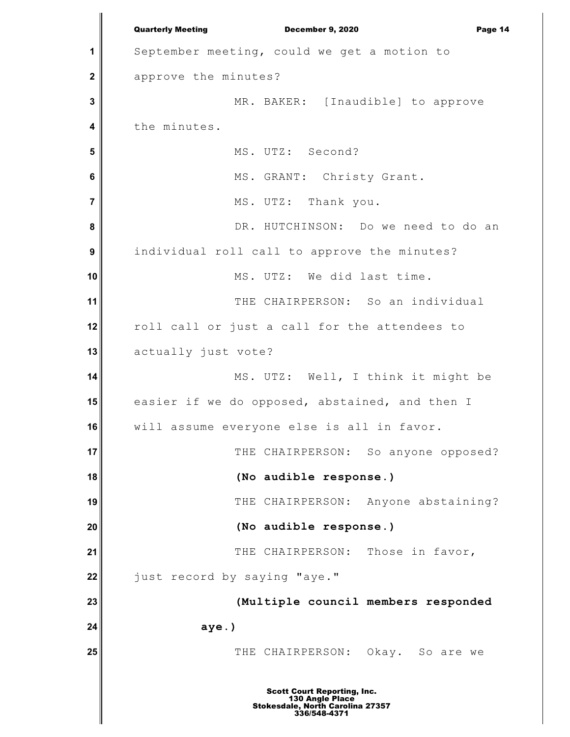**1 2 3 4 5 6 7 8 9 10 11 12 13 14 15 16 17 18 19 20 21 22 23 24 25** Quarterly Meeting December 9, 2020 Page 14 September meeting, could we get a motion to approve the minutes? MR. BAKER: [Inaudible] to approve the minutes. MS. UTZ: Second? MS. GRANT: Christy Grant. MS. UTZ: Thank you. DR. HUTCHINSON: Do we need to do an individual roll call to approve the minutes? MS. UTZ: We did last time. THE CHAIRPERSON: So an individual roll call or just a call for the attendees to actually just vote? MS. UTZ: Well, I think it might be easier if we do opposed, abstained, and then I will assume everyone else is all in favor. THE CHAIRPERSON: So anyone opposed? **(No audible response.)** THE CHAIRPERSON: Anyone abstaining? **(No audible response.)** THE CHAIRPERSON: Those in favor, just record by saying "aye." **(Multiple council members responded aye.)** THE CHAIRPERSON: Okay. So are we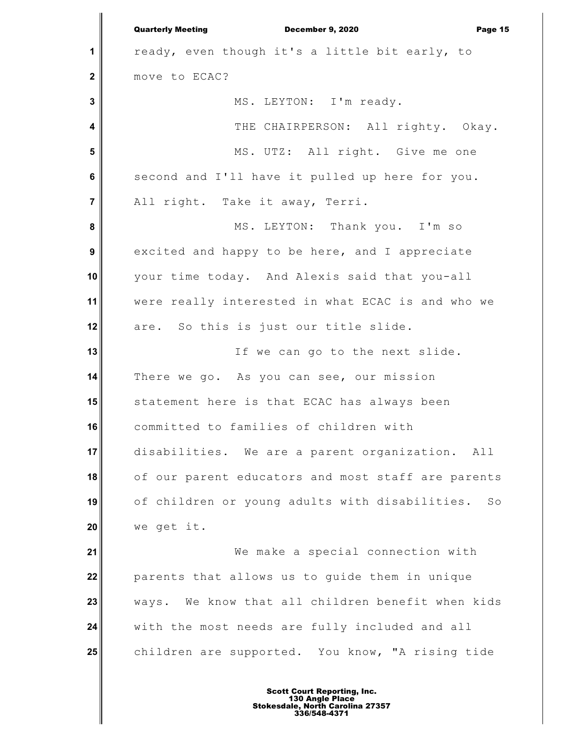**1 2 3 4 5 6 7 8 9 10 11 12 13 14 15 16 17 18 19 20 21 22 23 24 25** Quarterly Meeting December 9, 2020 Page 15 ready, even though it's a little bit early, to move to ECAC? MS. LEYTON: I'm ready. THE CHAIRPERSON: All righty. Okay. MS. UTZ: All right. Give me one second and I'll have it pulled up here for you. All right. Take it away, Terri. MS. LEYTON: Thank you. I'm so excited and happy to be here, and I appreciate your time today. And Alexis said that you-all were really interested in what ECAC is and who we are. So this is just our title slide. If we can go to the next slide. There we go. As you can see, our mission statement here is that ECAC has always been committed to families of children with disabilities. We are a parent organization. All of our parent educators and most staff are parents of children or young adults with disabilities. So we get it. We make a special connection with parents that allows us to guide them in unique ways. We know that all children benefit when kids with the most needs are fully included and all children are supported. You know, "A rising tide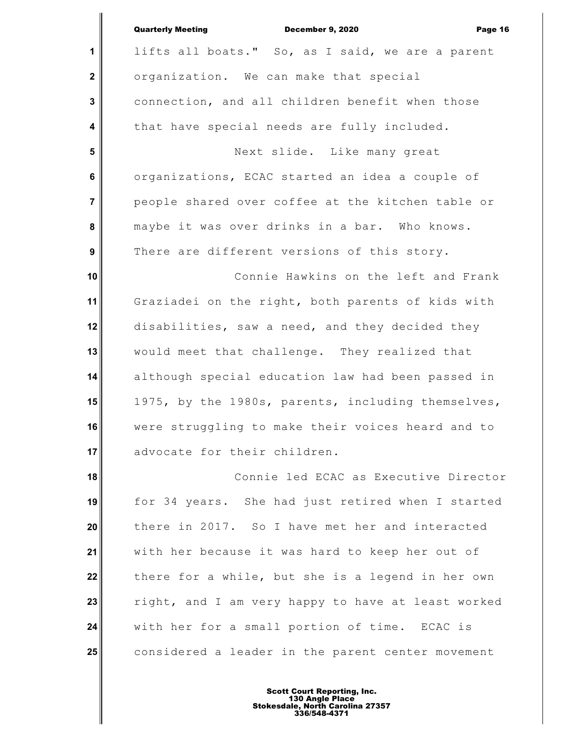|                | <b>Quarterly Meeting</b><br>December 9, 2020<br>Page 16 |
|----------------|---------------------------------------------------------|
| 1              | lifts all boats." So, as I said, we are a parent        |
| $\mathbf 2$    | organization. We can make that special                  |
| 3              | connection, and all children benefit when those         |
| 4              | that have special needs are fully included.             |
| 5              | Next slide. Like many great                             |
| 6              | organizations, ECAC started an idea a couple of         |
| $\overline{7}$ | people shared over coffee at the kitchen table or       |
| 8              | maybe it was over drinks in a bar. Who knows.           |
| 9              | There are different versions of this story.             |
| 10             | Connie Hawkins on the left and Frank                    |
| 11             | Graziadei on the right, both parents of kids with       |
| 12             | disabilities, saw a need, and they decided they         |
| 13             | would meet that challenge. They realized that           |
| 14             | although special education law had been passed in       |
| 15             | 1975, by the 1980s, parents, including themselves,      |
| 16             | were struggling to make their voices heard and to       |
| 17             | advocate for their children.                            |
| 18             | Connie led ECAC as Executive Director                   |
| 19             | for 34 years. She had just retired when I started       |
| 20             | there in 2017. So I have met her and interacted         |
| 21             | with her because it was hard to keep her out of         |
| 22             | there for a while, but she is a legend in her own       |
| 23             | right, and I am very happy to have at least worked      |
| 24             | with her for a small portion of time. ECAC is           |
| 25             | considered a leader in the parent center movement       |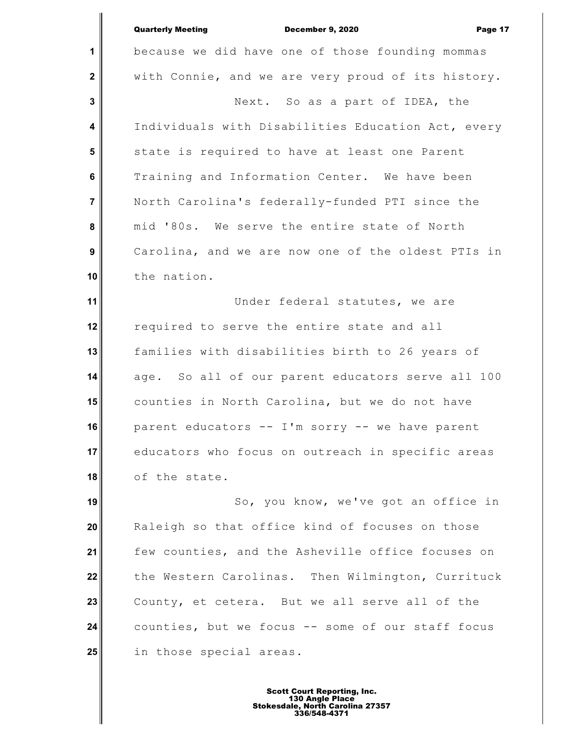**2** Quarterly Meeting December 9, 2020 Page 17 because we did have one of those founding mommas with Connie, and we are very proud of its history. Next. So as a part of IDEA, the Individuals with Disabilities Education Act, every state is required to have at least one Parent Training and Information Center. We have been North Carolina's federally-funded PTI since the mid '80s. We serve the entire state of North

**1**

 **3**

 **4**

 **5**

 **6**

 **7**

 **8**

 **9**

**10**

Carolina, and we are now one of the oldest PTIs in the nation.

**11 12 13 14 15 16 17 18** Under federal statutes, we are required to serve the entire state and all families with disabilities birth to 26 years of age. So all of our parent educators serve all 100 counties in North Carolina, but we do not have parent educators -- I'm sorry -- we have parent educators who focus on outreach in specific areas of the state.

**19 20 21 22 23 24 25** So, you know, we've got an office in Raleigh so that office kind of focuses on those few counties, and the Asheville office focuses on the Western Carolinas. Then Wilmington, Currituck County, et cetera. But we all serve all of the counties, but we focus -- some of our staff focus in those special areas.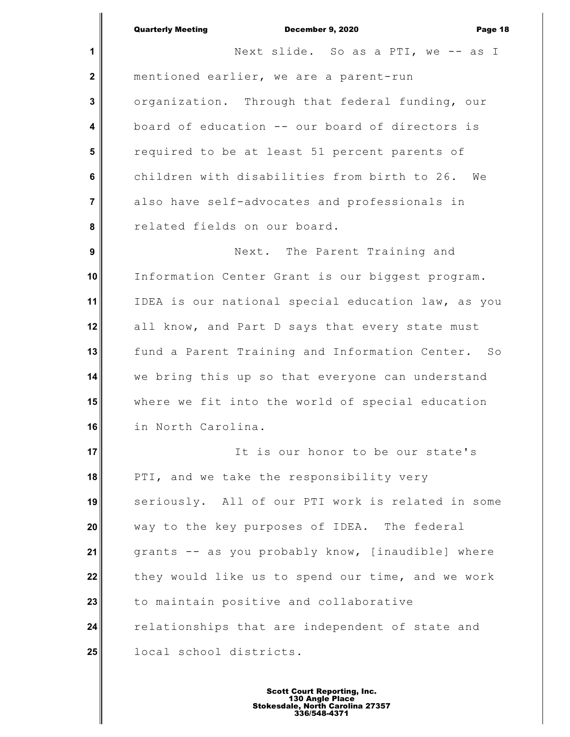| <b>Quarterly Meeting</b> | <b>December 9. 2020</b> | Page 18 |
|--------------------------|-------------------------|---------|
|                          |                         |         |

**1 2 3 4 5 6 7 8 9 10 11 12 13 14 15 16 17 18 19 20 21 22 23 24 25** Next slide. So as a PTI, we -- as I mentioned earlier, we are a parent-run organization. Through that federal funding, our board of education -- our board of directors is required to be at least 51 percent parents of children with disabilities from birth to 26. We also have self-advocates and professionals in related fields on our board. Next. The Parent Training and Information Center Grant is our biggest program. IDEA is our national special education law, as you all know, and Part D says that every state must fund a Parent Training and Information Center. So we bring this up so that everyone can understand where we fit into the world of special education in North Carolina. It is our honor to be our state's PTI, and we take the responsibility very seriously. All of our PTI work is related in some way to the key purposes of IDEA. The federal grants -- as you probably know, [inaudible] where they would like us to spend our time, and we work to maintain positive and collaborative relationships that are independent of state and local school districts.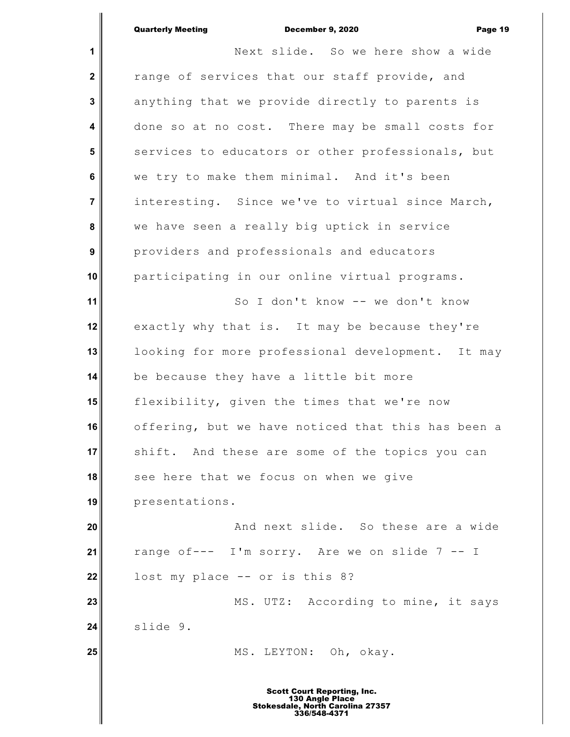### Quarterly Meeting December 9, 2020 Page 19

 $\mathsf I$ 

| 1                | Next slide. So we here show a wide                 |
|------------------|----------------------------------------------------|
| $\mathbf 2$      | range of services that our staff provide, and      |
| 3                | anything that we provide directly to parents is    |
| 4                | done so at no cost. There may be small costs for   |
| 5                | services to educators or other professionals, but  |
| 6                | we try to make them minimal. And it's been         |
| $\overline{7}$   | interesting. Since we've to virtual since March,   |
| 8                | we have seen a really big uptick in service        |
| $\boldsymbol{9}$ | providers and professionals and educators          |
| 10               | participating in our online virtual programs.      |
| 11               | So I don't know -- we don't know                   |
| 12               | exactly why that is. It may be because they're     |
| 13               | looking for more professional development. It may  |
| 14               | be because they have a little bit more             |
| 15               | flexibility, given the times that we're now        |
| 16               | offering, but we have noticed that this has been a |
| 17 <sup>1</sup>  | shift. And these are some of the topics you can    |
| 18               | see here that we focus on when we give             |
| 19               | presentations.                                     |
| 20               | And next slide. So these are a wide                |
| 21               | range of--- I'm sorry. Are we on slide 7 -- I      |
| 22               | lost my place -- or is this 8?                     |
| 23               | MS. UTZ: According to mine, it says                |
| 24               | slide 9.                                           |
| 25               | MS. LEYTON: Oh, okay.                              |
|                  |                                                    |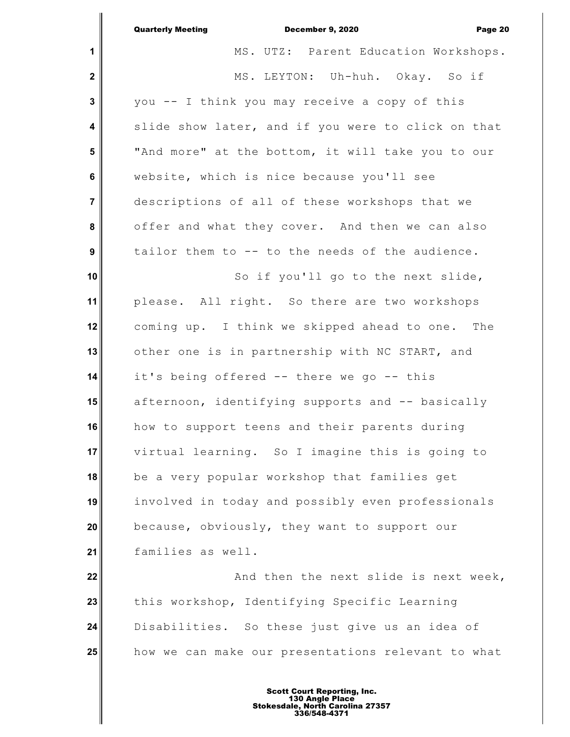|                         | <b>Quarterly Meeting</b><br>December 9, 2020<br>Page 20 |
|-------------------------|---------------------------------------------------------|
| 1                       | MS. UTZ: Parent Education Workshops.                    |
| $\mathbf 2$             | MS. LEYTON: Uh-huh. Okay. So if                         |
| $\mathbf 3$             | you -- I think you may receive a copy of this           |
| $\overline{\mathbf{4}}$ | slide show later, and if you were to click on that      |
| 5                       | "And more" at the bottom, it will take you to our       |
| 6                       | website, which is nice because you'll see               |
| $\overline{7}$          | descriptions of all of these workshops that we          |
| 8                       | offer and what they cover. And then we can also         |
| $\boldsymbol{9}$        | tailor them to -- to the needs of the audience.         |
| 10                      | So if you'll go to the next slide,                      |
| 11                      | please. All right. So there are two workshops           |
| 12                      | coming up. I think we skipped ahead to one. The         |
| 13                      | other one is in partnership with NC START, and          |
| 14                      | it's being offered -- there we go -- this               |
| 15                      | afternoon, identifying supports and -- basically        |
| 16                      | how to support teens and their parents during           |
| 17                      | virtual learning. So I imagine this is going to         |
| 18                      | be a very popular workshop that families get            |
| 19                      | involved in today and possibly even professionals       |
| 20                      | because, obviously, they want to support our            |
| 21                      | families as well.                                       |
| 22                      | And then the next slide is next week,                   |
| 23                      | this workshop, Identifying Specific Learning            |
| 24                      | Disabilities. So these just give us an idea of          |
| 25                      | how we can make our presentations relevant to what      |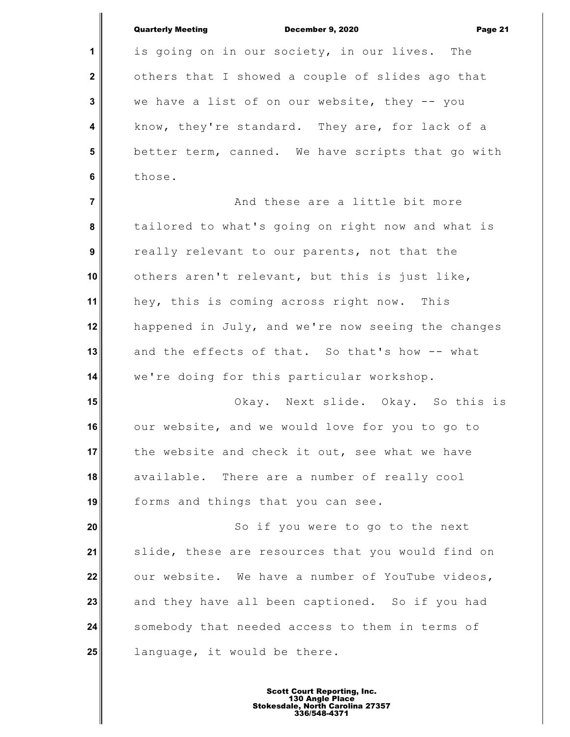| <b>Quarterly Meeting</b> | <b>December 9. 2020</b> | Page 21 |
|--------------------------|-------------------------|---------|

**1**

 **2**

 **3**

 **4**

 **5**

 **6**

is going on in our society, in our lives. The others that I showed a couple of slides ago that we have a list of on our website, they -- you know, they're standard. They are, for lack of a better term, canned. We have scripts that go with those.

 **7 8 9 10 11 12 13 14** And these are a little bit more tailored to what's going on right now and what is really relevant to our parents, not that the others aren't relevant, but this is just like, hey, this is coming across right now. This happened in July, and we're now seeing the changes and the effects of that. So that's how -- what we're doing for this particular workshop.

**15 16 17 18 19** Okay. Next slide. Okay. So this is our website, and we would love for you to go to the website and check it out, see what we have available. There are a number of really cool forms and things that you can see.

**20 21 22 23 24 25** So if you were to go to the next slide, these are resources that you would find on our website. We have a number of YouTube videos, and they have all been captioned. So if you had somebody that needed access to them in terms of language, it would be there.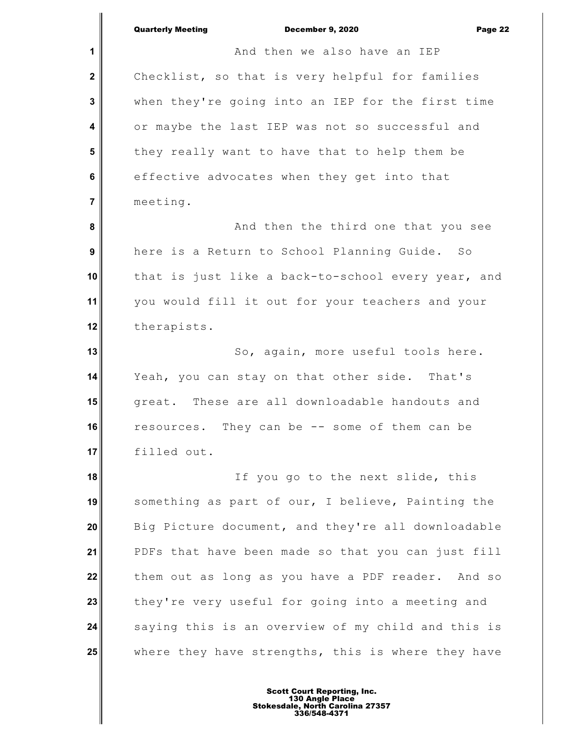|                  | <b>Quarterly Meeting</b><br><b>December 9, 2020</b><br>Page 22 |
|------------------|----------------------------------------------------------------|
| 1                | And then we also have an IEP                                   |
| $\mathbf{2}$     | Checklist, so that is very helpful for families                |
| 3                | when they're going into an IEP for the first time              |
| 4                | or maybe the last IEP was not so successful and                |
| 5                | they really want to have that to help them be                  |
| 6                | effective advocates when they get into that                    |
| $\overline{7}$   | meeting.                                                       |
| 8                | And then the third one that you see                            |
| $\boldsymbol{9}$ | here is a Return to School Planning Guide. So                  |
| 10               | that is just like a back-to-school every year, and             |
| 11               | you would fill it out for your teachers and your               |
| 12               | therapists.                                                    |
| 13               | So, again, more useful tools here.                             |
| 14               | Yeah, you can stay on that other side. That's                  |
| 15               | great. These are all downloadable handouts and                 |
| 16               | resources. They can be -- some of them can be                  |
| 17               | filled out.                                                    |
| 18               | If you go to the next slide, this                              |
| 19               | something as part of our, I believe, Painting the              |
| 20               | Big Picture document, and they're all downloadable             |
| 21               | PDFs that have been made so that you can just fill             |
| 22               | them out as long as you have a PDF reader. And so              |
| 23               | they're very useful for going into a meeting and               |
| 24               | saying this is an overview of my child and this is             |
| 25               | where they have strengths, this is where they have             |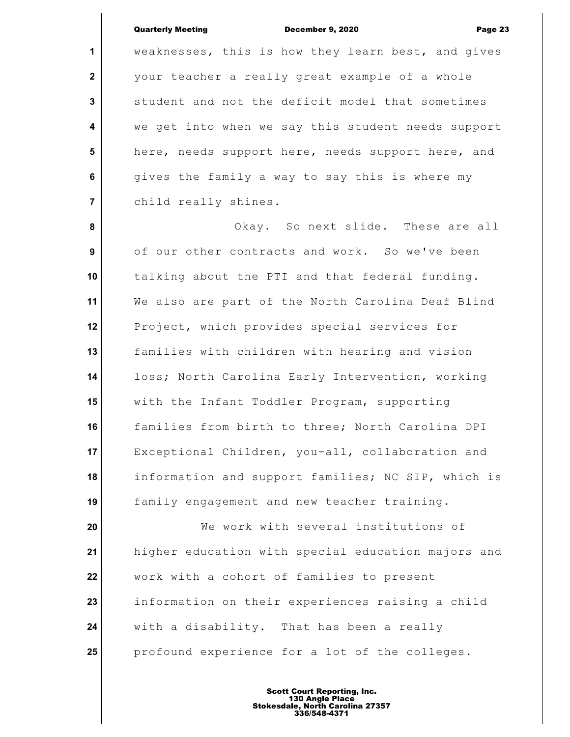### Quarterly Meeting December 9, 2020 Page 23

**1**

 **2**

 **3**

 **4**

 **5**

 **6**

 **7**

weaknesses, this is how they learn best, and gives your teacher a really great example of a whole student and not the deficit model that sometimes we get into when we say this student needs support here, needs support here, needs support here, and gives the family a way to say this is where my child really shines.

 **8 9 10 11 12 13 14 15 16 17 18 19** Okay. So next slide. These are all of our other contracts and work. So we've been talking about the PTI and that federal funding. We also are part of the North Carolina Deaf Blind Project, which provides special services for families with children with hearing and vision loss; North Carolina Early Intervention, working with the Infant Toddler Program, supporting families from birth to three; North Carolina DPI Exceptional Children, you-all, collaboration and information and support families; NC SIP, which is family engagement and new teacher training.

**20 21 22 23 24 25** We work with several institutions of higher education with special education majors and work with a cohort of families to present information on their experiences raising a child with a disability. That has been a really profound experience for a lot of the colleges.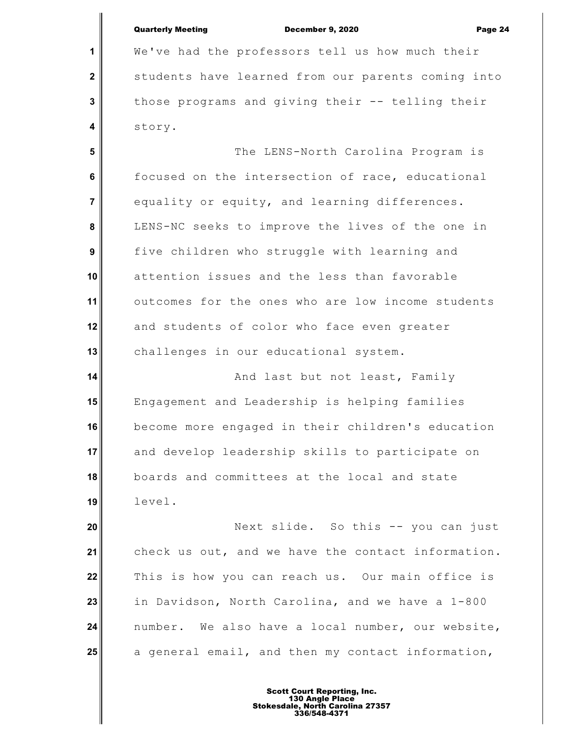|                  | <b>Quarterly Meeting</b><br><b>December 9, 2020</b><br>Page 24 |
|------------------|----------------------------------------------------------------|
| 1                | We've had the professors tell us how much their                |
| $\mathbf 2$      | students have learned from our parents coming into             |
| 3                | those programs and giving their -- telling their               |
| 4                | story.                                                         |
| 5                | The LENS-North Carolina Program is                             |
| 6                | focused on the intersection of race, educational               |
| $\overline{7}$   | equality or equity, and learning differences.                  |
| 8                | LENS-NC seeks to improve the lives of the one in               |
| $\boldsymbol{9}$ | five children who struggle with learning and                   |
| 10               | attention issues and the less than favorable                   |
| 11               | outcomes for the ones who are low income students              |
| 12               | and students of color who face even greater                    |
| 13               | challenges in our educational system.                          |
| 14               | And last but not least, Family                                 |
| 15               | Engagement and Leadership is helping families                  |
| 16               | become more engaged in their children's education              |
| 17               | and develop leadership skills to participate on                |
| 18               | boards and committees at the local and state                   |
| 19               | level.                                                         |
| 20               | Next slide. So this -- you can just                            |
| 21               | check us out, and we have the contact information.             |
| 22               | This is how you can reach us. Our main office is               |
| 23               | in Davidson, North Carolina, and we have a 1-800               |
| 24               | number. We also have a local number, our website,              |

a general email, and then my contact information,

**25**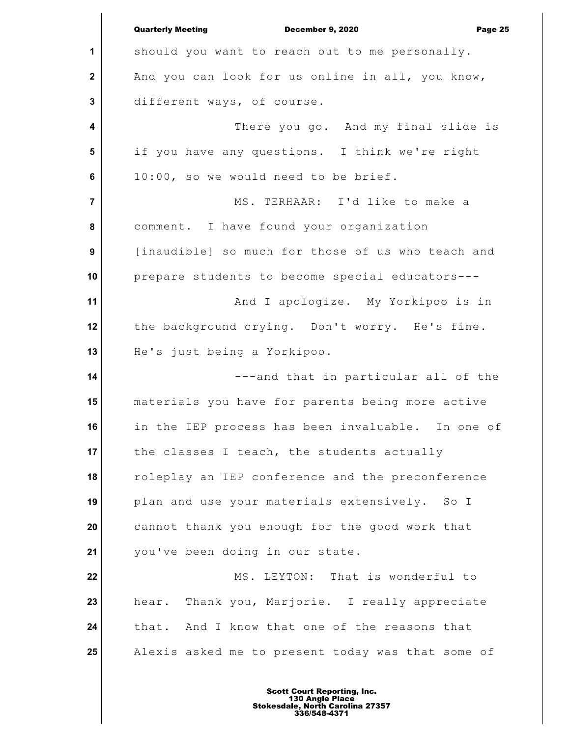**1 2 3 4 5 6 7 8 9 10 11 12 13 14 15 16 17 18 19 20 21 22 23 24 25** Quarterly Meeting December 9, 2020 Page 25 should you want to reach out to me personally. And you can look for us online in all, you know, different ways, of course. There you go. And my final slide is if you have any questions. I think we're right 10:00, so we would need to be brief. MS. TERHAAR: I'd like to make a comment. I have found your organization [inaudible] so much for those of us who teach and prepare students to become special educators--- And I apologize. My Yorkipoo is in the background crying. Don't worry. He's fine. He's just being a Yorkipoo. ---and that in particular all of the materials you have for parents being more active in the IEP process has been invaluable. In one of the classes I teach, the students actually roleplay an IEP conference and the preconference plan and use your materials extensively. So I cannot thank you enough for the good work that you've been doing in our state. MS. LEYTON: That is wonderful to hear. Thank you, Marjorie. I really appreciate that. And I know that one of the reasons that Alexis asked me to present today was that some of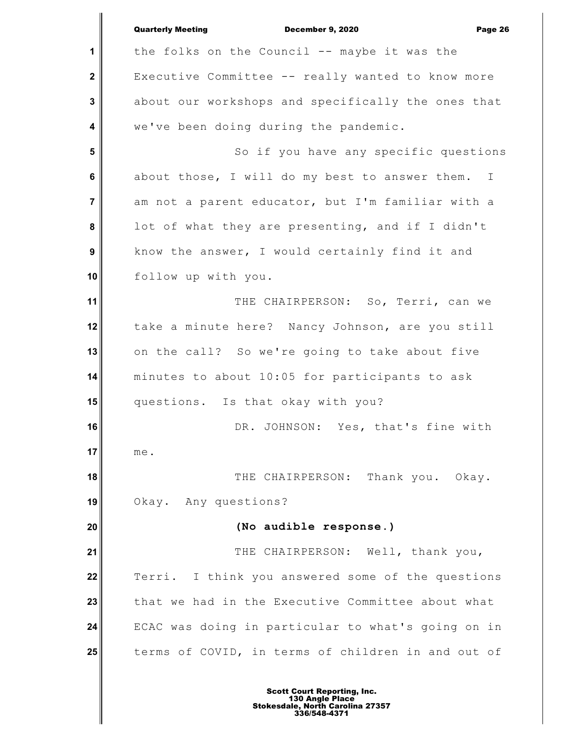|                | <b>Quarterly Meeting</b><br>December 9, 2020<br>Page 26 |
|----------------|---------------------------------------------------------|
| 1              | the folks on the Council -- maybe it was the            |
| $\mathbf{2}$   | Executive Committee -- really wanted to know more       |
| $\mathbf{3}$   | about our workshops and specifically the ones that      |
| 4              | we've been doing during the pandemic.                   |
| $5\phantom{1}$ | So if you have any specific questions                   |
| 6              | about those, I will do my best to answer them. I        |
| $\overline{7}$ | am not a parent educator, but I'm familiar with a       |
| 8              | lot of what they are presenting, and if I didn't        |
| 9              | know the answer, I would certainly find it and          |
| 10             | follow up with you.                                     |
| 11             | THE CHAIRPERSON: So, Terri, can we                      |
| 12             | take a minute here? Nancy Johnson, are you still        |
| 13             | on the call? So we're going to take about five          |
| 14             | minutes to about 10:05 for participants to ask          |
| 15             | questions. Is that okay with you?                       |
| 16             | DR. JOHNSON: Yes, that's fine with                      |
| 17             | me.                                                     |
| 18             | THE CHAIRPERSON: Thank you. Okay.                       |
| 19             | Okay. Any questions?                                    |
| 20             | (No audible response.)                                  |
| 21             | THE CHAIRPERSON: Well, thank you,                       |
| 22             | Terri. I think you answered some of the questions       |
| 23             | that we had in the Executive Committee about what       |
| 24             | ECAC was doing in particular to what's going on in      |
| 25             | terms of COVID, in terms of children in and out of      |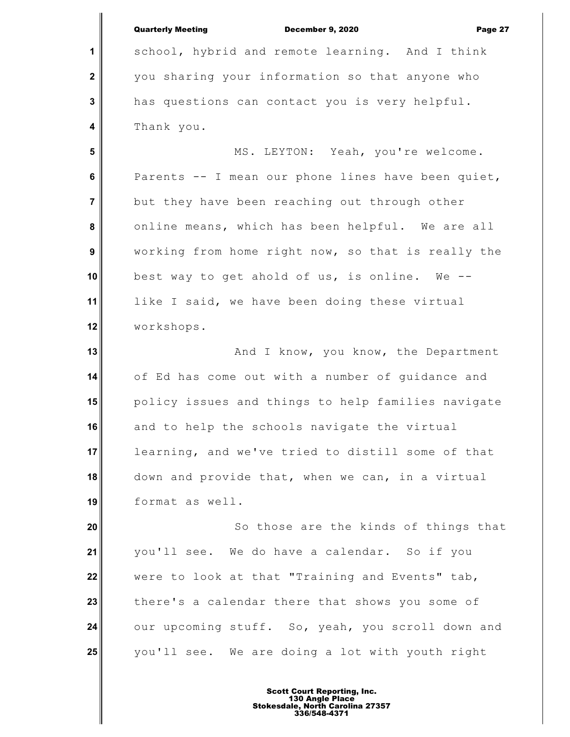|                  | <b>Quarterly Meeting</b><br>December 9, 2020<br>Page 27 |
|------------------|---------------------------------------------------------|
| 1                | school, hybrid and remote learning. And I think         |
| $\boldsymbol{2}$ | you sharing your information so that anyone who         |
| 3                | has questions can contact you is very helpful.          |
| 4                | Thank you.                                              |
| 5                | MS. LEYTON: Yeah, you're welcome.                       |
| 6                | Parents -- I mean our phone lines have been quiet,      |
| $\overline{7}$   | but they have been reaching out through other           |
| 8                | online means, which has been helpful. We are all        |
| 9                | working from home right now, so that is really the      |
| 10               | best way to get ahold of us, is online. We --           |
| 11               | like I said, we have been doing these virtual           |
| 12               | workshops.                                              |
| 13               | And I know, you know, the Department                    |
| 14               | of Ed has come out with a number of guidance and        |
| 15 <sup>1</sup>  | policy issues and things to help families navigate      |
| 16 I             | and to help the schools navigate the virtual            |
| 17 <sup>1</sup>  | learning, and we've tried to distill some of that       |
| 18               | down and provide that, when we can, in a virtual        |
| 19               | format as well.                                         |
| 20               | So those are the kinds of things that                   |
| 21               | you'll see. We do have a calendar. So if you            |
| 22               | were to look at that "Training and Events" tab,         |
| 23               | there's a calendar there that shows you some of         |
| 24               | our upcoming stuff. So, yeah, you scroll down and       |
| 25               | you'll see. We are doing a lot with youth right         |
|                  |                                                         |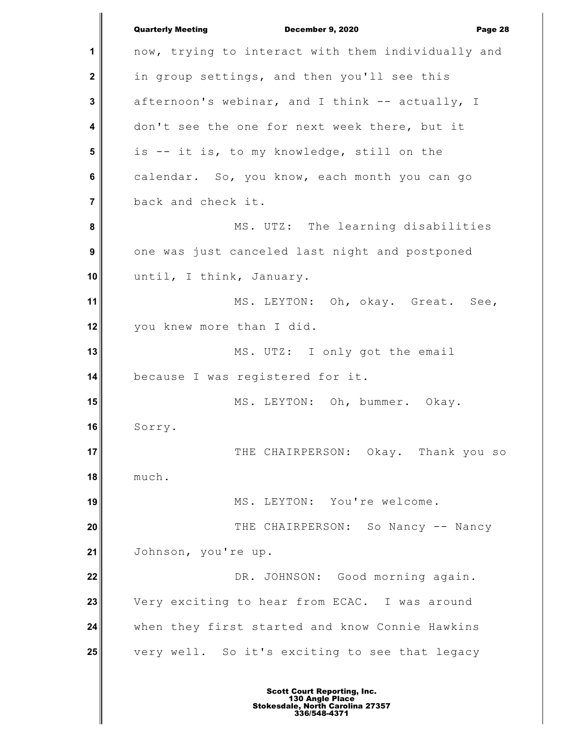|                | <b>Quarterly Meeting</b><br>December 9, 2020<br>Page 28 |
|----------------|---------------------------------------------------------|
| 1              | now, trying to interact with them individually and      |
| $\mathbf{2}$   | in group settings, and then you'll see this             |
| 3              | afternoon's webinar, and I think -- actually, I         |
| 4              | don't see the one for next week there, but it           |
| 5              | is -- it is, to my knowledge, still on the              |
| 6              | calendar. So, you know, each month you can go           |
| $\overline{7}$ | back and check it.                                      |
| 8              | MS. UTZ: The learning disabilities                      |
| 9              | one was just canceled last night and postponed          |
| 10             | until, I think, January.                                |
| 11             | MS. LEYTON: Oh, okay. Great. See,                       |
| 12             | you knew more than I did.                               |
| 13             | MS. UTZ: I only got the email                           |
| 14             | because I was registered for it.                        |
| 15             | MS. LEYTON: Oh, bummer. Okay.                           |
| 16             | Sorry.                                                  |
| 17             | THE CHAIRPERSON: Okay. Thank you so                     |
| 18             | much.                                                   |
| 19             | MS. LEYTON: You're welcome.                             |
| 20             | THE CHAIRPERSON: So Nancy -- Nancy                      |
| 21             | Johnson, you're up.                                     |
| 22             | DR. JOHNSON: Good morning again.                        |
| 23             | Very exciting to hear from ECAC. I was around           |
| 24             | when they first started and know Connie Hawkins         |
| 25             | very well. So it's exciting to see that legacy          |
|                |                                                         |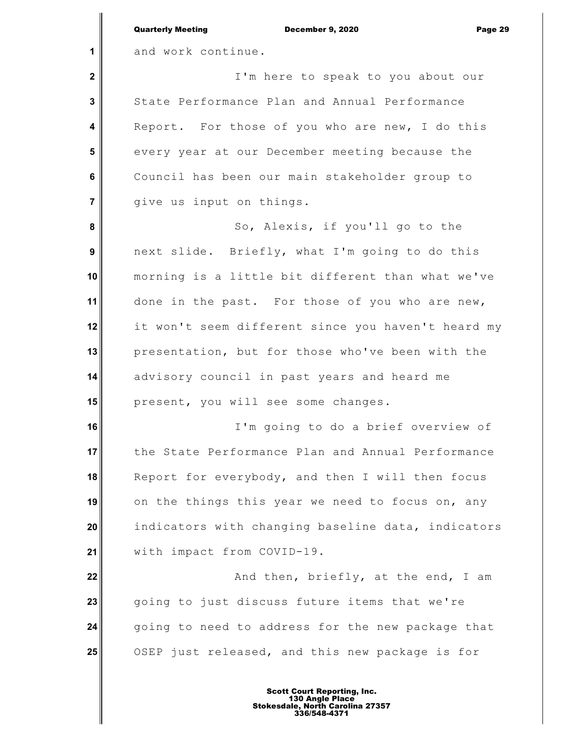|                         | <b>Quarterly Meeting</b><br>December 9, 2020<br>Page 29 |
|-------------------------|---------------------------------------------------------|
| $\mathbf 1$             | and work continue.                                      |
| $\mathbf 2$             | I'm here to speak to you about our                      |
| $\mathbf{3}$            | State Performance Plan and Annual Performance           |
| $\overline{\mathbf{4}}$ | Report. For those of you who are new, I do this         |
| $5\phantom{1}$          | every year at our December meeting because the          |
| 6                       | Council has been our main stakeholder group to          |
| $\overline{7}$          | give us input on things.                                |
| 8                       | So, Alexis, if you'll go to the                         |
| 9                       | next slide. Briefly, what I'm going to do this          |
| 10                      | morning is a little bit different than what we've       |
| 11                      | done in the past. For those of you who are new,         |
| 12                      | it won't seem different since you haven't heard my      |
| 13                      | presentation, but for those who've been with the        |
| 14                      | advisory council in past years and heard me             |
| 15                      | present, you will see some changes.                     |
| 16                      | I'm going to do a brief overview of                     |
| 17                      | the State Performance Plan and Annual Performance       |
| 18                      | Report for everybody, and then I will then focus        |
| 19                      | on the things this year we need to focus on, any        |
| 20                      | indicators with changing baseline data, indicators      |
| 21                      | with impact from COVID-19.                              |
| 22                      | And then, briefly, at the end, I am                     |
| 23                      | going to just discuss future items that we're           |
| 24                      | going to need to address for the new package that       |
| 25                      | OSEP just released, and this new package is for         |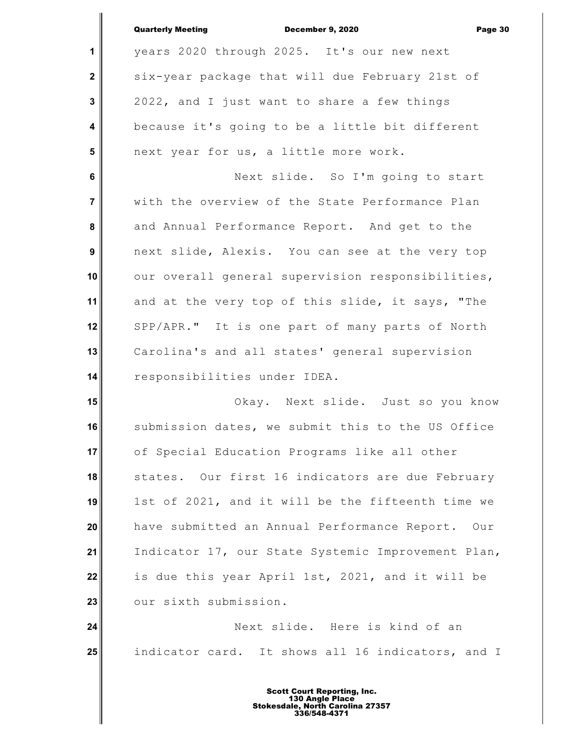|                  | <b>Quarterly Meeting</b><br><b>December 9, 2020</b><br>Page 30 |
|------------------|----------------------------------------------------------------|
| 1                | years 2020 through 2025. It's our new next                     |
| $\mathbf{2}$     | six-year package that will due February 21st of                |
| 3                | 2022, and I just want to share a few things                    |
| 4                | because it's going to be a little bit different                |
| 5                | next year for us, a little more work.                          |
| 6                | Next slide. So I'm going to start                              |
| $\overline{7}$   | with the overview of the State Performance Plan                |
| 8                | and Annual Performance Report. And get to the                  |
| $\boldsymbol{9}$ | next slide, Alexis. You can see at the very top                |
| 10               | our overall general supervision responsibilities,              |
| 11               | and at the very top of this slide, it says, "The               |
| 12               | SPP/APR." It is one part of many parts of North                |
| 13               | Carolina's and all states' general supervision                 |
| 14               | responsibilities under IDEA.                                   |
| 15               | Okay. Next slide. Just so you know                             |
| 16               | submission dates, we submit this to the US Office              |
| 17               | of Special Education Programs like all other                   |
| 18               | states. Our first 16 indicators are due February               |
| 19               | 1st of 2021, and it will be the fifteenth time we              |
| 20               | have submitted an Annual Performance Report.<br>Our            |
| 21               | Indicator 17, our State Systemic Improvement Plan,             |
| 22               | is due this year April 1st, 2021, and it will be               |
| 23               | our sixth submission.                                          |
| 24               | Next slide. Here is kind of an                                 |
| 25               | indicator card. It shows all 16 indicators, and I              |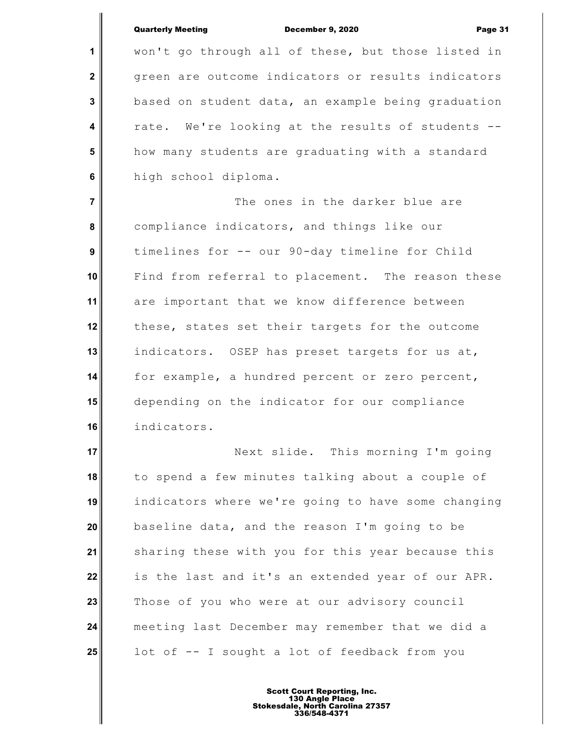|                  | <b>Quarterly Meeting</b><br>December 9, 2020<br>Page 31 |
|------------------|---------------------------------------------------------|
| 1                | won't go through all of these, but those listed in      |
| $\mathbf 2$      | green are outcome indicators or results indicators      |
| 3                | based on student data, an example being graduation      |
| 4                | rate. We're looking at the results of students --       |
| 5                | how many students are graduating with a standard        |
| 6                | high school diploma.                                    |
| $\overline{7}$   | The ones in the darker blue are                         |
| 8                | compliance indicators, and things like our              |
| $\boldsymbol{9}$ | timelines for -- our 90-day timeline for Child          |
| 10               | Find from referral to placement. The reason these       |
| 11               | are important that we know difference between           |
| 12               | these, states set their targets for the outcome         |
| 13               | indicators. OSEP has preset targets for us at,          |
| 14               | for example, a hundred percent or zero percent,         |
| 15               | depending on the indicator for our compliance           |
| 16               | indicators.                                             |
| 17               | Next slide. This morning I'm going                      |
| 18               | to spend a few minutes talking about a couple of        |
| 19               | indicators where we're going to have some changing      |
| 20               | baseline data, and the reason I'm going to be           |
| 21               | sharing these with you for this year because this       |
| 22               | is the last and it's an extended year of our APR.       |
| 23               | Those of you who were at our advisory council           |
| 24               | meeting last December may remember that we did a        |
| 25               | lot of -- I sought a lot of feedback from you           |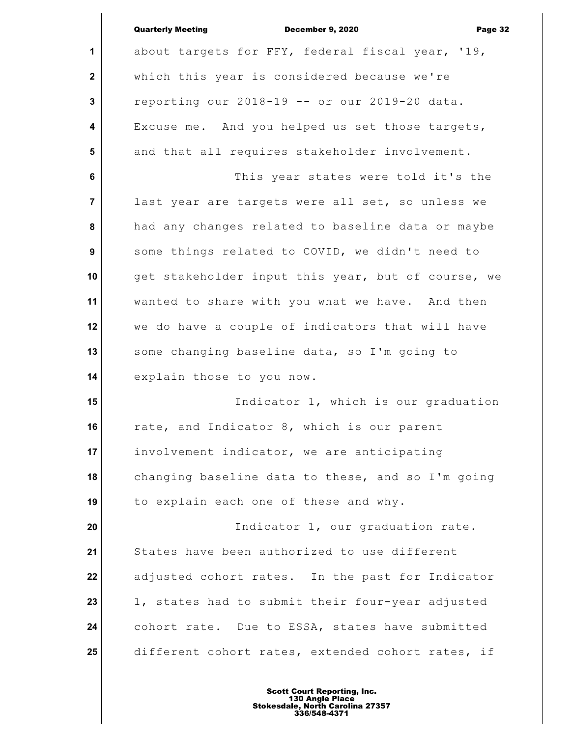| <b>Quarterly Meeting</b> |  |
|--------------------------|--|
|--------------------------|--|

December 9, 2020 Page 32

**1 2 3 4 5 6 7 8 9 10 11 12 13 14 15 16 17 18 19 20 21 22 23 24 25** about targets for FFY, federal fiscal year, '19, which this year is considered because we're reporting our 2018-19 -- or our 2019-20 data. Excuse me. And you helped us set those targets, and that all requires stakeholder involvement. This year states were told it's the last year are targets were all set, so unless we had any changes related to baseline data or maybe some things related to COVID, we didn't need to get stakeholder input this year, but of course, we wanted to share with you what we have. And then we do have a couple of indicators that will have some changing baseline data, so I'm going to explain those to you now. Indicator 1, which is our graduation rate, and Indicator 8, which is our parent involvement indicator, we are anticipating changing baseline data to these, and so I'm going to explain each one of these and why. Indicator 1, our graduation rate. States have been authorized to use different adjusted cohort rates. In the past for Indicator 1, states had to submit their four-year adjusted cohort rate. Due to ESSA, states have submitted different cohort rates, extended cohort rates, if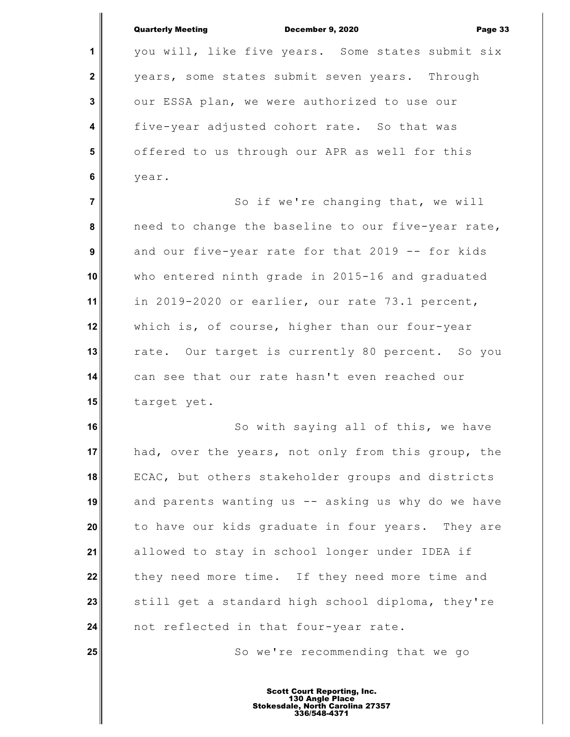|                         | <b>Quarterly Meeting</b><br>December 9, 2020<br>Page 33 |
|-------------------------|---------------------------------------------------------|
| $\mathbf 1$             | you will, like five years. Some states submit six       |
| $\mathbf{2}$            | years, some states submit seven years. Through          |
| 3                       | our ESSA plan, we were authorized to use our            |
| $\overline{\mathbf{4}}$ | five-year adjusted cohort rate. So that was             |
| $5\phantom{1}$          | offered to us through our APR as well for this          |
| 6                       | year.                                                   |
| $\overline{7}$          | So if we're changing that, we will                      |
| 8                       | need to change the baseline to our five-year rate,      |
| 9                       | and our five-year rate for that 2019 -- for kids        |
| 10                      | who entered ninth grade in 2015-16 and graduated        |
| 11                      | in 2019-2020 or earlier, our rate 73.1 percent,         |
| 12                      | which is, of course, higher than our four-year          |
| 13                      | rate. Our target is currently 80 percent. So you        |
| 14                      | can see that our rate hasn't even reached our           |
| 15                      | target yet.                                             |
| 16                      | So with saying all of this, we have                     |
| 17                      | had, over the years, not only from this group, the      |
| 18                      | ECAC, but others stakeholder groups and districts       |
| 19                      | and parents wanting us -- asking us why do we have      |
| 20                      | to have our kids graduate in four years. They are       |
| 21                      | allowed to stay in school longer under IDEA if          |
| 22                      | they need more time. If they need more time and         |
| 23                      | still get a standard high school diploma, they're       |
| 24                      | not reflected in that four-year rate.                   |
| 25                      | So we're recommending that we go                        |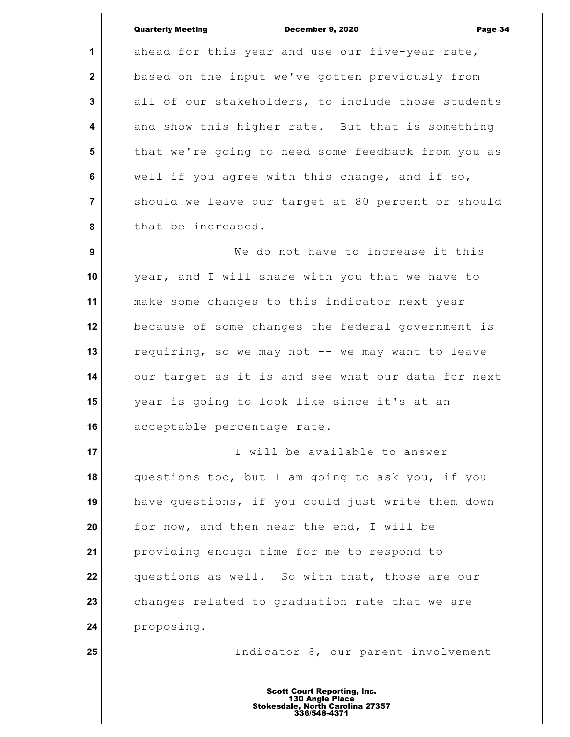**25**

**1 2 3 4 5 6 7 8 9 10 11 12 13 14 15 16 17 18 19 20 21 22 23 24** Quarterly Meeting December 9, 2020 Page 34 ahead for this year and use our five-year rate, based on the input we've gotten previously from all of our stakeholders, to include those students and show this higher rate. But that is something that we're going to need some feedback from you as well if you agree with this change, and if so, should we leave our target at 80 percent or should that be increased. We do not have to increase it this year, and I will share with you that we have to make some changes to this indicator next year because of some changes the federal government is requiring, so we may not -- we may want to leave our target as it is and see what our data for next year is going to look like since it's at an acceptable percentage rate. I will be available to answer questions too, but I am going to ask you, if you have questions, if you could just write them down for now, and then near the end, I will be providing enough time for me to respond to questions as well. So with that, those are our changes related to graduation rate that we are proposing.

Indicator 8, our parent involvement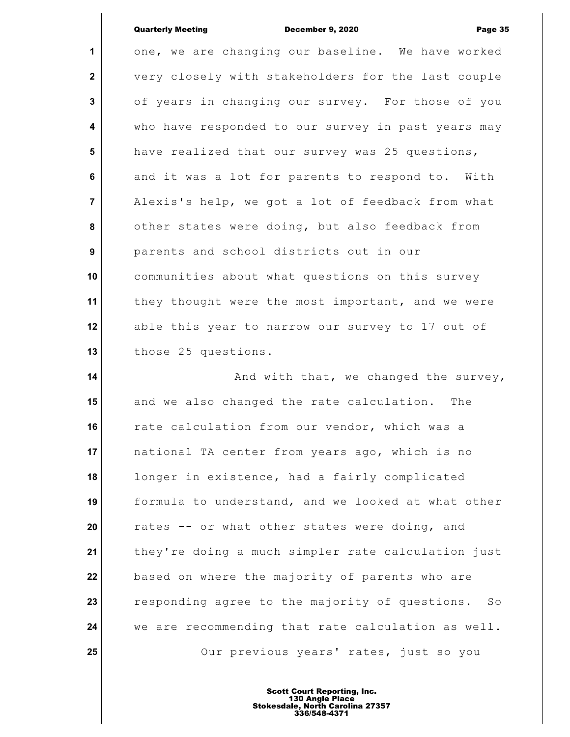### Quarterly Meeting December 9, 2020 Page 35

**1 2 3 4 5 6 7 8 9 10 11 12 13** one, we are changing our baseline. We have worked very closely with stakeholders for the last couple of years in changing our survey. For those of you who have responded to our survey in past years may have realized that our survey was 25 questions, and it was a lot for parents to respond to. With Alexis's help, we got a lot of feedback from what other states were doing, but also feedback from parents and school districts out in our communities about what questions on this survey they thought were the most important, and we were able this year to narrow our survey to 17 out of those 25 questions.

**14 15 16 17 18 19 20 21 22 23 24 25** And with that, we changed the survey, and we also changed the rate calculation. The rate calculation from our vendor, which was a national TA center from years ago, which is no longer in existence, had a fairly complicated formula to understand, and we looked at what other rates -- or what other states were doing, and they're doing a much simpler rate calculation just based on where the majority of parents who are responding agree to the majority of questions. So we are recommending that rate calculation as well. Our previous years' rates, just so you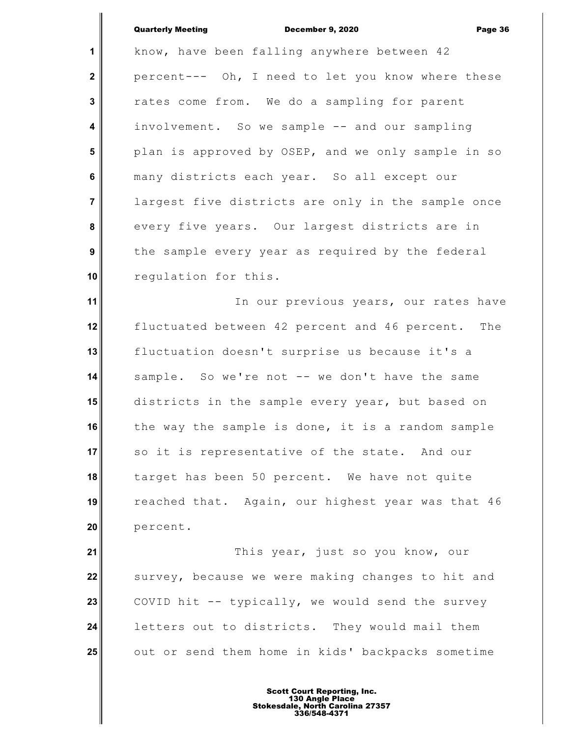**1 2 3 4 5 6 7 8 9 10** Quarterly Meeting December 9, 2020 Page 36 know, have been falling anywhere between 42 percent--- Oh, I need to let you know where these rates come from. We do a sampling for parent involvement. So we sample -- and our sampling plan is approved by OSEP, and we only sample in so many districts each year. So all except our largest five districts are only in the sample once every five years. Our largest districts are in the sample every year as required by the federal regulation for this.

**11 12 13 14 15 16 17 18 19 20** In our previous years, our rates have fluctuated between 42 percent and 46 percent. The fluctuation doesn't surprise us because it's a sample. So we're not -- we don't have the same districts in the sample every year, but based on the way the sample is done, it is a random sample so it is representative of the state. And our target has been 50 percent. We have not quite reached that. Again, our highest year was that 46 percent.

**21 22 23 24 25** This year, just so you know, our survey, because we were making changes to hit and COVID hit -- typically, we would send the survey letters out to districts. They would mail them out or send them home in kids' backpacks sometime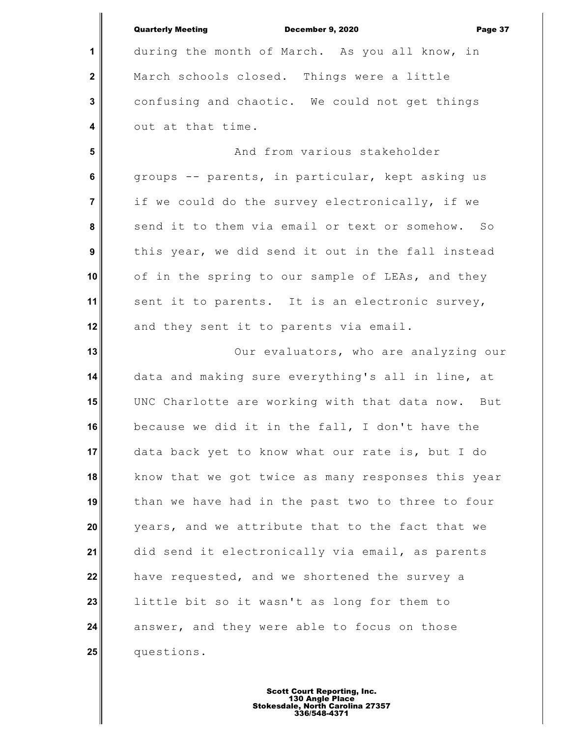|                  | <b>Quarterly Meeting</b><br>December 9, 2020<br>Page 37 |
|------------------|---------------------------------------------------------|
| 1                | during the month of March. As you all know, in          |
| $\mathbf 2$      | March schools closed. Things were a little              |
| 3                | confusing and chaotic. We could not get things          |
| 4                | out at that time.                                       |
| 5                | And from various stakeholder                            |
| 6                | groups -- parents, in particular, kept asking us        |
| $\overline{7}$   | if we could do the survey electronically, if we         |
| 8                | send it to them via email or text or somehow. So        |
| $\boldsymbol{9}$ | this year, we did send it out in the fall instead       |
| 10               | of in the spring to our sample of LEAs, and they        |
| 11               | sent it to parents. It is an electronic survey,         |
| 12               | and they sent it to parents via email.                  |
| 13               | Our evaluators, who are analyzing our                   |
| 14               | data and making sure everything's all in line, at       |
| 15               | UNC Charlotte are working with that data now. But       |
| 16               | because we did it in the fall, I don't have the         |
| 17               | data back yet to know what our rate is, but I do        |
| 18               | know that we got twice as many responses this year      |
| 19               | than we have had in the past two to three to four       |
| 20               | years, and we attribute that to the fact that we        |
| 21               | did send it electronically via email, as parents        |
| 22               | have requested, and we shortened the survey a           |
| 23               | little bit so it wasn't as long for them to             |
| 24               | answer, and they were able to focus on those            |
| 25               | questions.                                              |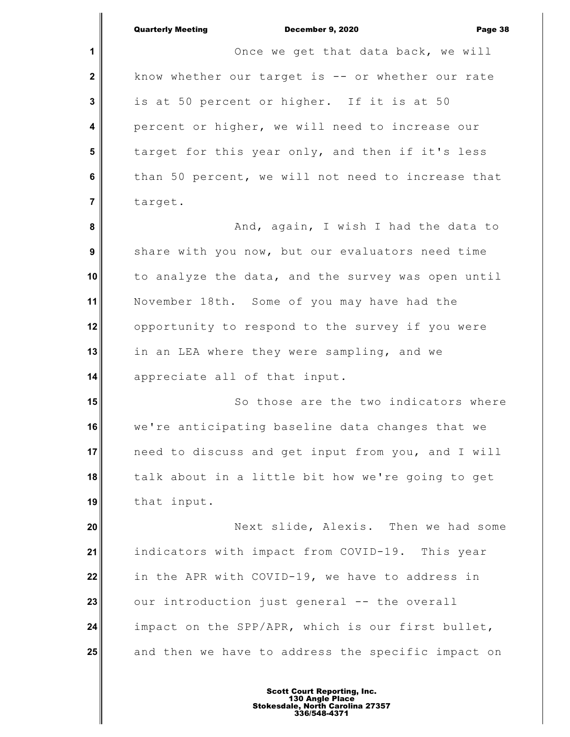**1 2 3 4 5 6 7 8 9 10 11 12 13 14 15 16 17 18 19 20 21 22 23 24 25** Once we get that data back, we will know whether our target is -- or whether our rate is at 50 percent or higher. If it is at 50 percent or higher, we will need to increase our target for this year only, and then if it's less than 50 percent, we will not need to increase that target. And, again, I wish I had the data to share with you now, but our evaluators need time to analyze the data, and the survey was open until November 18th. Some of you may have had the opportunity to respond to the survey if you were in an LEA where they were sampling, and we appreciate all of that input. So those are the two indicators where we're anticipating baseline data changes that we need to discuss and get input from you, and I will talk about in a little bit how we're going to get that input. Next slide, Alexis. Then we had some indicators with impact from COVID-19. This year in the APR with COVID-19, we have to address in our introduction just general -- the overall impact on the SPP/APR, which is our first bullet, and then we have to address the specific impact on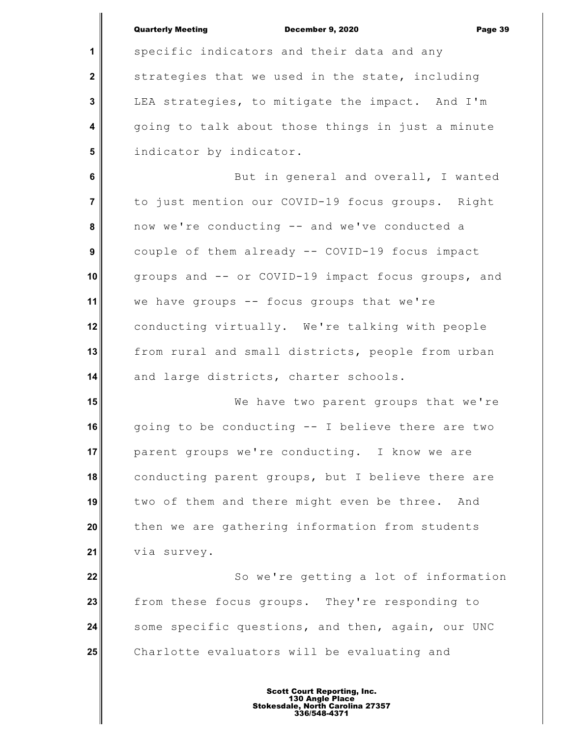|                         | <b>Quarterly Meeting</b><br>December 9, 2020<br>Page 39 |
|-------------------------|---------------------------------------------------------|
| 1                       | specific indicators and their data and any              |
| $\mathbf{2}$            | strategies that we used in the state, including         |
| 3                       | LEA strategies, to mitigate the impact. And I'm         |
| $\overline{\mathbf{4}}$ | going to talk about those things in just a minute       |
| 5                       | indicator by indicator.                                 |
| 6                       | But in general and overall, I wanted                    |
| $\overline{7}$          | to just mention our COVID-19 focus groups. Right        |
| 8                       |                                                         |
|                         | now we're conducting -- and we've conducted a           |
| 9                       | couple of them already -- COVID-19 focus impact         |
| 10                      | groups and -- or COVID-19 impact focus groups, and      |
| 11                      | we have groups -- focus groups that we're               |
| 12                      | conducting virtually. We're talking with people         |
| 13                      | from rural and small districts, people from urban       |
| 14                      | and large districts, charter schools.                   |
| 15                      | We have two parent groups that we're                    |
| 16                      | going to be conducting -- I believe there are two       |
| 17                      | parent groups we're conducting. I know we are           |
| 18                      | conducting parent groups, but I believe there are       |
| 19                      | two of them and there might even be three. And          |
| 20                      | then we are gathering information from students         |
| 21                      | via survey.                                             |
| 22                      | So we're getting a lot of information                   |
| 23                      | from these focus groups. They're responding to          |
| 24                      | some specific questions, and then, again, our UNC       |
| 25                      | Charlotte evaluators will be evaluating and             |
|                         |                                                         |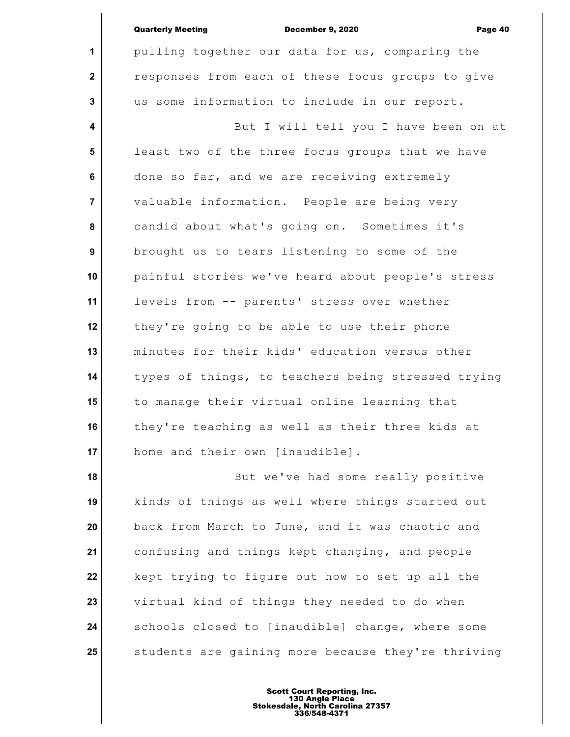**1**

 **2**

 **3**

pulling together our data for us, comparing the responses from each of these focus groups to give us some information to include in our report.

 **4 5 6 7 8 9 10 11 12 13 14 15 16 17** But I will tell you I have been on at least two of the three focus groups that we have done so far, and we are receiving extremely valuable information. People are being very candid about what's going on. Sometimes it's brought us to tears listening to some of the painful stories we've heard about people's stress levels from -- parents' stress over whether they're going to be able to use their phone minutes for their kids' education versus other types of things, to teachers being stressed trying to manage their virtual online learning that they're teaching as well as their three kids at home and their own [inaudible].

**18 19 20 21 22 23 24 25** But we've had some really positive kinds of things as well where things started out back from March to June, and it was chaotic and confusing and things kept changing, and people kept trying to figure out how to set up all the virtual kind of things they needed to do when schools closed to [inaudible] change, where some students are gaining more because they're thriving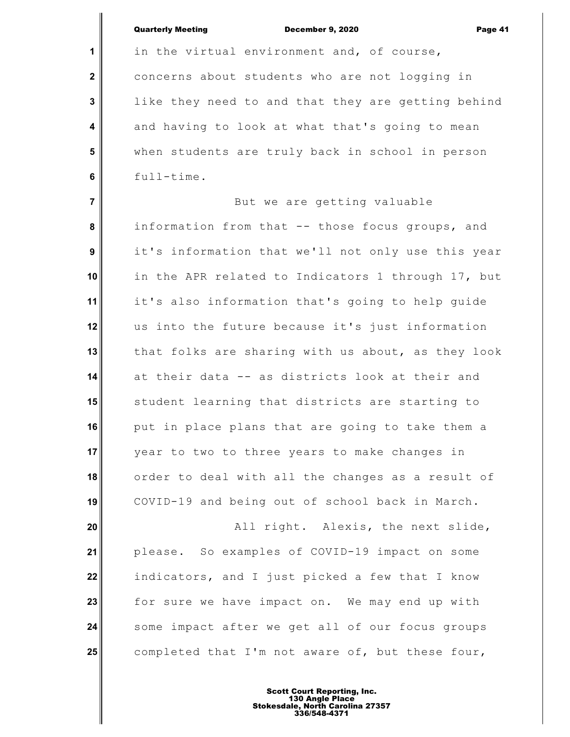|                         | <b>Quarterly Meeting</b><br>December 9, 2020<br>Page 41 |
|-------------------------|---------------------------------------------------------|
| 1                       | in the virtual environment and, of course,              |
| $\overline{\mathbf{2}}$ | concerns about students who are not logging in          |
| $\mathbf 3$             | like they need to and that they are getting behind      |
| $\overline{\mathbf{4}}$ | and having to look at what that's going to mean         |
| 5                       | when students are truly back in school in person        |
| $\bf 6$                 | full-time.                                              |
| $\overline{7}$          | But we are getting valuable                             |
| 8                       | information from that -- those focus groups, and        |
| $\boldsymbol{9}$        | it's information that we'll not only use this year      |
| 10                      | in the APR related to Indicators 1 through 17, but      |
| 11                      | it's also information that's going to help guide        |
| 12                      | us into the future because it's just information        |
| 13                      | that folks are sharing with us about, as they look      |
| 14                      | at their data -- as districts look at their and         |
| 15                      | student learning that districts are starting to         |
| 16                      | put in place plans that are going to take them a        |
| 17                      | year to two to three years to make changes in           |
| 18                      | order to deal with all the changes as a result of       |
| 19                      | COVID-19 and being out of school back in March.         |
| 20                      | All right. Alexis, the next slide,                      |
| 21                      | please. So examples of COVID-19 impact on some          |
| 22                      | indicators, and I just picked a few that I know         |
| 23                      | for sure we have impact on. We may end up with          |
| 24                      | some impact after we get all of our focus groups        |
| 25                      | completed that I'm not aware of, but these four,        |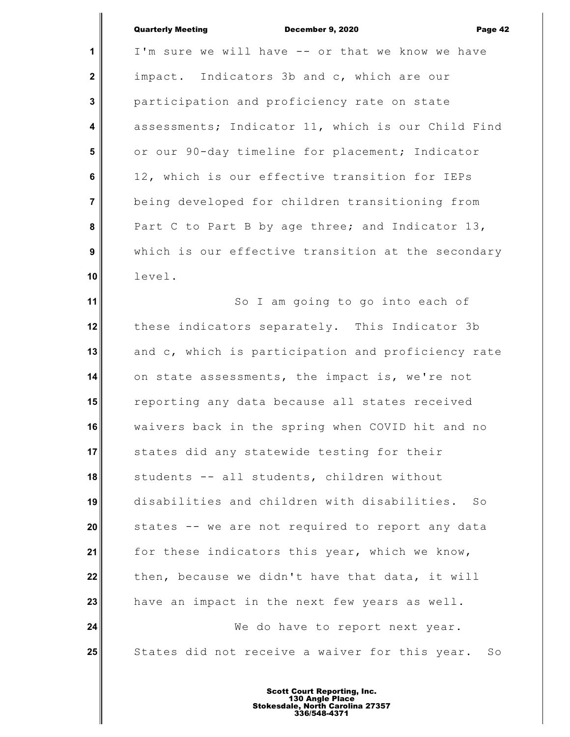| <b>Quarterly Meeting</b> | <b>December 9, 2020</b> | Page 42 |
|--------------------------|-------------------------|---------|
|                          |                         |         |

**1 2 3 4 5 6 7 8 9 10 11 12** I'm sure we will have -- or that we know we have impact. Indicators 3b and c, which are our participation and proficiency rate on state assessments; Indicator 11, which is our Child Find or our 90-day timeline for placement; Indicator 12, which is our effective transition for IEPs being developed for children transitioning from Part C to Part B by age three; and Indicator 13, which is our effective transition at the secondary level. So I am going to go into each of these indicators separately. This Indicator 3b

**13 14 15 16 17 18 19 20 21 22 23 24** and c, which is participation and proficiency rate on state assessments, the impact is, we're not reporting any data because all states received waivers back in the spring when COVID hit and no states did any statewide testing for their students -- all students, children without disabilities and children with disabilities. So states -- we are not required to report any data for these indicators this year, which we know, then, because we didn't have that data, it will have an impact in the next few years as well. We do have to report next year.

**25** States did not receive a waiver for this year. So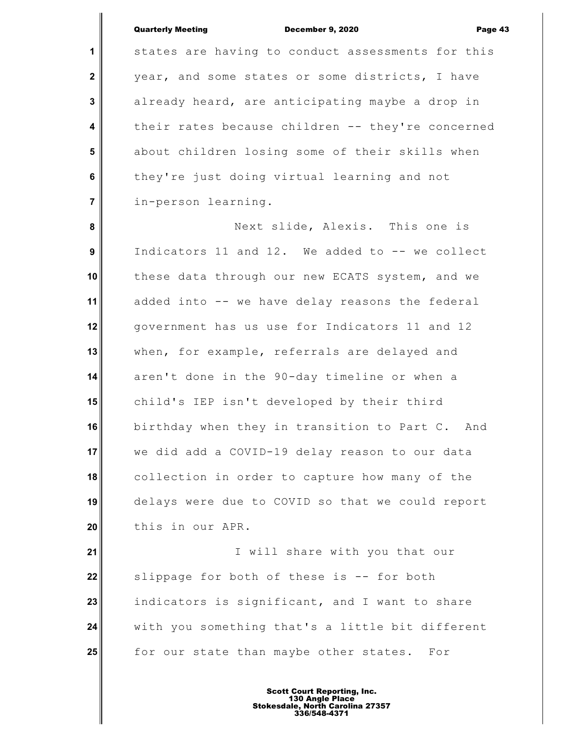**1**

 **2**

 **3**

 **4**

 **5**

 **6**

 **7**

states are having to conduct assessments for this year, and some states or some districts, I have already heard, are anticipating maybe a drop in their rates because children -- they're concerned about children losing some of their skills when they're just doing virtual learning and not in-person learning.

 **8 9 10 11 12 13 14 15 16 17 18 19 20** Next slide, Alexis. This one is Indicators 11 and 12. We added to -- we collect these data through our new ECATS system, and we added into -- we have delay reasons the federal government has us use for Indicators 11 and 12 when, for example, referrals are delayed and aren't done in the 90-day timeline or when a child's IEP isn't developed by their third birthday when they in transition to Part C. And we did add a COVID-19 delay reason to our data collection in order to capture how many of the delays were due to COVID so that we could report this in our APR.

**21 22 23 24 25** I will share with you that our slippage for both of these is -- for both indicators is significant, and I want to share with you something that's a little bit different for our state than maybe other states. For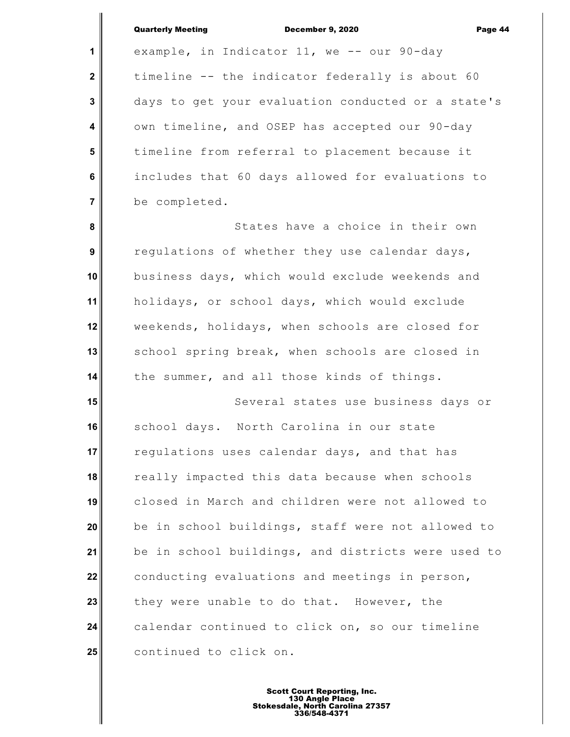**1**

 **2**

 **3**

 **4**

 **5**

 **6**

 **7**

example, in Indicator 11, we -- our 90-day timeline -- the indicator federally is about 60 days to get your evaluation conducted or a state's own timeline, and OSEP has accepted our 90-day timeline from referral to placement because it includes that 60 days allowed for evaluations to be completed.

 **8 9 10 11 12 13 14** States have a choice in their own regulations of whether they use calendar days, business days, which would exclude weekends and holidays, or school days, which would exclude weekends, holidays, when schools are closed for school spring break, when schools are closed in the summer, and all those kinds of things.

**15 16 17 18 19 20 21 22 23 24 25** Several states use business days or school days. North Carolina in our state regulations uses calendar days, and that has really impacted this data because when schools closed in March and children were not allowed to be in school buildings, staff were not allowed to be in school buildings, and districts were used to conducting evaluations and meetings in person, they were unable to do that. However, the calendar continued to click on, so our timeline continued to click on.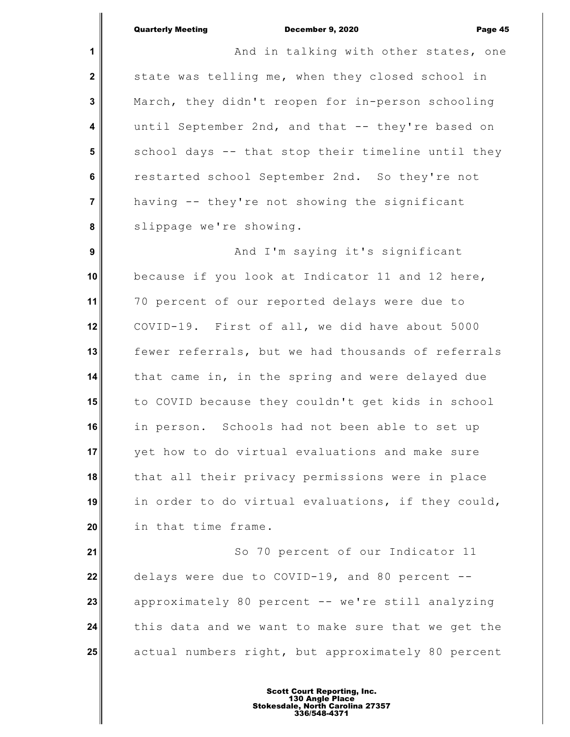**1 2 3 4 5 6 7 8 9 10 11 12 13 14 15 16 17 18 19 20** And in talking with other states, one state was telling me, when they closed school in March, they didn't reopen for in-person schooling until September 2nd, and that -- they're based on school days -- that stop their timeline until they restarted school September 2nd. So they're not having -- they're not showing the significant slippage we're showing. And I'm saying it's significant because if you look at Indicator 11 and 12 here, 70 percent of our reported delays were due to COVID-19. First of all, we did have about 5000 fewer referrals, but we had thousands of referrals that came in, in the spring and were delayed due to COVID because they couldn't get kids in school in person. Schools had not been able to set up yet how to do virtual evaluations and make sure that all their privacy permissions were in place in order to do virtual evaluations, if they could, in that time frame.

**21 22 23 24 25** So 70 percent of our Indicator 11 delays were due to COVID-19, and 80 percent - approximately 80 percent -- we're still analyzing this data and we want to make sure that we get the actual numbers right, but approximately 80 percent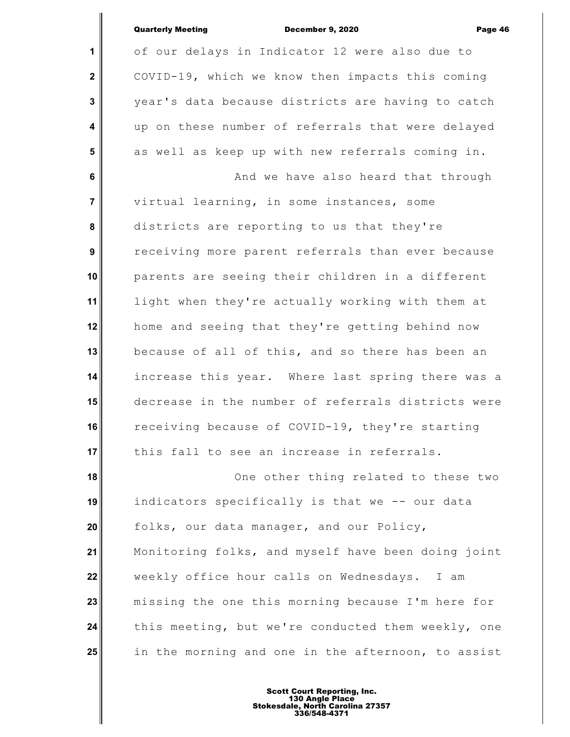| <b>Quarterly Meeting</b> |  |
|--------------------------|--|
|--------------------------|--|

**1**

 **2**

 **3**

 **4**

 **5**

# December 9, 2020 Page 46

of our delays in Indicator 12 were also due to COVID-19, which we know then impacts this coming year's data because districts are having to catch up on these number of referrals that were delayed as well as keep up with new referrals coming in.

 **6 7 8 9 10 11 12 13 14 15 16 17** And we have also heard that through virtual learning, in some instances, some districts are reporting to us that they're receiving more parent referrals than ever because parents are seeing their children in a different light when they're actually working with them at home and seeing that they're getting behind now because of all of this, and so there has been an increase this year. Where last spring there was a decrease in the number of referrals districts were receiving because of COVID-19, they're starting this fall to see an increase in referrals.

**18 19 20 21 22 23 24 25** One other thing related to these two indicators specifically is that we -- our data folks, our data manager, and our Policy, Monitoring folks, and myself have been doing joint weekly office hour calls on Wednesdays. I am missing the one this morning because I'm here for this meeting, but we're conducted them weekly, one in the morning and one in the afternoon, to assist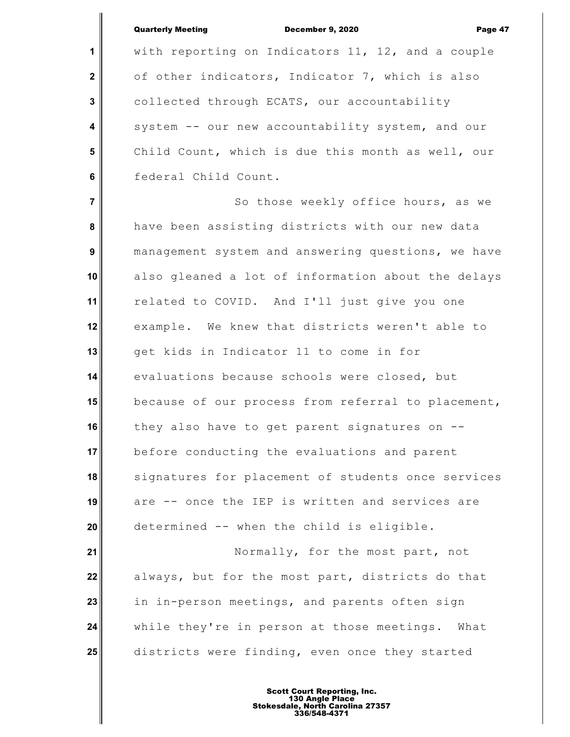**1**

 **2**

 **3**

 **4**

 **5**

 **6**

with reporting on Indicators 11, 12, and a couple of other indicators, Indicator 7, which is also collected through ECATS, our accountability system -- our new accountability system, and our Child Count, which is due this month as well, our federal Child Count.

 **7 8 9 10 11 12 13 14 15 16 17 18 19 20 21** So those weekly office hours, as we have been assisting districts with our new data management system and answering questions, we have also gleaned a lot of information about the delays related to COVID. And I'll just give you one example. We knew that districts weren't able to get kids in Indicator 11 to come in for evaluations because schools were closed, but because of our process from referral to placement, they also have to get parent signatures on - before conducting the evaluations and parent signatures for placement of students once services are -- once the IEP is written and services are determined -- when the child is eligible. Normally, for the most part, not

**22 23 24 25** always, but for the most part, districts do that in in-person meetings, and parents often sign while they're in person at those meetings. What districts were finding, even once they started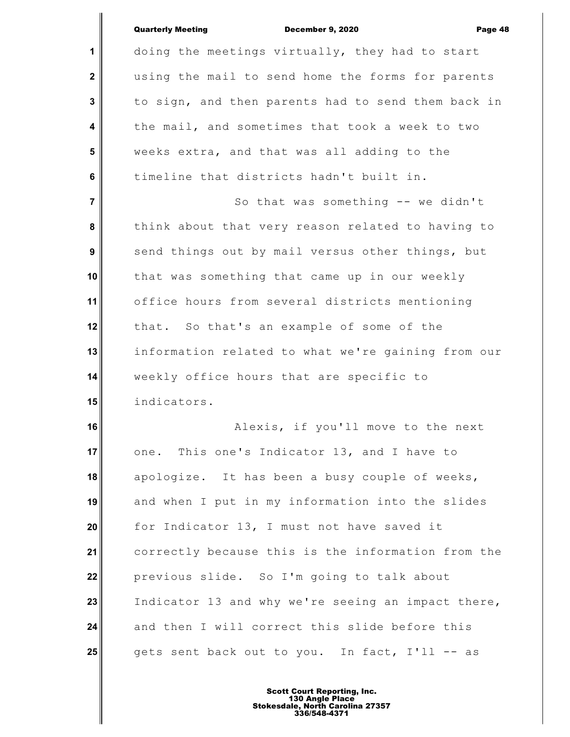**1 2 3 4 5 6 7 8 9 10 11 12 13 14 15 16 17** doing the meetings virtually, they had to start using the mail to send home the forms for parents to sign, and then parents had to send them back in the mail, and sometimes that took a week to two weeks extra, and that was all adding to the timeline that districts hadn't built in. So that was something -- we didn't think about that very reason related to having to send things out by mail versus other things, but that was something that came up in our weekly office hours from several districts mentioning that. So that's an example of some of the information related to what we're gaining from our weekly office hours that are specific to indicators. Alexis, if you'll move to the next one. This one's Indicator 13, and I have to

**18 19 20 21 22 23 24 25** apologize. It has been a busy couple of weeks, and when I put in my information into the slides for Indicator 13, I must not have saved it correctly because this is the information from the previous slide. So I'm going to talk about Indicator 13 and why we're seeing an impact there, and then I will correct this slide before this gets sent back out to you. In fact, I'll -- as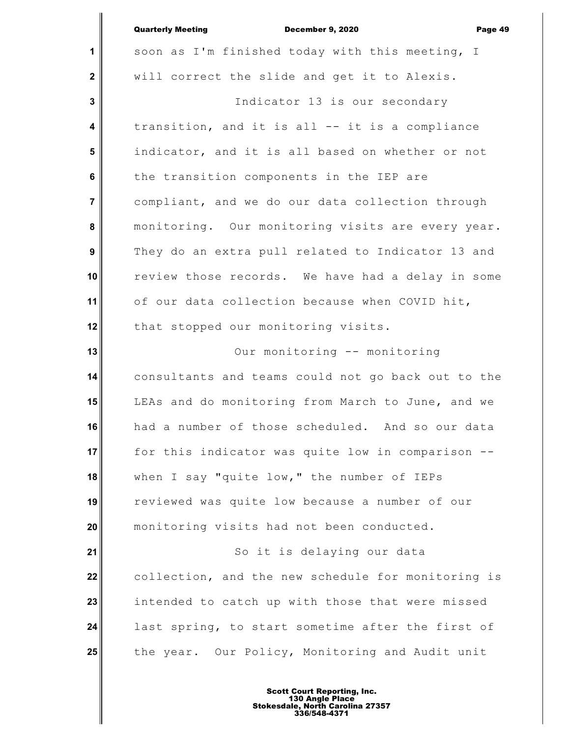|                         | <b>Quarterly Meeting</b><br><b>December 9, 2020</b><br>Page 49 |
|-------------------------|----------------------------------------------------------------|
| 1                       | soon as I'm finished today with this meeting, I                |
| $\mathbf 2$             | will correct the slide and get it to Alexis.                   |
| $\mathbf{3}$            | Indicator 13 is our secondary                                  |
| $\overline{\mathbf{4}}$ | transition, and it is all -- it is a compliance                |
| 5                       | indicator, and it is all based on whether or not               |
| 6                       | the transition components in the IEP are                       |
| $\overline{7}$          | compliant, and we do our data collection through               |
| 8                       | monitoring. Our monitoring visits are every year.              |
| 9                       | They do an extra pull related to Indicator 13 and              |
| 10                      | review those records. We have had a delay in some              |
| 11                      | of our data collection because when COVID hit,                 |
| 12                      | that stopped our monitoring visits.                            |
| 13                      | Our monitoring -- monitoring                                   |
| 14                      | consultants and teams could not go back out to the             |
| 15                      | LEAs and do monitoring from March to June, and we              |
| 16                      | had a number of those scheduled. And so our data               |
| 17                      | for this indicator was quite low in comparison --              |
| 18                      | when I say "quite low," the number of IEPs                     |
| 19                      | reviewed was quite low because a number of our                 |
| 20                      | monitoring visits had not been conducted.                      |
| 21                      | So it is delaying our data                                     |
| 22                      | collection, and the new schedule for monitoring is             |
| 23                      | intended to catch up with those that were missed               |
| 24                      | last spring, to start sometime after the first of              |
| 25                      | the year. Our Policy, Monitoring and Audit unit                |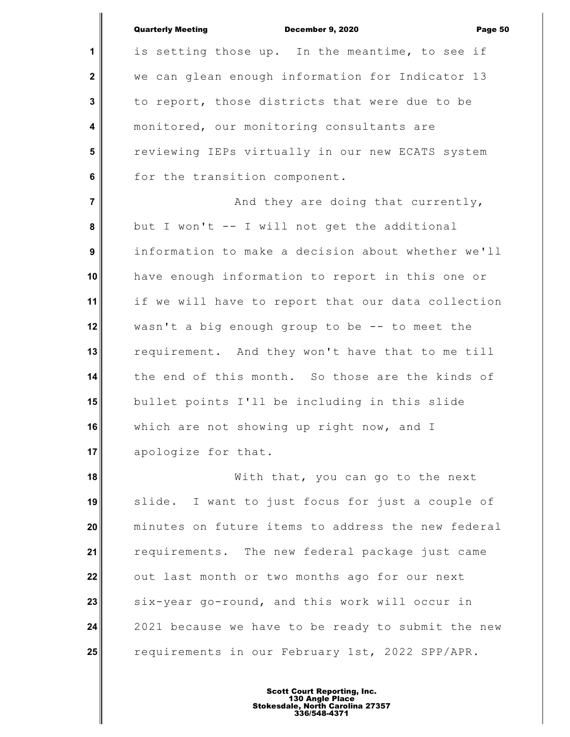|                         | <b>Quarterly Meeting</b><br>December 9, 2020<br>Page 50 |
|-------------------------|---------------------------------------------------------|
| $\mathbf{1}$            | is setting those up. In the meantime, to see if         |
| $\mathbf{2}$            | we can glean enough information for Indicator 13        |
| $\mathbf{3}$            | to report, those districts that were due to be          |
| $\overline{\mathbf{4}}$ | monitored, our monitoring consultants are               |
| 5                       | reviewing IEPs virtually in our new ECATS system        |
| 6                       | for the transition component.                           |
| $\overline{7}$          | And they are doing that currently,                      |
| 8                       | but I won't -- I will not get the additional            |
| 9                       | information to make a decision about whether we'll      |
| 10                      | have enough information to report in this one or        |
| 11                      | if we will have to report that our data collection      |
| 12                      | wasn't a big enough group to be -- to meet the          |
| 13                      | requirement. And they won't have that to me till        |
| 14                      | the end of this month. So those are the kinds of        |
| 15                      | bullet points I'll be including in this slide           |
| 16                      | which are not showing up right now, and I               |
| 17                      | apologize for that.                                     |
| 18                      | With that, you can go to the next                       |
| 19                      | slide. I want to just focus for just a couple of        |
| 20                      | minutes on future items to address the new federal      |
| 21                      | requirements. The new federal package just came         |
| 22                      | out last month or two months ago for our next           |
| 23                      | six-year go-round, and this work will occur in          |
| 24                      | 2021 because we have to be ready to submit the new      |
| 25                      | requirements in our February 1st, 2022 SPP/APR.         |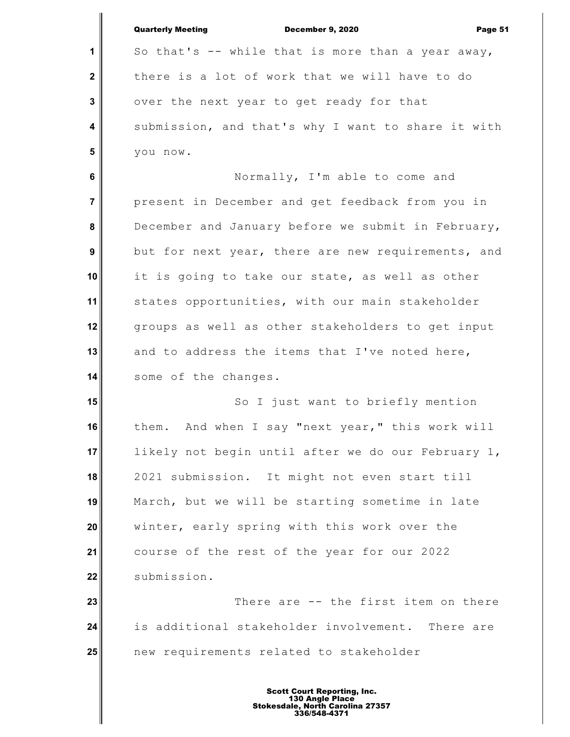|                  | <b>Quarterly Meeting</b><br><b>December 9, 2020</b><br>Page 51 |
|------------------|----------------------------------------------------------------|
| 1                | So that's -- while that is more than a year away,              |
| $\mathbf{2}$     | there is a lot of work that we will have to do                 |
| $\mathbf{3}$     | over the next year to get ready for that                       |
| $\boldsymbol{4}$ | submission, and that's why I want to share it with             |
| 5                | you now.                                                       |
| 6                | Normally, I'm able to come and                                 |
| $\overline{7}$   | present in December and get feedback from you in               |
| 8                | December and January before we submit in February,             |
| 9                | but for next year, there are new requirements, and             |
| 10               | it is going to take our state, as well as other                |
| 11               | states opportunities, with our main stakeholder                |
| 12               | groups as well as other stakeholders to get input              |
| 13               | and to address the items that I've noted here,                 |
| 14               | some of the changes.                                           |
| 15               | So I just want to briefly mention                              |
| 16               | them. And when I say "next year," this work will               |
| 17               | likely not begin until after we do our February 1,             |
| 18               | 2021 submission. It might not even start till                  |
| 19               | March, but we will be starting sometime in late                |
| 20               | winter, early spring with this work over the                   |
| 21               | course of the rest of the year for our 2022                    |
| 22               | submission.                                                    |
| 23               | There are -- the first item on there                           |
| 24               | is additional stakeholder involvement. There are               |
| 25               | new requirements related to stakeholder                        |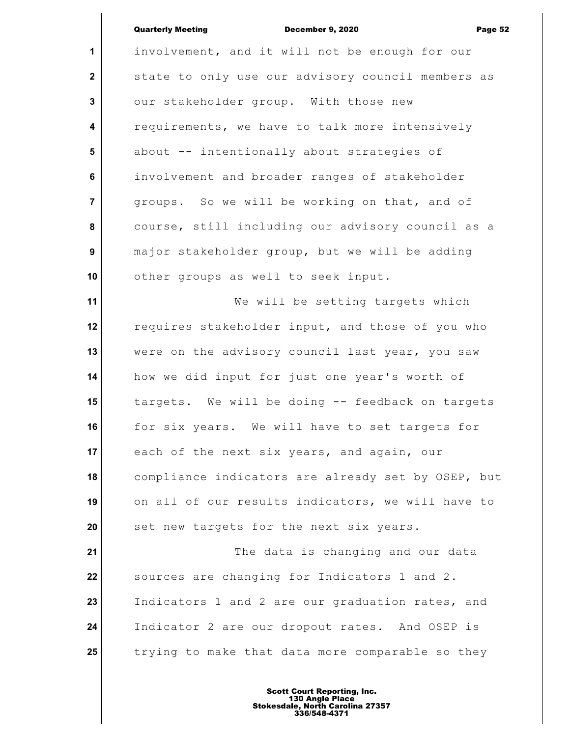**1 2 3 4 5 6 7 8 9 10 11 12 13 14 15 16 17 18 19 20 21 22 23 24 25** involvement, and it will not be enough for our state to only use our advisory council members as our stakeholder group. With those new requirements, we have to talk more intensively about -- intentionally about strategies of involvement and broader ranges of stakeholder groups. So we will be working on that, and of course, still including our advisory council as a major stakeholder group, but we will be adding other groups as well to seek input. We will be setting targets which requires stakeholder input, and those of you who were on the advisory council last year, you saw how we did input for just one year's worth of targets. We will be doing -- feedback on targets for six years. We will have to set targets for each of the next six years, and again, our compliance indicators are already set by OSEP, but on all of our results indicators, we will have to set new targets for the next six years. The data is changing and our data sources are changing for Indicators 1 and 2. Indicators 1 and 2 are our graduation rates, and Indicator 2 are our dropout rates. And OSEP is trying to make that data more comparable so they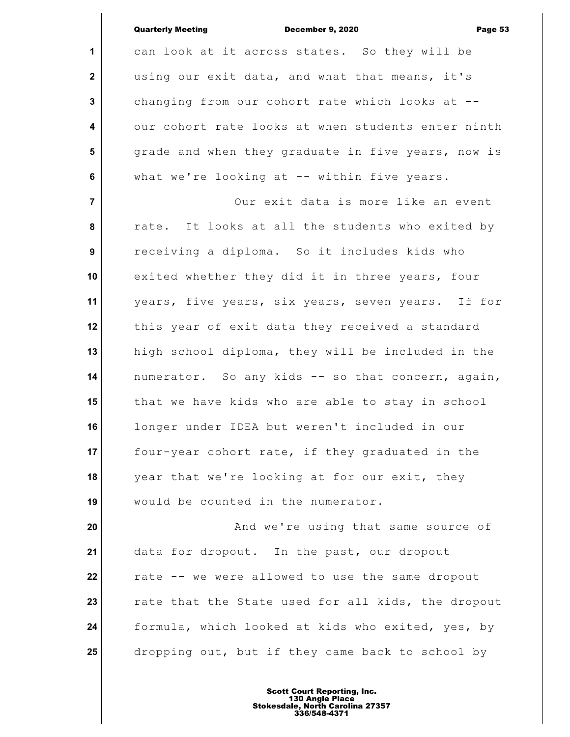| <b>Quarterly Meeting</b> | <b>December 9, 2020</b> | Page 53 |
|--------------------------|-------------------------|---------|
|                          |                         |         |

**1 2 3 4 5 6 7 8 9 10 11 12 13 14 15 16 17 18 19 20 21 22 23** can look at it across states. So they will be using our exit data, and what that means, it's changing from our cohort rate which looks at - our cohort rate looks at when students enter ninth grade and when they graduate in five years, now is what we're looking at -- within five years. Our exit data is more like an event rate. It looks at all the students who exited by receiving a diploma. So it includes kids who exited whether they did it in three years, four years, five years, six years, seven years. If for this year of exit data they received a standard high school diploma, they will be included in the numerator. So any kids -- so that concern, again, that we have kids who are able to stay in school longer under IDEA but weren't included in our four-year cohort rate, if they graduated in the year that we're looking at for our exit, they would be counted in the numerator. And we're using that same source of data for dropout. In the past, our dropout rate -- we were allowed to use the same dropout rate that the State used for all kids, the dropout

**24 25** formula, which looked at kids who exited, yes, by dropping out, but if they came back to school by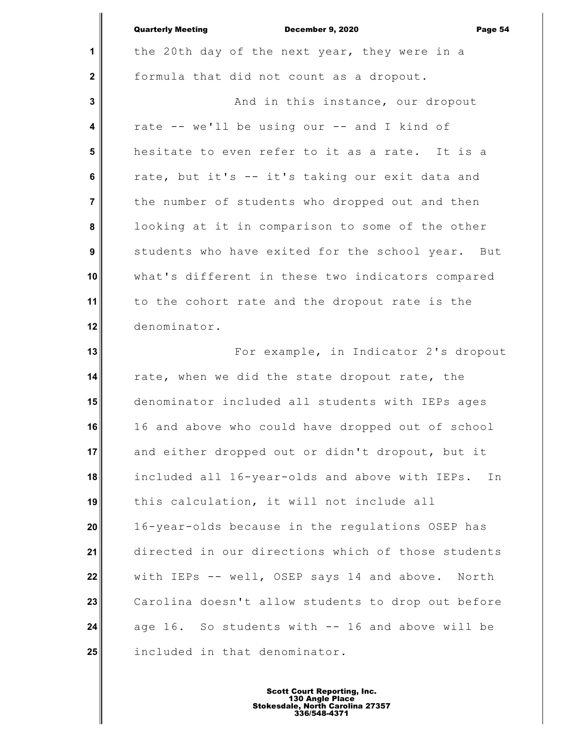|                         | <b>Quarterly Meeting</b><br><b>December 9, 2020</b><br>Page 54 |
|-------------------------|----------------------------------------------------------------|
| 1                       | the 20th day of the next year, they were in a                  |
| $\mathbf{2}$            | formula that did not count as a dropout.                       |
| $\mathbf{3}$            | And in this instance, our dropout                              |
| $\overline{\mathbf{4}}$ | rate -- we'll be using our -- and I kind of                    |
| $5\phantom{1}$          | hesitate to even refer to it as a rate. It is a                |
| 6                       | rate, but it's -- it's taking our exit data and                |
| $\overline{7}$          | the number of students who dropped out and then                |
| 8                       | looking at it in comparison to some of the other               |
| 9                       | students who have exited for the school year. But              |
| 10                      | what's different in these two indicators compared              |
| 11                      | to the cohort rate and the dropout rate is the                 |
| 12                      | denominator.                                                   |
| 13                      | For example, in Indicator 2's dropout                          |
| 14                      | rate, when we did the state dropout rate, the                  |
| 15                      | denominator included all students with IEPs ages               |
| 16                      | 16 and above who could have dropped out of school              |
| 17                      | and either dropped out or didn't dropout, but it               |
| 18                      | included all 16-year-olds and above with IEPs.<br>In           |
| 19                      | this calculation, it will not include all                      |
| 20                      | 16-year-olds because in the regulations OSEP has               |
| 21                      | directed in our directions which of those students             |
| 22                      | with IEPs -- well, OSEP says 14 and above. North               |
| 23                      | Carolina doesn't allow students to drop out before             |
| 24                      | age 16. So students with -- 16 and above will be               |
| 25                      | included in that denominator.                                  |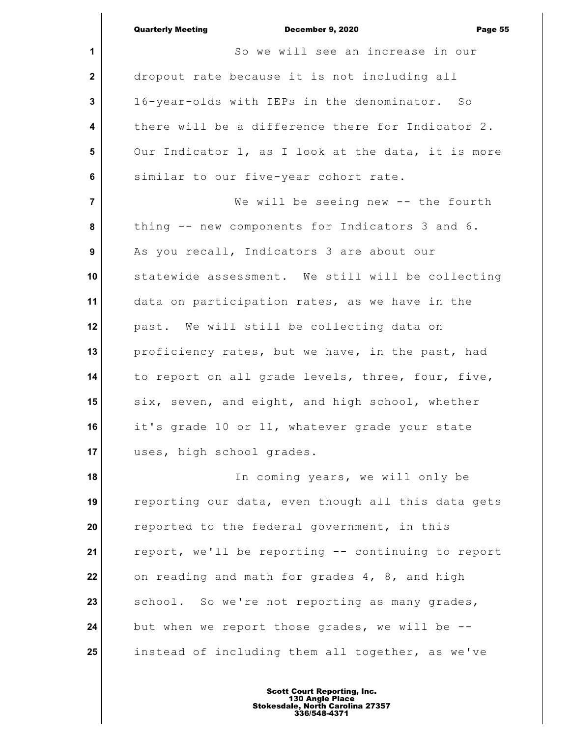|                | <b>Quarterly Meeting</b><br>December 9, 2020<br>Page 55 |
|----------------|---------------------------------------------------------|
| 1              | So we will see an increase in our                       |
| $\mathbf{2}$   | dropout rate because it is not including all            |
| 3              | 16-year-olds with IEPs in the denominator. So           |
| 4              | there will be a difference there for Indicator 2.       |
| 5              | Our Indicator 1, as I look at the data, it is more      |
| 6              | similar to our five-year cohort rate.                   |
| $\overline{7}$ | We will be seeing new -- the fourth                     |
| 8              | thing -- new components for Indicators 3 and 6.         |
| 9              | As you recall, Indicators 3 are about our               |
| 10             | statewide assessment. We still will be collecting       |
| 11             | data on participation rates, as we have in the          |
| 12             | past. We will still be collecting data on               |
| 13             | proficiency rates, but we have, in the past, had        |
| 14             | to report on all grade levels, three, four, five,       |
| 15             | six, seven, and eight, and high school, whether         |
| 16             | it's grade 10 or 11, whatever grade your state          |
| 17             | uses, high school grades.                               |
| 18             | In coming years, we will only be                        |
| 19             | reporting our data, even though all this data gets      |
| 20             | reported to the federal government, in this             |

**21 22 23 24 25** report, we'll be reporting -- continuing to report on reading and math for grades 4, 8, and high school. So we're not reporting as many grades, but when we report those grades, we will be - instead of including them all together, as we've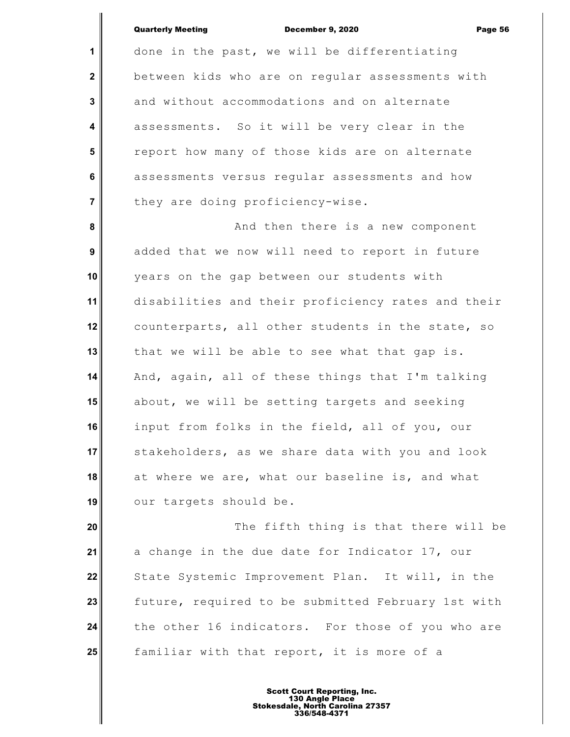**1**

 **2**

 **3**

 **4**

 **5**

 **6**

 **7**

done in the past, we will be differentiating between kids who are on regular assessments with and without accommodations and on alternate assessments. So it will be very clear in the report how many of those kids are on alternate assessments versus regular assessments and how they are doing proficiency-wise.

 **8 9 10 11 12 13 14 15 16 17 18 19** And then there is a new component added that we now will need to report in future years on the gap between our students with disabilities and their proficiency rates and their counterparts, all other students in the state, so that we will be able to see what that gap is. And, again, all of these things that I'm talking about, we will be setting targets and seeking input from folks in the field, all of you, our stakeholders, as we share data with you and look at where we are, what our baseline is, and what our targets should be.

**20 21 22 23 24 25** The fifth thing is that there will be a change in the due date for Indicator 17, our State Systemic Improvement Plan. It will, in the future, required to be submitted February 1st with the other 16 indicators. For those of you who are familiar with that report, it is more of a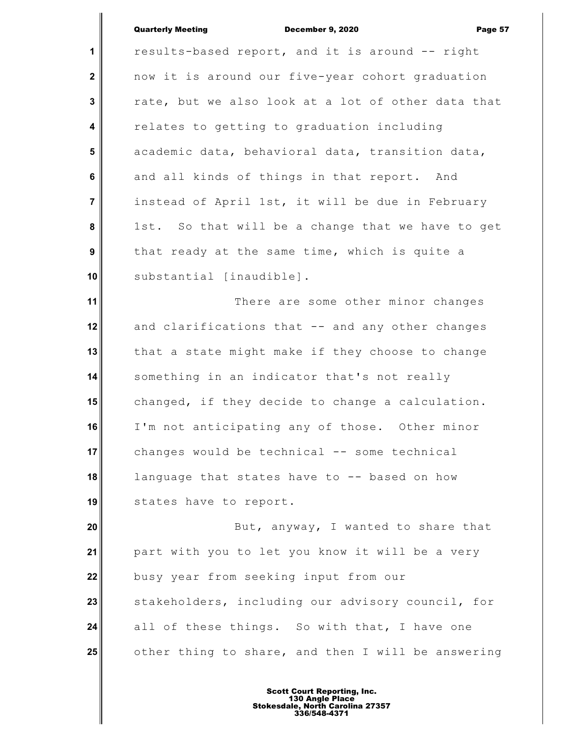**1 2 3 4 5 6 7 8 9 10 11 12 13 14 15 16 17 18 19** results-based report, and it is around -- right now it is around our five-year cohort graduation rate, but we also look at a lot of other data that relates to getting to graduation including academic data, behavioral data, transition data, and all kinds of things in that report. And instead of April 1st, it will be due in February 1st. So that will be a change that we have to get that ready at the same time, which is quite a substantial [inaudible]. There are some other minor changes and clarifications that -- and any other changes that a state might make if they choose to change something in an indicator that's not really changed, if they decide to change a calculation. I'm not anticipating any of those. Other minor changes would be technical -- some technical language that states have to -- based on how states have to report.

**20 21 22 23 24 25** But, anyway, I wanted to share that part with you to let you know it will be a very busy year from seeking input from our stakeholders, including our advisory council, for all of these things. So with that, I have one other thing to share, and then I will be answering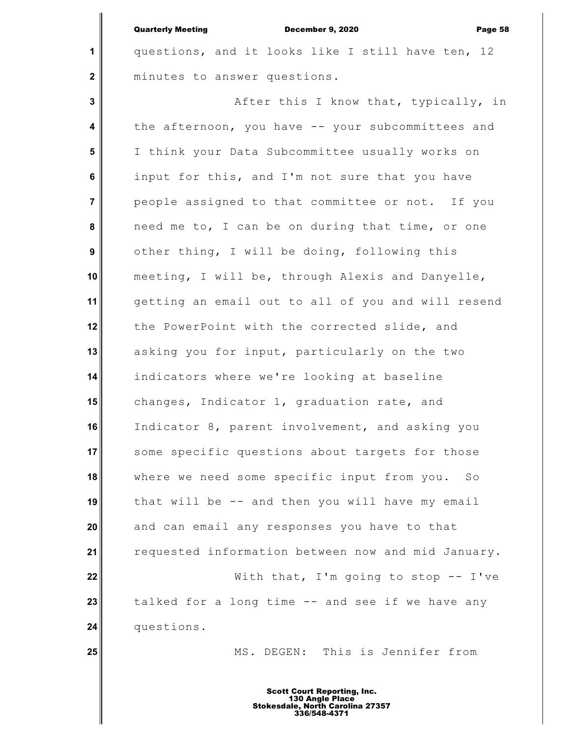**1**

 **2**

**25**

questions, and it looks like I still have ten, 12 minutes to answer questions.

 **3 4 5 6 7 8 9 10 11 12 13 14 15 16 17 18 19 20 21 22 23 24** After this I know that, typically, in the afternoon, you have -- your subcommittees and I think your Data Subcommittee usually works on input for this, and I'm not sure that you have people assigned to that committee or not. If you need me to, I can be on during that time, or one other thing, I will be doing, following this meeting, I will be, through Alexis and Danyelle, getting an email out to all of you and will resend the PowerPoint with the corrected slide, and asking you for input, particularly on the two indicators where we're looking at baseline changes, Indicator 1, graduation rate, and Indicator 8, parent involvement, and asking you some specific questions about targets for those where we need some specific input from you. So that will be -- and then you will have my email and can email any responses you have to that requested information between now and mid January. With that, I'm going to stop  $-$  I've talked for a long time -- and see if we have any questions.

MS. DEGEN: This is Jennifer from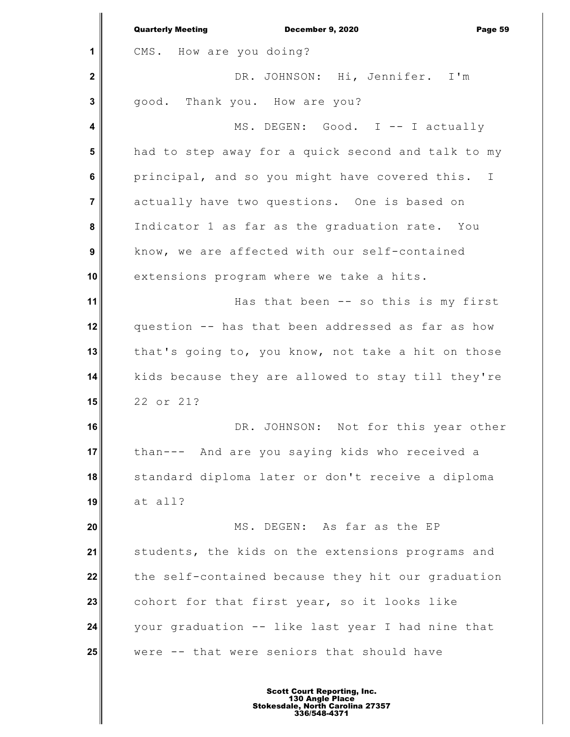|                         | <b>Quarterly Meeting</b><br><b>December 9, 2020</b><br>Page 59 |
|-------------------------|----------------------------------------------------------------|
| 1                       | CMS. How are you doing?                                        |
| $\mathbf{2}$            | DR. JOHNSON: Hi, Jennifer. I'm                                 |
| 3                       | good. Thank you. How are you?                                  |
| $\overline{\mathbf{4}}$ | MS. DEGEN: Good. I -- I actually                               |
| $5\phantom{1}$          | had to step away for a quick second and talk to my             |
| 6                       | principal, and so you might have covered this. I               |
| $\overline{7}$          | actually have two questions. One is based on                   |
| 8                       | Indicator 1 as far as the graduation rate. You                 |
| 9                       | know, we are affected with our self-contained                  |
| 10                      | extensions program where we take a hits.                       |
| 11                      | Has that been -- so this is my first                           |
| 12                      | question -- has that been addressed as far as how              |
| 13                      | that's going to, you know, not take a hit on those             |
| 14                      | kids because they are allowed to stay till they're             |
| 15                      | 22 or 21?                                                      |
| 16                      | DR. JOHNSON: Not for this year other                           |
| 17                      | than--- And are you saying kids who received a                 |
| 18                      | standard diploma later or don't receive a diploma              |
| 19                      | at all?                                                        |
| 20                      | MS. DEGEN: As far as the EP                                    |
| 21                      | students, the kids on the extensions programs and              |
| 22                      | the self-contained because they hit our graduation             |
| 23                      | cohort for that first year, so it looks like                   |
| 24                      | your graduation -- like last year I had nine that              |
| 25                      | were -- that were seniors that should have                     |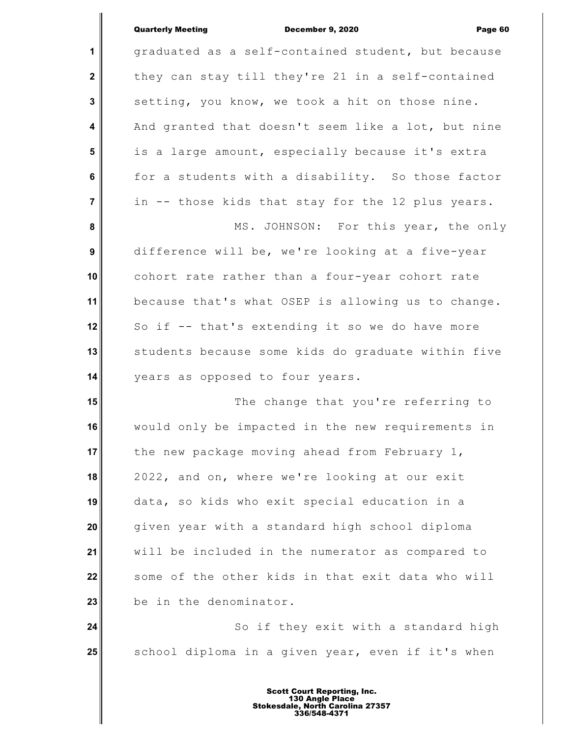|                  | <b>Quarterly Meeting</b><br>December 9, 2020<br>Page 60 |
|------------------|---------------------------------------------------------|
| 1                | graduated as a self-contained student, but because      |
| $\boldsymbol{2}$ | they can stay till they're 21 in a self-contained       |
| $\mathbf{3}$     | setting, you know, we took a hit on those nine.         |
| 4                | And granted that doesn't seem like a lot, but nine      |
| $5\phantom{1}$   | is a large amount, especially because it's extra        |
| 6                | for a students with a disability. So those factor       |
| $\overline{7}$   | in -- those kids that stay for the 12 plus years.       |
| 8                | MS. JOHNSON: For this year, the only                    |
| 9                | difference will be, we're looking at a five-year        |
| 10               | cohort rate rather than a four-year cohort rate         |
| 11               | because that's what OSEP is allowing us to change.      |
| 12               | So if -- that's extending it so we do have more         |
| 13               | students because some kids do graduate within five      |
| 14               | years as opposed to four years.                         |
| 15               | The change that you're referring to                     |
| 16               | would only be impacted in the new requirements in       |
| 17               | the new package moving ahead from February 1,           |
| 18               | 2022, and on, where we're looking at our exit           |
| 19               | data, so kids who exit special education in a           |
| 20               | given year with a standard high school diploma          |
| 21               | will be included in the numerator as compared to        |
| 22               | some of the other kids in that exit data who will       |
| 23               | be in the denominator.                                  |
| 24               | So if they exit with a standard high                    |
| 25               | school diploma in a given year, even if it's when       |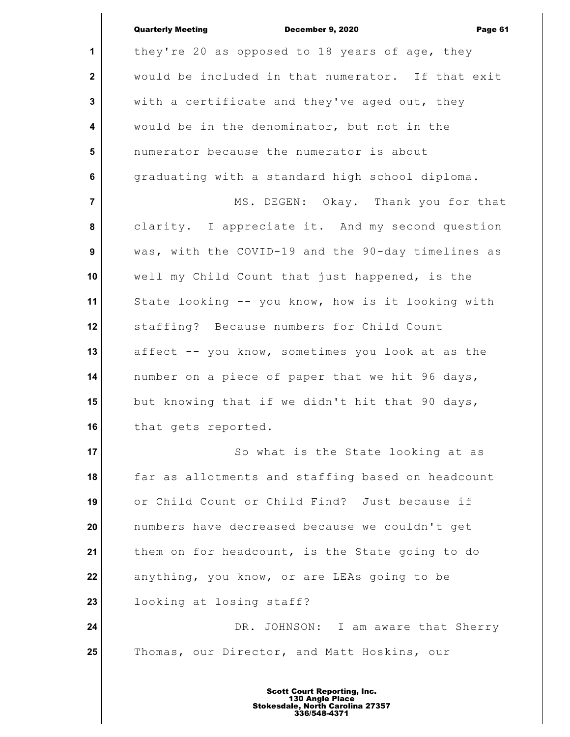| <b>Quarterly Meeting</b> | <b>December 9, 2020</b> | Page 61 |
|--------------------------|-------------------------|---------|

| $\mathbf{1}$     | they're 20 as opposed to 18 years of age, they     |
|------------------|----------------------------------------------------|
| $\mathbf 2$      | would be included in that numerator. If that exit  |
| $\mathbf 3$      | with a certificate and they've aged out, they      |
| 4                | would be in the denominator, but not in the        |
| 5                | numerator because the numerator is about           |
| $\bf 6$          | graduating with a standard high school diploma.    |
| $\overline{7}$   | MS. DEGEN: Okay. Thank you for that                |
| 8                | clarity. I appreciate it. And my second question   |
| $\boldsymbol{9}$ | was, with the COVID-19 and the 90-day timelines as |
| 10               | well my Child Count that just happened, is the     |
| 11               | State looking -- you know, how is it looking with  |
| 12               | staffing? Because numbers for Child Count          |
| 13               | affect -- you know, sometimes you look at as the   |
| 14               | number on a piece of paper that we hit 96 days,    |
| 15               | but knowing that if we didn't hit that 90 days,    |
| 16               | that gets reported.                                |
| 17 <sub>1</sub>  | So what is the State looking at as                 |
| 18               | far as allotments and staffing based on headcount  |
| 19               | or Child Count or Child Find? Just because if      |
| 20               | numbers have decreased because we couldn't get     |
| 21               | them on for headcount, is the State going to do    |
| 22               | anything, you know, or are LEAs going to be        |
| 23               | looking at losing staff?                           |
| 24               | DR. JOHNSON: I am aware that Sherry                |
| 25               | Thomas, our Director, and Matt Hoskins, our        |
|                  |                                                    |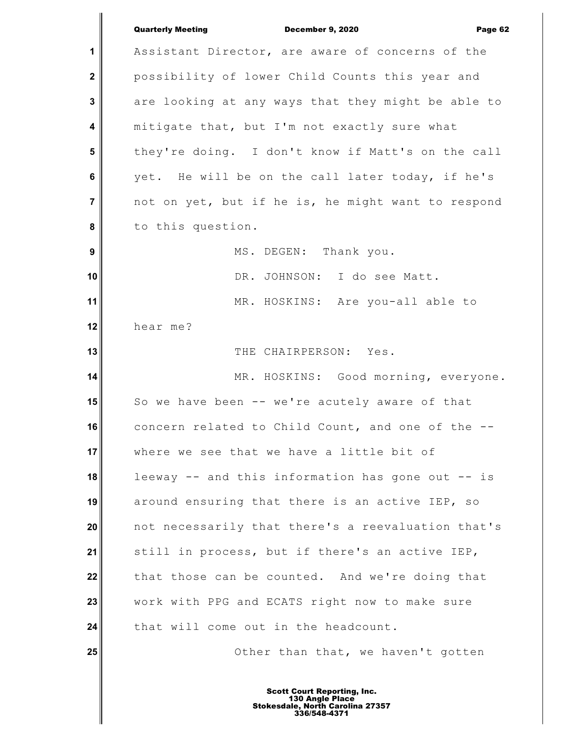|                         | <b>Quarterly Meeting</b><br><b>December 9, 2020</b><br>Page 62 |
|-------------------------|----------------------------------------------------------------|
| $\mathbf 1$             | Assistant Director, are aware of concerns of the               |
| $\mathbf{2}$            | possibility of lower Child Counts this year and                |
| 3                       | are looking at any ways that they might be able to             |
| $\overline{\mathbf{4}}$ | mitigate that, but I'm not exactly sure what                   |
| $5\phantom{1}$          | they're doing. I don't know if Matt's on the call              |
| 6                       | yet. He will be on the call later today, if he's               |
| $\overline{\mathbf{7}}$ | not on yet, but if he is, he might want to respond             |
| 8                       | to this question.                                              |
| $\boldsymbol{9}$        | MS. DEGEN: Thank you.                                          |
| 10                      | DR. JOHNSON: I do see Matt.                                    |
| 11                      | MR. HOSKINS: Are you-all able to                               |
| 12                      | hear me?                                                       |
| 13                      | THE CHAIRPERSON: Yes.                                          |
| 14                      | MR. HOSKINS: Good morning, everyone.                           |
| 15                      | So we have been -- we're acutely aware of that                 |
| 16                      | concern related to Child Count, and one of the -               |
| 17                      | where we see that we have a little bit of                      |
| 18                      | leeway -- and this information has gone out -- is              |
| 19                      | around ensuring that there is an active IEP, so                |
| 20                      | not necessarily that there's a reevaluation that's             |
| 21                      | still in process, but if there's an active IEP,                |
| 22                      | that those can be counted. And we're doing that                |
| 23                      | work with PPG and ECATS right now to make sure                 |
| 24                      | that will come out in the headcount.                           |
| 25                      | Other than that, we haven't gotten                             |
|                         |                                                                |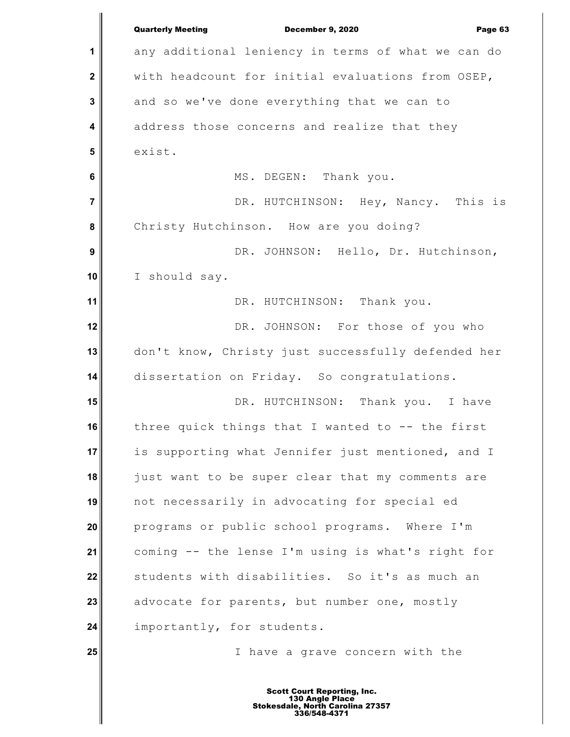|                         | <b>Quarterly Meeting</b><br>December 9, 2020<br>Page 63 |
|-------------------------|---------------------------------------------------------|
| 1                       | any additional leniency in terms of what we can do      |
| $\mathbf{2}$            | with headcount for initial evaluations from OSEP,       |
| $\mathbf 3$             | and so we've done everything that we can to             |
| $\overline{\mathbf{4}}$ | address those concerns and realize that they            |
| 5                       | exist.                                                  |
| $6\phantom{1}$          | MS. DEGEN: Thank you.                                   |
| $\overline{7}$          | DR. HUTCHINSON: Hey, Nancy. This is                     |
| 8                       | Christy Hutchinson. How are you doing?                  |
| 9                       | DR. JOHNSON: Hello, Dr. Hutchinson,                     |
| 10                      | I should say.                                           |
| 11                      | DR. HUTCHINSON: Thank you.                              |
| 12                      | DR. JOHNSON: For those of you who                       |
| 13                      | don't know, Christy just successfully defended her      |
| 14                      | dissertation on Friday. So congratulations.             |
| 15                      | DR. HUTCHINSON: Thank you. I have                       |
| 16                      | three quick things that I wanted to $-$ - the first     |
| 17                      | is supporting what Jennifer just mentioned, and I       |
| 18                      | just want to be super clear that my comments are        |
| 19                      | not necessarily in advocating for special ed            |
| 20                      | programs or public school programs. Where I'm           |
| 21                      | coming -- the lense I'm using is what's right for       |
| 22                      | students with disabilities. So it's as much an          |
| 23                      | advocate for parents, but number one, mostly            |
| 24                      | importantly, for students.                              |
| 25                      | I have a grave concern with the                         |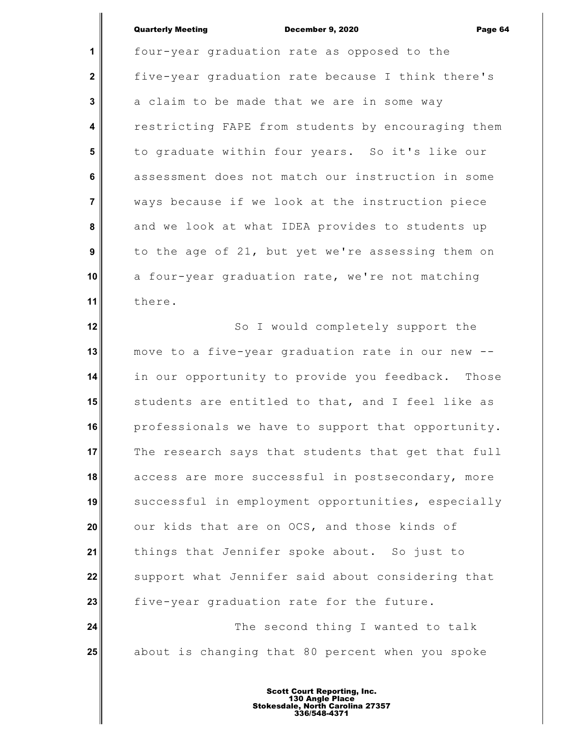**1 2 3 4 5 6 7 8 9 10 11** four-year graduation rate as opposed to the five-year graduation rate because I think there's a claim to be made that we are in some way restricting FAPE from students by encouraging them to graduate within four years. So it's like our assessment does not match our instruction in some ways because if we look at the instruction piece and we look at what IDEA provides to students up to the age of 21, but yet we're assessing them on a four-year graduation rate, we're not matching there.

**12 13 14 15 16 17 18 19 20 21 22 23 24** So I would completely support the move to a five-year graduation rate in our new - in our opportunity to provide you feedback. Those students are entitled to that, and I feel like as professionals we have to support that opportunity. The research says that students that get that full access are more successful in postsecondary, more successful in employment opportunities, especially our kids that are on OCS, and those kinds of things that Jennifer spoke about. So just to support what Jennifer said about considering that five-year graduation rate for the future. The second thing I wanted to talk

about is changing that 80 percent when you spoke

**25**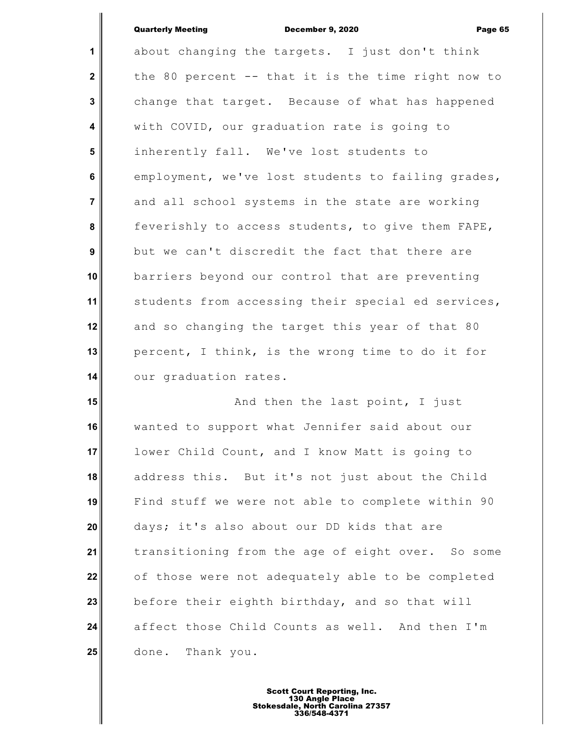**1 2 3 4 5 6 7 8 9 10 11 12 13 14 15 16** about changing the targets. I just don't think the 80 percent -- that it is the time right now to change that target. Because of what has happened with COVID, our graduation rate is going to inherently fall. We've lost students to employment, we've lost students to failing grades, and all school systems in the state are working feverishly to access students, to give them FAPE, but we can't discredit the fact that there are barriers beyond our control that are preventing students from accessing their special ed services, and so changing the target this year of that 80 percent, I think, is the wrong time to do it for our graduation rates. And then the last point, I just wanted to support what Jennifer said about our lower Child Count, and I know Matt is going to address this. But it's not just about the Child

**17 18 19 20 21 22 23 24 25** Find stuff we were not able to complete within 90 days; it's also about our DD kids that are transitioning from the age of eight over. So some of those were not adequately able to be completed before their eighth birthday, and so that will affect those Child Counts as well. And then I'm done. Thank you.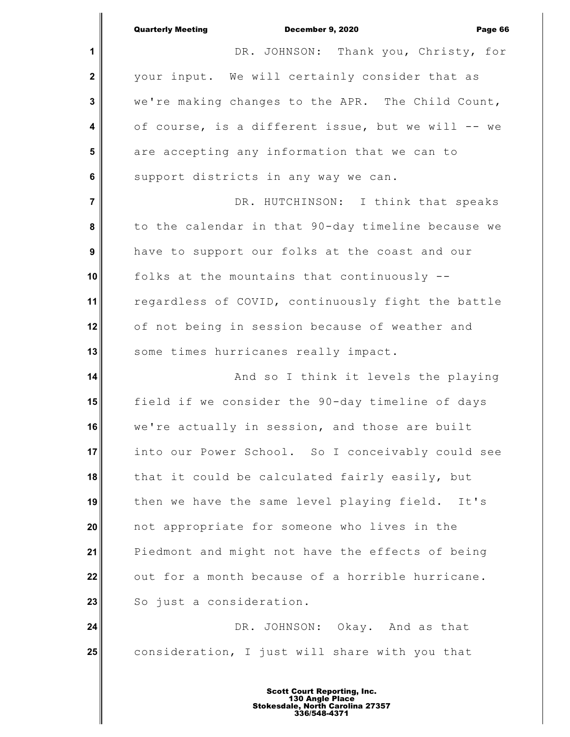|                | <b>Quarterly Meeting</b><br>December 9, 2020<br>Page 66 |
|----------------|---------------------------------------------------------|
| 1              | DR. JOHNSON: Thank you, Christy, for                    |
| $\mathbf{2}$   | your input. We will certainly consider that as          |
| 3              | we're making changes to the APR. The Child Count,       |
| 4              | of course, is a different issue, but we will -- we      |
| 5              | are accepting any information that we can to            |
| $6\phantom{1}$ | support districts in any way we can.                    |
| $\overline{7}$ | DR. HUTCHINSON: I think that speaks                     |
| 8              | to the calendar in that 90-day timeline because we      |
| 9              | have to support our folks at the coast and our          |
| 10             | folks at the mountains that continuously --             |
| 11             | regardless of COVID, continuously fight the battle      |
| 12             | of not being in session because of weather and          |
| 13             | some times hurricanes really impact.                    |
| 14             | And so I think it levels the playing                    |
| 15             | field if we consider the 90-day timeline of days        |
| 16             | we're actually in session, and those are built          |
| 17             | into our Power School. So I conceivably could see       |
| 18             | that it could be calculated fairly easily, but          |
| 19             | then we have the same level playing field. It's         |
| 20             | not appropriate for someone who lives in the            |
| 21             | Piedmont and might not have the effects of being        |
| 22             | out for a month because of a horrible hurricane.        |
| 23             | So just a consideration.                                |
| 24             | DR. JOHNSON: Okay. And as that                          |
| 25             | consideration, I just will share with you that          |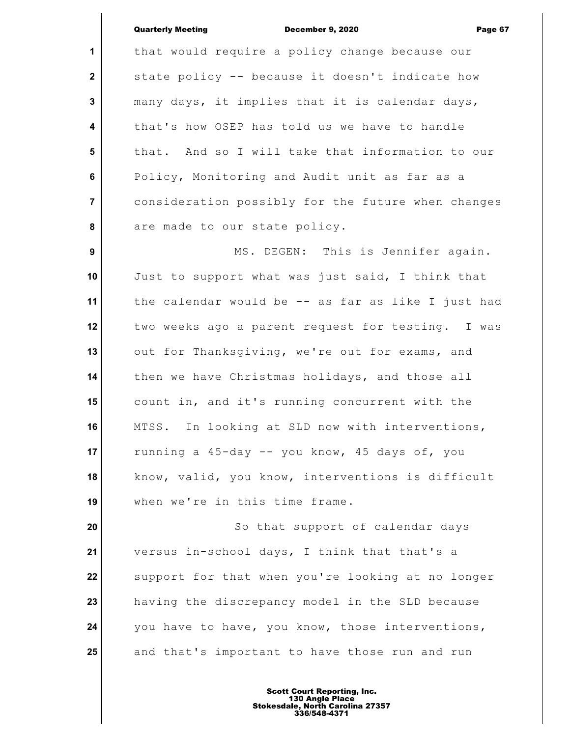**1 2 3 4 5 6 7 8** that would require a policy change because our state policy -- because it doesn't indicate how many days, it implies that it is calendar days, that's how OSEP has told us we have to handle that. And so I will take that information to our Policy, Monitoring and Audit unit as far as a consideration possibly for the future when changes are made to our state policy.

 **9 10 11 12 13 14 15 16 17 18 19** MS. DEGEN: This is Jennifer again. Just to support what was just said, I think that the calendar would be -- as far as like I just had two weeks ago a parent request for testing. I was out for Thanksgiving, we're out for exams, and then we have Christmas holidays, and those all count in, and it's running concurrent with the MTSS. In looking at SLD now with interventions, running a 45-day -- you know, 45 days of, you know, valid, you know, interventions is difficult when we're in this time frame.

**20 21 22 23 24 25** So that support of calendar days versus in-school days, I think that that's a support for that when you're looking at no longer having the discrepancy model in the SLD because you have to have, you know, those interventions, and that's important to have those run and run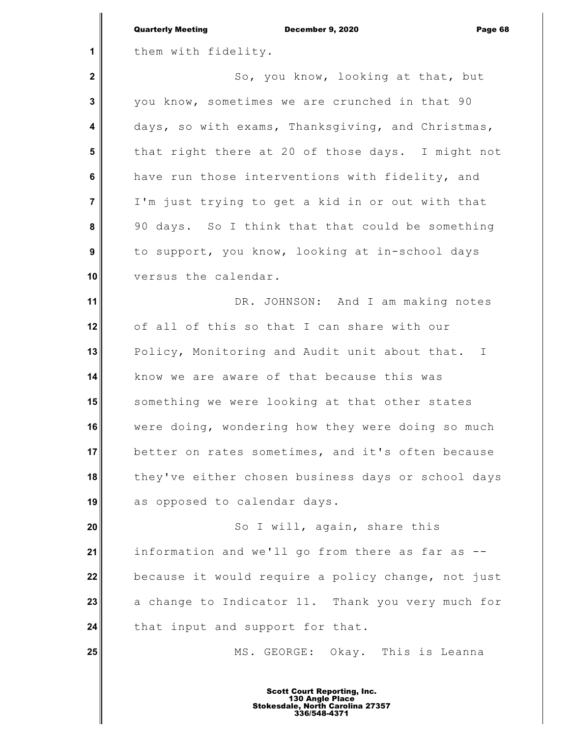|                  | <b>Quarterly Meeting</b><br><b>December 9, 2020</b><br>Page 68 |
|------------------|----------------------------------------------------------------|
| 1                | them with fidelity.                                            |
| $\mathbf{2}$     | So, you know, looking at that, but                             |
| 3                | you know, sometimes we are crunched in that 90                 |
| 4                | days, so with exams, Thanksgiving, and Christmas,              |
| 5                | that right there at 20 of those days. I might not              |
| 6                | have run those interventions with fidelity, and                |
| $\overline{7}$   | I'm just trying to get a kid in or out with that               |
| 8                | 90 days. So I think that that could be something               |
| $\boldsymbol{9}$ | to support, you know, looking at in-school days                |
| 10               | versus the calendar.                                           |
| 11               | DR. JOHNSON: And I am making notes                             |
| 12               | of all of this so that I can share with our                    |
| 13               | Policy, Monitoring and Audit unit about that. I                |
| 14               | know we are aware of that because this was                     |
| 15               | something we were looking at that other states                 |
| 16               | were doing, wondering how they were doing so much              |
| 17               | better on rates sometimes, and it's often because              |
| 18               | they've either chosen business days or school days             |
| 19               | as opposed to calendar days.                                   |
| 20               | So I will, again, share this                                   |
| 21               | information and we'll go from there as far as                  |
| 22               | because it would require a policy change, not just             |
| 23               | a change to Indicator 11. Thank you very much for              |
| 24               | that input and support for that.                               |
| 25               | MS. GEORGE: Okay. This is Leanna                               |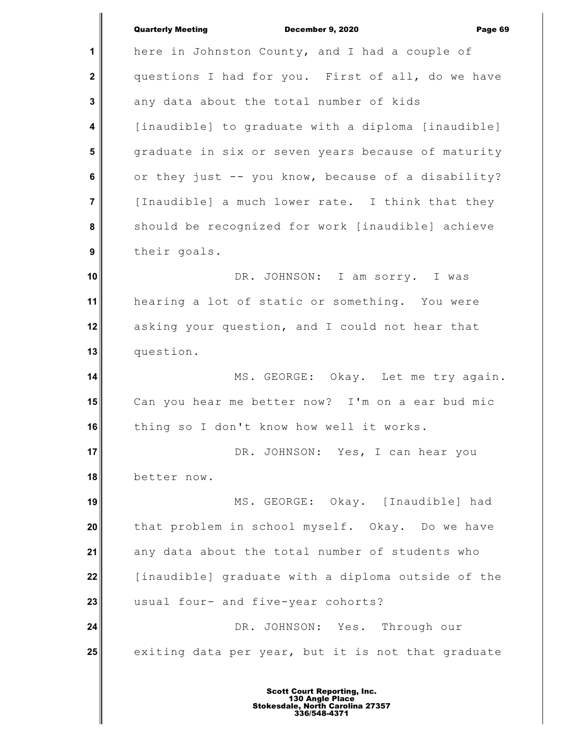| <b>Quarterly Meeting</b> |  |  |
|--------------------------|--|--|
|--------------------------|--|--|

December 9, 2020 Page 69

**1 2 3 4 5 6 7 8 9 10 11 12 13 14 15 16 17 18 19 20 21 22 23 24 25** here in Johnston County, and I had a couple of questions I had for you. First of all, do we have any data about the total number of kids [inaudible] to graduate with a diploma [inaudible] graduate in six or seven years because of maturity or they just -- you know, because of a disability? [Inaudible] a much lower rate. I think that they should be recognized for work [inaudible] achieve their goals. DR. JOHNSON: I am sorry. I was hearing a lot of static or something. You were asking your question, and I could not hear that question. MS. GEORGE: Okay. Let me try again. Can you hear me better now? I'm on a ear bud mic thing so I don't know how well it works. DR. JOHNSON: Yes, I can hear you better now. MS. GEORGE: Okay. [Inaudible] had that problem in school myself. Okay. Do we have any data about the total number of students who [inaudible] graduate with a diploma outside of the usual four- and five-year cohorts? DR. JOHNSON: Yes. Through our exiting data per year, but it is not that graduate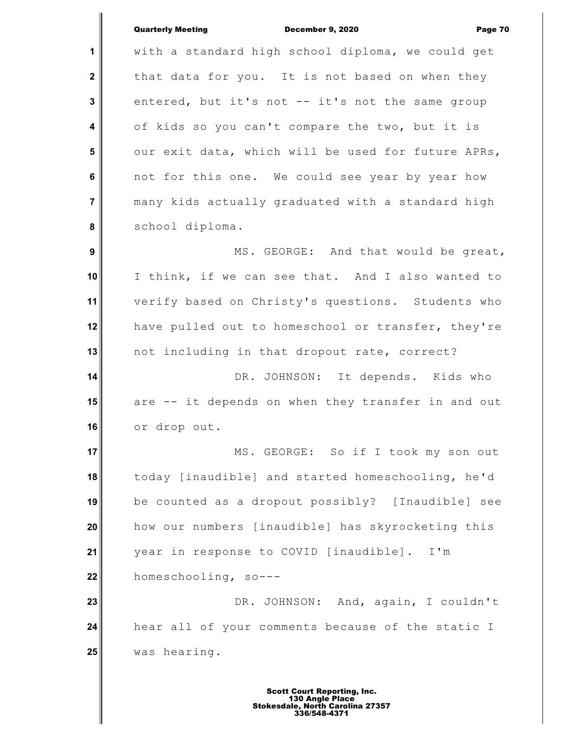**1 2 3 4 5 6 7 8 9 10 11 12 13 14 15 16 17 18 19 20 21 22 23 24 25** with a standard high school diploma, we could get that data for you. It is not based on when they entered, but it's not -- it's not the same group of kids so you can't compare the two, but it is our exit data, which will be used for future APRs, not for this one. We could see year by year how many kids actually graduated with a standard high school diploma. MS. GEORGE: And that would be great, I think, if we can see that. And I also wanted to verify based on Christy's questions. Students who have pulled out to homeschool or transfer, they're not including in that dropout rate, correct? DR. JOHNSON: It depends. Kids who are -- it depends on when they transfer in and out or drop out. MS. GEORGE: So if I took my son out today [inaudible] and started homeschooling, he'd be counted as a dropout possibly? [Inaudible] see how our numbers [inaudible] has skyrocketing this year in response to COVID [inaudible]. I'm homeschooling, so--- DR. JOHNSON: And, again, I couldn't hear all of your comments because of the static I was hearing.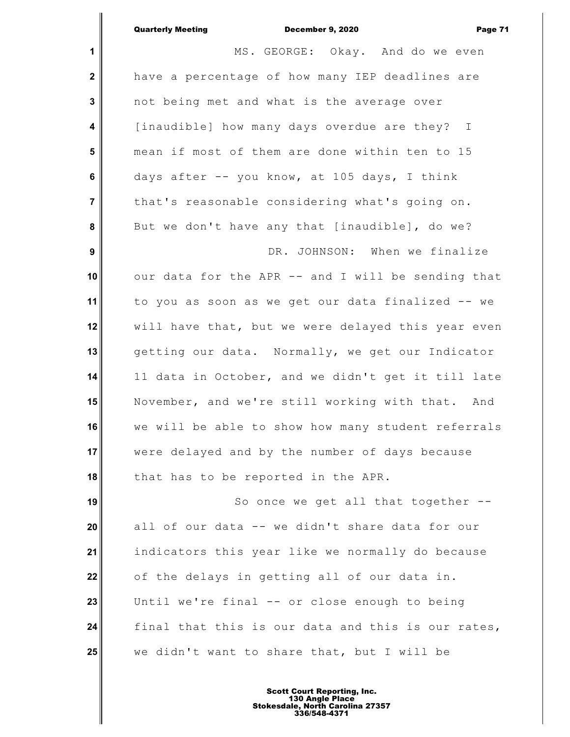|                         | <b>Quarterly Meeting</b><br><b>December 9, 2020</b><br>Page 71 |
|-------------------------|----------------------------------------------------------------|
| 1                       | MS. GEORGE: Okay. And do we even                               |
| $\mathbf 2$             | have a percentage of how many IEP deadlines are                |
| $\mathbf 3$             | not being met and what is the average over                     |
| $\overline{\mathbf{4}}$ | [inaudible] how many days overdue are they? I                  |
| 5                       | mean if most of them are done within ten to 15                 |
| $6\phantom{a}$          | days after -- you know, at 105 days, I think                   |
| $\overline{7}$          | that's reasonable considering what's going on.                 |
| 8                       | But we don't have any that [inaudible], do we?                 |
| $\boldsymbol{9}$        | DR. JOHNSON: When we finalize                                  |
| 10                      | our data for the APR -- and I will be sending that             |
| 11                      | to you as soon as we get our data finalized -- we              |
| 12                      | will have that, but we were delayed this year even             |
| 13                      | getting our data. Normally, we get our Indicator               |
| 14                      | 11 data in October, and we didn't get it till late             |
| 15                      | November, and we're still working with that. And               |
| 16                      | we will be able to show how many student referrals             |
| 17                      | were delayed and by the number of days because                 |
| 18                      | that has to be reported in the APR.                            |
| 19                      | So once we get all that together --                            |
| 20                      | all of our data -- we didn't share data for our                |
| 21                      | indicators this year like we normally do because               |
| 22                      | of the delays in getting all of our data in.                   |
| 23                      | Until we're final -- or close enough to being                  |
| 24                      | final that this is our data and this is our rates,             |
| 25                      | we didn't want to share that, but I will be                    |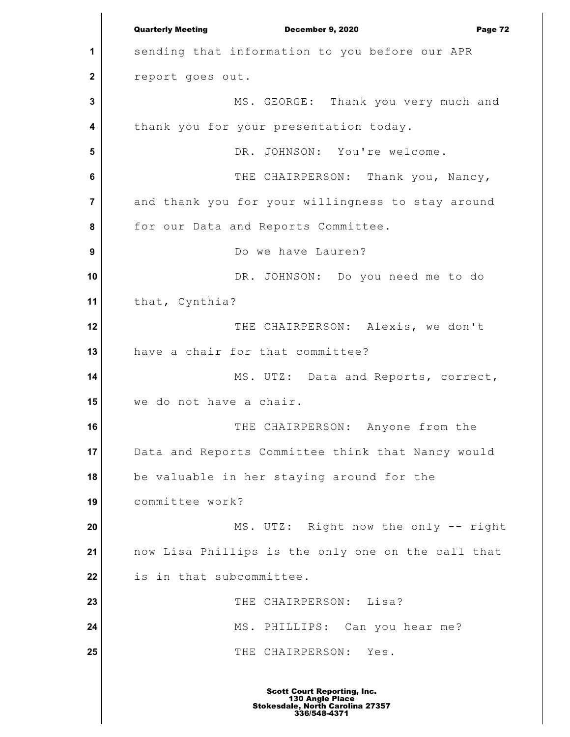**1 2 3 4 5 6 7 8 9 10 11 12 13 14 15 16 17 18 19 20 21 22 23 24 25** Quarterly Meeting December 9, 2020 Page 72 sending that information to you before our APR report goes out. MS. GEORGE: Thank you very much and thank you for your presentation today. DR. JOHNSON: You're welcome. THE CHAIRPERSON: Thank you, Nancy, and thank you for your willingness to stay around for our Data and Reports Committee. Do we have Lauren? DR. JOHNSON: Do you need me to do that, Cynthia? THE CHAIRPERSON: Alexis, we don't have a chair for that committee? MS. UTZ: Data and Reports, correct, we do not have a chair. THE CHAIRPERSON: Anyone from the Data and Reports Committee think that Nancy would be valuable in her staying around for the committee work? MS. UTZ: Right now the only -- right now Lisa Phillips is the only one on the call that is in that subcommittee. THE CHAIRPERSON: Lisa? MS. PHILLIPS: Can you hear me? THE CHAIRPERSON: Yes.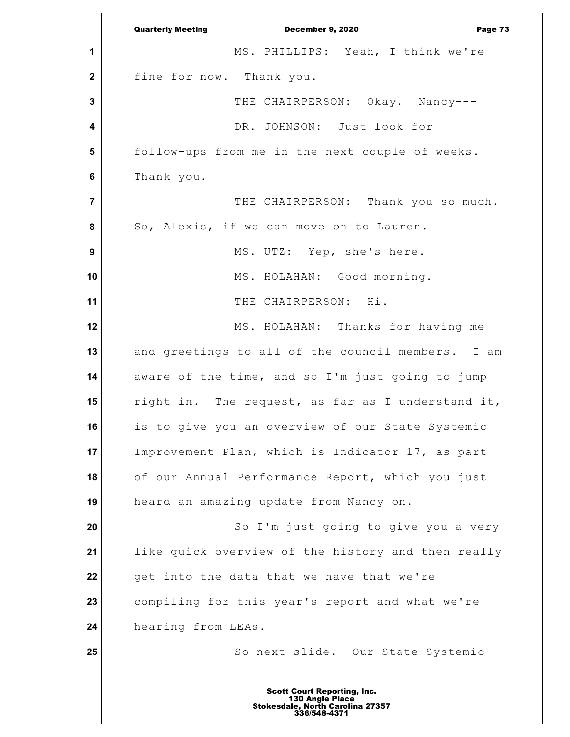**1 2 3 4 5 6 7 8 9 10 11 12 13 14 15 16 17 18 19 20 21 22 23 24 25** Quarterly Meeting December 9, 2020 Page 73 MS. PHILLIPS: Yeah, I think we're fine for now. Thank you. THE CHAIRPERSON: Okay. Nancy---DR. JOHNSON: Just look for follow-ups from me in the next couple of weeks. Thank you. THE CHAIRPERSON: Thank you so much. So, Alexis, if we can move on to Lauren. MS. UTZ: Yep, she's here. MS. HOLAHAN: Good morning. THE CHAIRPERSON: Hi. MS. HOLAHAN: Thanks for having me and greetings to all of the council members. I am aware of the time, and so I'm just going to jump right in. The request, as far as I understand it, is to give you an overview of our State Systemic Improvement Plan, which is Indicator 17, as part of our Annual Performance Report, which you just heard an amazing update from Nancy on. So I'm just going to give you a very like quick overview of the history and then really get into the data that we have that we're compiling for this year's report and what we're hearing from LEAs. So next slide. Our State Systemic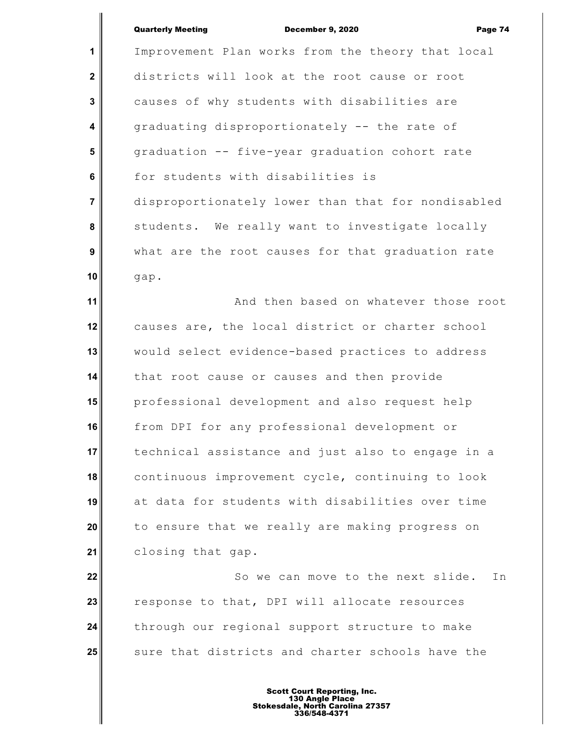**1 2 3 4 5 6 7 8 9 10** Improvement Plan works from the theory that local districts will look at the root cause or root causes of why students with disabilities are graduating disproportionately -- the rate of graduation -- five-year graduation cohort rate for students with disabilities is disproportionately lower than that for nondisabled students. We really want to investigate locally what are the root causes for that graduation rate gap.

**11 12 13 14 15 16 17 18 19 20 21** And then based on whatever those root causes are, the local district or charter school would select evidence-based practices to address that root cause or causes and then provide professional development and also request help from DPI for any professional development or technical assistance and just also to engage in a continuous improvement cycle, continuing to look at data for students with disabilities over time to ensure that we really are making progress on closing that gap.

**22 23 24 25** So we can move to the next slide. In response to that, DPI will allocate resources through our regional support structure to make sure that districts and charter schools have the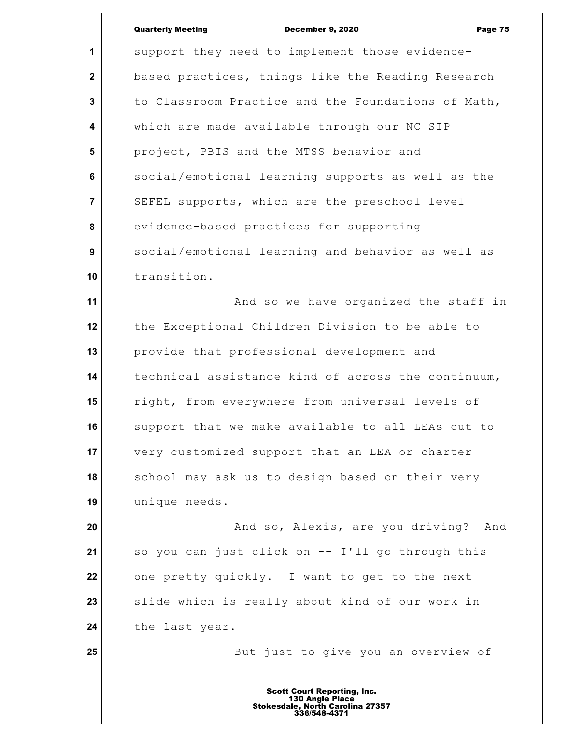**25**

**1 2 3 4 5 6 7 8 9 10** support they need to implement those evidencebased practices, things like the Reading Research to Classroom Practice and the Foundations of Math, which are made available through our NC SIP project, PBIS and the MTSS behavior and social/emotional learning supports as well as the SEFEL supports, which are the preschool level evidence-based practices for supporting social/emotional learning and behavior as well as transition.

**11 12 13 14 15 16 17 18 19** And so we have organized the staff in the Exceptional Children Division to be able to provide that professional development and technical assistance kind of across the continuum, right, from everywhere from universal levels of support that we make available to all LEAs out to very customized support that an LEA or charter school may ask us to design based on their very unique needs.

**20 21 22 23 24** And so, Alexis, are you driving? And so you can just click on -- I'll go through this one pretty quickly. I want to get to the next slide which is really about kind of our work in the last year.

But just to give you an overview of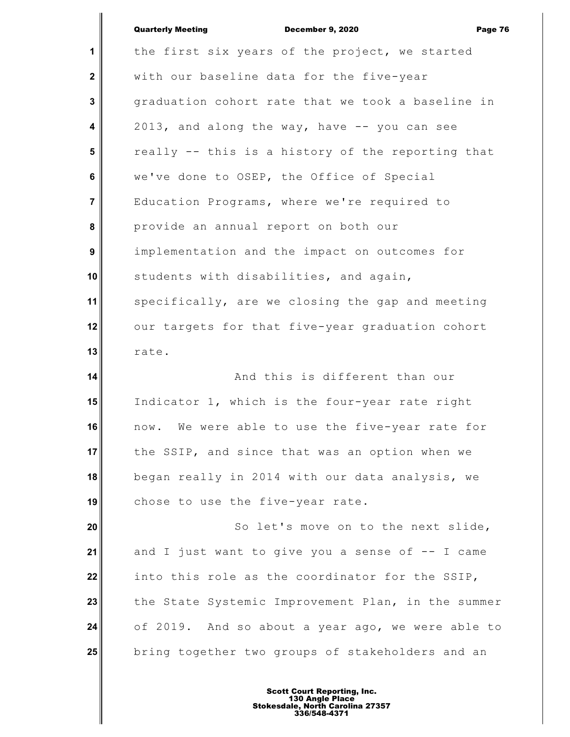|                | <b>Quarterly Meeting</b><br>December 9, 2020<br>Page 76 |
|----------------|---------------------------------------------------------|
| 1              | the first six years of the project, we started          |
| $\mathbf{2}$   | with our baseline data for the five-year                |
| 3              | graduation cohort rate that we took a baseline in       |
| 4              | 2013, and along the way, have -- you can see            |
| 5              | really -- this is a history of the reporting that       |
| 6              | we've done to OSEP, the Office of Special               |
| $\overline{7}$ | Education Programs, where we're required to             |
| 8              | provide an annual report on both our                    |
| 9              | implementation and the impact on outcomes for           |
| 10             | students with disabilities, and again,                  |
| 11             | specifically, are we closing the gap and meeting        |
| 12             | our targets for that five-year graduation cohort        |
| 13             | rate.                                                   |
| 14             | And this is different than our                          |
| 15             | Indicator 1, which is the four-year rate right          |
| 16             | now. We were able to use the five-year rate for         |
| 17             | the SSIP, and since that was an option when we          |
| 18             | began really in 2014 with our data analysis, we         |
| 19             | chose to use the five-year rate.                        |
| 20             | So let's move on to the next slide,                     |
| 21             | and I just want to give you a sense of -- I came        |
| 22             | into this role as the coordinator for the SSIP,         |
| 23             | the State Systemic Improvement Plan, in the summer      |
| 24             |                                                         |
|                | of 2019. And so about a year ago, we were able to       |
| 25             | bring together two groups of stakeholders and an        |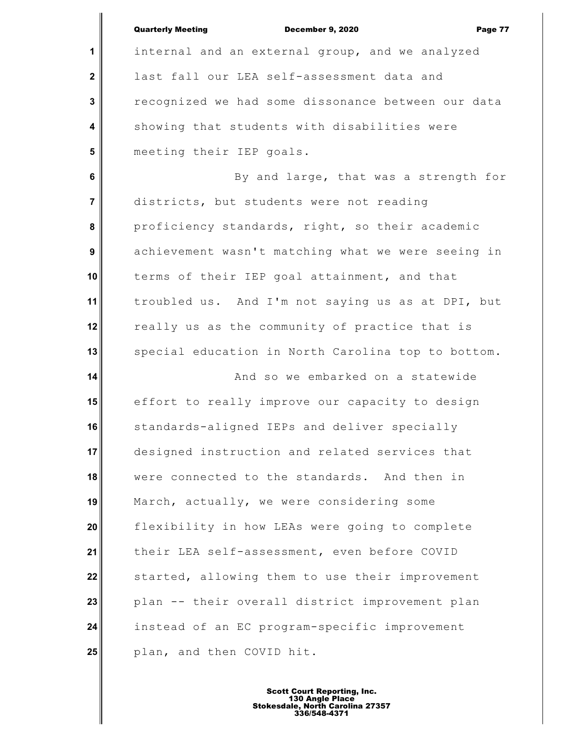|                  | <b>Quarterly Meeting</b><br><b>December 9, 2020</b><br>Page 77 |
|------------------|----------------------------------------------------------------|
| 1                | internal and an external group, and we analyzed                |
| $\mathbf 2$      | last fall our LEA self-assessment data and                     |
| 3                | recognized we had some dissonance between our data             |
| 4                | showing that students with disabilities were                   |
| 5                | meeting their IEP goals.                                       |
| 6                | By and large, that was a strength for                          |
| $\overline{7}$   | districts, but students were not reading                       |
| 8                | proficiency standards, right, so their academic                |
| $\boldsymbol{9}$ | achievement wasn't matching what we were seeing in             |
| 10               | terms of their IEP goal attainment, and that                   |
| 11               | troubled us. And I'm not saying us as at DPI, but              |
| 12               | really us as the community of practice that is                 |
| 13               | special education in North Carolina top to bottom.             |
| 14               | And so we embarked on a statewide                              |
| 15               | effort to really improve our capacity to design                |
| 16               | standards-aligned IEPs and deliver specially                   |
| 17               | designed instruction and related services that                 |
| 18               | were connected to the standards. And then in                   |
| 19               | March, actually, we were considering some                      |
| 20               | flexibility in how LEAs were going to complete                 |
| 21               | their LEA self-assessment, even before COVID                   |
| 22               | started, allowing them to use their improvement                |
| 23               | plan -- their overall district improvement plan                |
| 24               | instead of an EC program-specific improvement                  |
| 25               | plan, and then COVID hit.                                      |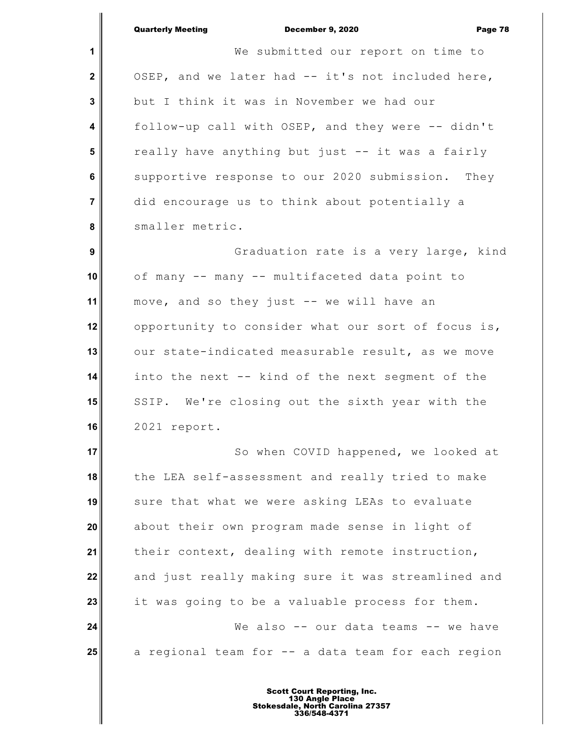|                  | <b>Quarterly Meeting</b><br><b>December 9, 2020</b><br>Page 78 |
|------------------|----------------------------------------------------------------|
| 1                | We submitted our report on time to                             |
| $\mathbf 2$      | OSEP, and we later had -- it's not included here,              |
| $\mathbf{3}$     | but I think it was in November we had our                      |
| 4                | follow-up call with OSEP, and they were -- didn't              |
| 5                | really have anything but just -- it was a fairly               |
| 6                | supportive response to our 2020 submission. They               |
| $\overline{7}$   | did encourage us to think about potentially a                  |
| 8                | smaller metric.                                                |
| $\boldsymbol{9}$ | Graduation rate is a very large, kind                          |
| 10               | of many -- many -- multifaceted data point to                  |
| 11               | move, and so they just -- we will have an                      |
| 12               | opportunity to consider what our sort of focus is,             |
| 13               | our state-indicated measurable result, as we move              |
| 14               | into the next -- kind of the next segment of the               |
| 15               | SSIP. We're closing out the sixth year with the                |
| 16               | 2021 report.                                                   |
| 17               | So when COVID happened, we looked at                           |
| 18               | the LEA self-assessment and really tried to make               |
| 19               | sure that what we were asking LEAs to evaluate                 |
| 20               | about their own program made sense in light of                 |
| 21               | their context, dealing with remote instruction,                |
| 22               | and just really making sure it was streamlined and             |
| 23               | it was going to be a valuable process for them.                |
| 24               | We also -- our data teams -- we have                           |
| 25               | a regional team for -- a data team for each region             |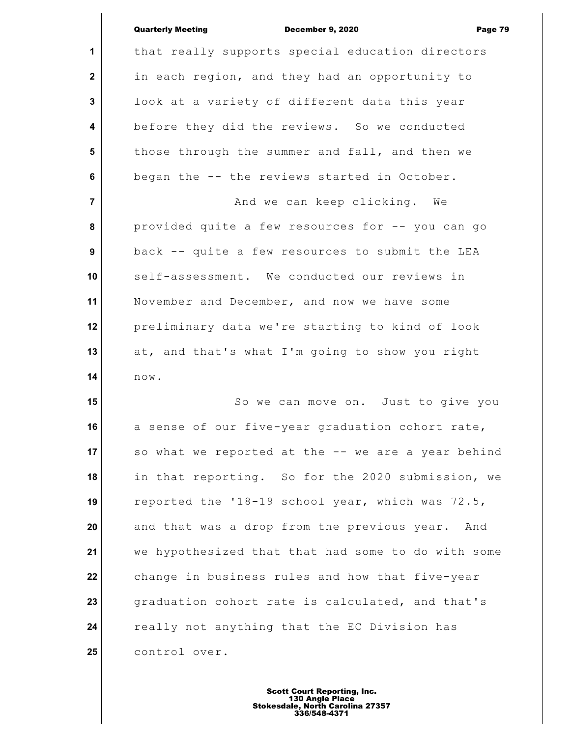**1 2 3 4 5 6 7 8 9 10 11 12 13 14 15 16 17 18 19 20 21 22** that really supports special education directors in each region, and they had an opportunity to look at a variety of different data this year before they did the reviews. So we conducted those through the summer and fall, and then we began the -- the reviews started in October. And we can keep clicking. We provided quite a few resources for -- you can go back -- quite a few resources to submit the LEA self-assessment. We conducted our reviews in November and December, and now we have some preliminary data we're starting to kind of look at, and that's what I'm going to show you right now. So we can move on. Just to give you a sense of our five-year graduation cohort rate, so what we reported at the -- we are a year behind in that reporting. So for the 2020 submission, we reported the '18-19 school year, which was 72.5, and that was a drop from the previous year. And we hypothesized that that had some to do with some change in business rules and how that five-year

**23 24 25** graduation cohort rate is calculated, and that's really not anything that the EC Division has control over.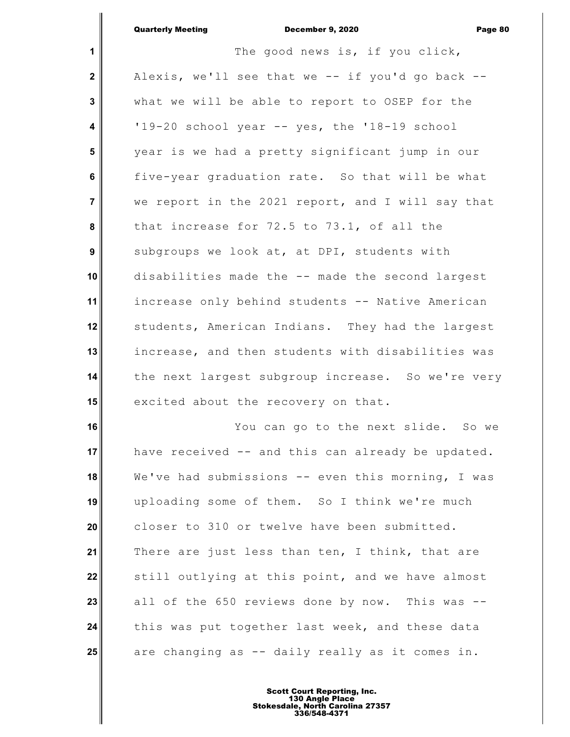|                         | <b>Quarterly Meeting</b><br>December 9, 2020<br>Page 80 |
|-------------------------|---------------------------------------------------------|
| 1                       | The good news is, if you click,                         |
| $\mathbf{2}$            | Alexis, we'll see that we -- if you'd go back --        |
| $\mathbf{3}$            | what we will be able to report to OSEP for the          |
| $\overline{\mathbf{4}}$ | '19-20 school year -- yes, the '18-19 school            |
| 5                       | year is we had a pretty significant jump in our         |
| $6\phantom{a}$          | five-year graduation rate. So that will be what         |
| $\overline{7}$          | we report in the 2021 report, and I will say that       |
| 8                       | that increase for 72.5 to 73.1, of all the              |
| $\boldsymbol{9}$        | subgroups we look at, at DPI, students with             |
| 10                      | disabilities made the -- made the second largest        |
| 11                      | increase only behind students -- Native American        |
| 12                      | students, American Indians. They had the largest        |
| 13                      | increase, and then students with disabilities was       |
| 14                      | the next largest subgroup increase. So we're very       |
| 15                      | excited about the recovery on that.                     |
| 16                      | You can go to the next slide. So we                     |
| 17                      | have received -- and this can already be updated.       |
| 18                      | We've had submissions -- even this morning, I was       |
| 19                      | uploading some of them. So I think we're much           |
| 20                      | closer to 310 or twelve have been submitted.            |
| 21                      | There are just less than ten, I think, that are         |
| 22                      | still outlying at this point, and we have almost        |
| 23                      | all of the 650 reviews done by now. This was --         |
| 24                      | this was put together last week, and these data         |
| 25                      | are changing as -- daily really as it comes in.         |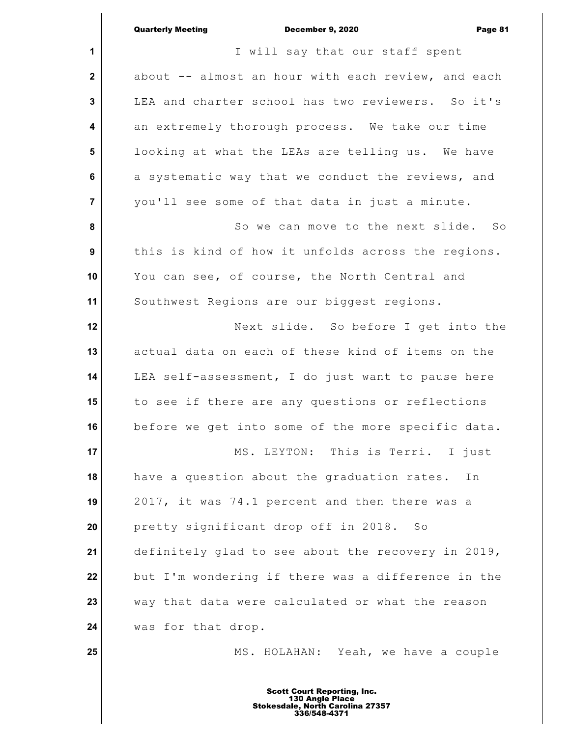|                | <b>Quarterly Meeting</b><br>December 9, 2020<br>Page 81 |
|----------------|---------------------------------------------------------|
| 1              | I will say that our staff spent                         |
| $\mathbf{2}$   | about -- almost an hour with each review, and each      |
| 3              | LEA and charter school has two reviewers. So it's       |
| 4              | an extremely thorough process. We take our time         |
| 5              | looking at what the LEAs are telling us. We have        |
| $6\phantom{1}$ | a systematic way that we conduct the reviews, and       |
| 7              | you'll see some of that data in just a minute.          |
| 8              | So we can move to the next slide. So                    |
| 9              | this is kind of how it unfolds across the regions.      |
| 10             | You can see, of course, the North Central and           |
| 11             | Southwest Regions are our biggest regions.              |
| 12             | Next slide. So before I get into the                    |
| 13             | actual data on each of these kind of items on the       |
| 14             | LEA self-assessment, I do just want to pause here       |
| 15             | to see if there are any questions or reflections        |
| 16             | before we get into some of the more specific data.      |
| 17             | MS. LEYTON: This is Terri. I just                       |
| 18             | have a question about the graduation rates.<br>In       |
| 19             | 2017, it was 74.1 percent and then there was a          |
| 20             | pretty significant drop off in 2018.<br>SO              |
| 21             | definitely glad to see about the recovery in 2019,      |
| 22             | but I'm wondering if there was a difference in the      |
| 23             | way that data were calculated or what the reason        |
| 24             | was for that drop.                                      |
| 25             | MS. HOLAHAN: Yeah, we have a couple                     |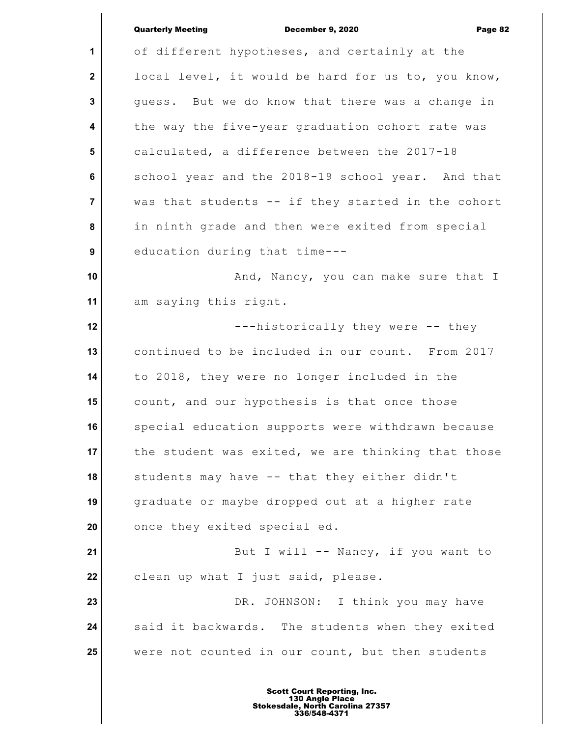|                         | <b>Quarterly Meeting</b><br>December 9, 2020<br>Page 82 |
|-------------------------|---------------------------------------------------------|
| 1                       | of different hypotheses, and certainly at the           |
| $\mathbf{2}$            | local level, it would be hard for us to, you know,      |
| 3                       | guess. But we do know that there was a change in        |
| $\overline{\mathbf{4}}$ | the way the five-year graduation cohort rate was        |
| $5\phantom{1}$          | calculated, a difference between the 2017-18            |
| 6                       | school year and the 2018-19 school year. And that       |
| $\overline{\mathbf{7}}$ | was that students -- if they started in the cohort      |
| 8                       | in ninth grade and then were exited from special        |
| 9                       | education during that time---                           |
| 10                      | And, Nancy, you can make sure that I                    |
| 11                      | am saying this right.                                   |
| 12                      | ---historically they were -- they                       |
| 13                      | continued to be included in our count. From 2017        |
| 14                      | to 2018, they were no longer included in the            |
| 15                      | count, and our hypothesis is that once those            |
| 16                      | special education supports were withdrawn because       |
| 17                      | the student was exited, we are thinking that those      |
| 18                      | students may have -- that they either didn't            |
| 19                      | graduate or maybe dropped out at a higher rate          |
| 20                      | once they exited special ed.                            |
| 21                      | But I will -- Nancy, if you want to                     |
| 22                      | clean up what I just said, please.                      |
| 23                      | DR. JOHNSON: I think you may have                       |
| 24                      | said it backwards. The students when they exited        |
| 25                      | were not counted in our count, but then students        |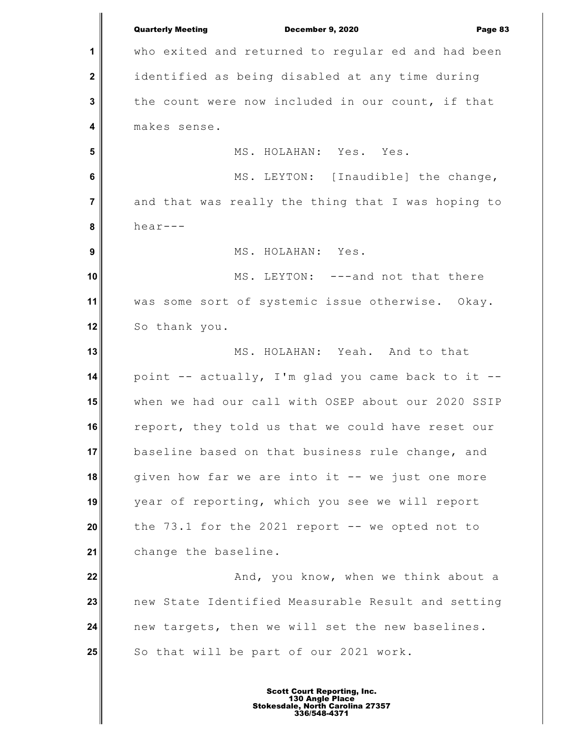**1 2 3 4 5 6 7 8 9 10 11 12 13 14 15 16 17 18 19 20 21 22 23 24 25** Quarterly Meeting December 9, 2020 Page 83 who exited and returned to regular ed and had been identified as being disabled at any time during the count were now included in our count, if that makes sense. MS. HOLAHAN: Yes. Yes. MS. LEYTON: [Inaudible] the change, and that was really the thing that I was hoping to hear--- MS. HOLAHAN: Yes. MS. LEYTON: ---and not that there was some sort of systemic issue otherwise. Okay. So thank you. MS. HOLAHAN: Yeah. And to that point  $-$  actually, I'm glad you came back to it  $$ when we had our call with OSEP about our 2020 SSIP report, they told us that we could have reset our baseline based on that business rule change, and given how far we are into it -- we just one more year of reporting, which you see we will report the  $73.1$  for the  $2021$  report  $-$  we opted not to change the baseline. And, you know, when we think about a new State Identified Measurable Result and setting new targets, then we will set the new baselines. So that will be part of our 2021 work.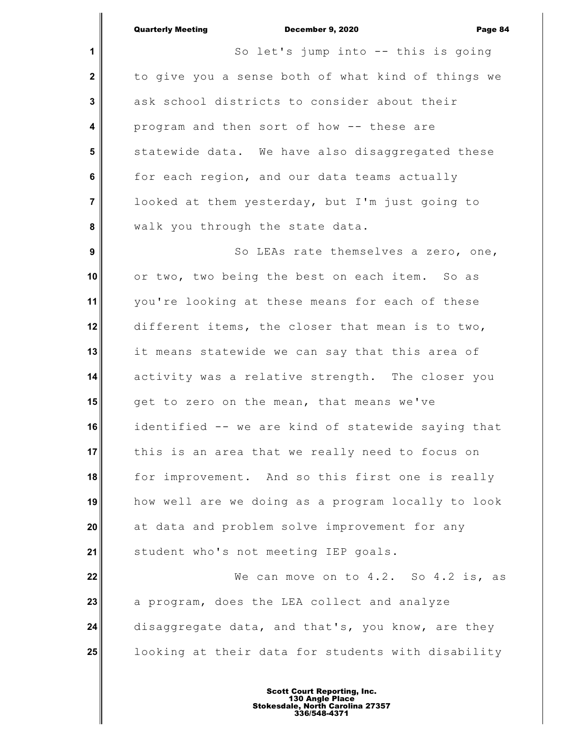|                  | <b>Quarterly Meeting</b><br>December 9, 2020<br>Page 84 |
|------------------|---------------------------------------------------------|
| $\mathbf{1}$     | So let's jump into -- this is going                     |
| $\mathbf{2}$     | to give you a sense both of what kind of things we      |
| 3                | ask school districts to consider about their            |
| 4                | program and then sort of how -- these are               |
| $5\phantom{1}$   | statewide data. We have also disaggregated these        |
| 6                | for each region, and our data teams actually            |
| $\overline{7}$   | looked at them yesterday, but I'm just going to         |
| 8                | walk you through the state data.                        |
| $\boldsymbol{9}$ | So LEAs rate themselves a zero, one,                    |
| 10               | or two, two being the best on each item. So as          |
| 11               | you're looking at these means for each of these         |
| 12               | different items, the closer that mean is to two,        |
| 13               | it means statewide we can say that this area of         |
| 14               | activity was a relative strength. The closer you        |
| 15               | get to zero on the mean, that means we've               |
| 16               | identified -- we are kind of statewide saying that      |
| 17               | this is an area that we really need to focus on         |
| 18               | for improvement. And so this first one is really        |
| 19               | how well are we doing as a program locally to look      |
| 20               | at data and problem solve improvement for any           |
| 21               | student who's not meeting IEP goals.                    |
| 22               | We can move on to $4.2.$ So $4.2$ is, as                |
| 23               | a program, does the LEA collect and analyze             |
| 24               | disaggregate data, and that's, you know, are they       |
| 25               | looking at their data for students with disability      |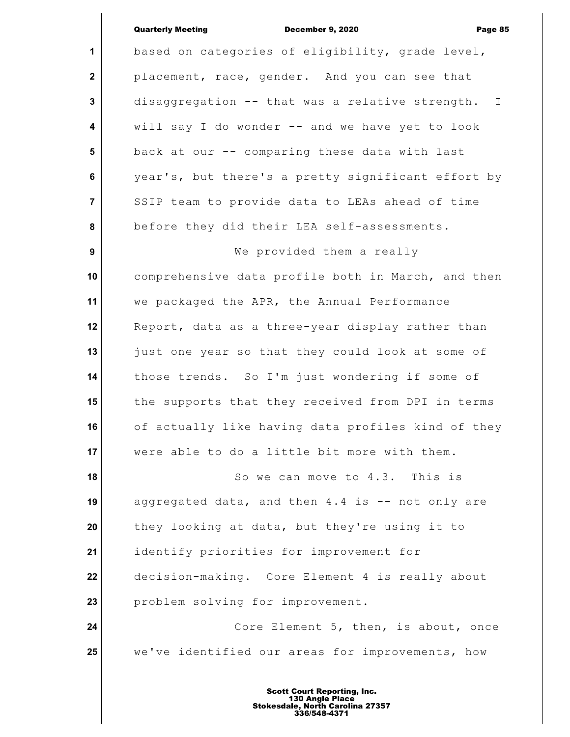**1 2 3 4 5 6 7 8 9 10 11 12 13 14 15 16 17 18 19 20 21 22 23 24 25** based on categories of eligibility, grade level, placement, race, gender. And you can see that disaggregation -- that was a relative strength. I will say I do wonder -- and we have yet to look back at our -- comparing these data with last year's, but there's a pretty significant effort by SSIP team to provide data to LEAs ahead of time before they did their LEA self-assessments. We provided them a really comprehensive data profile both in March, and then we packaged the APR, the Annual Performance Report, data as a three-year display rather than just one year so that they could look at some of those trends. So I'm just wondering if some of the supports that they received from DPI in terms of actually like having data profiles kind of they were able to do a little bit more with them. So we can move to 4.3. This is aggregated data, and then 4.4 is -- not only are they looking at data, but they're using it to identify priorities for improvement for decision-making. Core Element 4 is really about problem solving for improvement. Core Element 5, then, is about, once we've identified our areas for improvements, how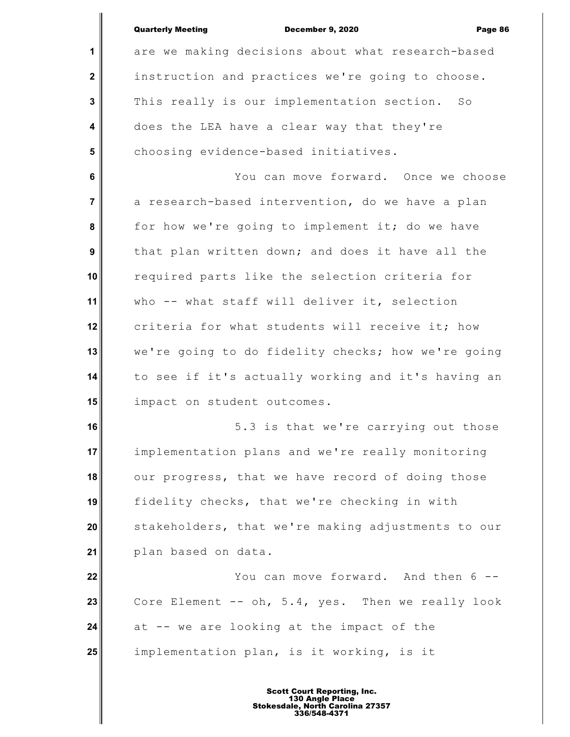|                | <b>Quarterly Meeting</b><br><b>December 9, 2020</b><br>Page 86 |
|----------------|----------------------------------------------------------------|
| $\mathbf 1$    | are we making decisions about what research-based              |
| $\mathbf{2}$   | instruction and practices we're going to choose.               |
| 3              | This really is our implementation section. So                  |
| 4              | does the LEA have a clear way that they're                     |
| $5\phantom{1}$ | choosing evidence-based initiatives.                           |
| 6              | You can move forward. Once we choose                           |
| $\overline{7}$ | a research-based intervention, do we have a plan               |
| 8              | for how we're going to implement it; do we have                |
| 9              | that plan written down; and does it have all the               |
| 10             | required parts like the selection criteria for                 |
| 11             | who -- what staff will deliver it, selection                   |
| 12             | criteria for what students will receive it; how                |
| 13             | we're going to do fidelity checks; how we're going             |
| 14             | to see if it's actually working and it's having an             |
| 15             | impact on student outcomes.                                    |
| 16             | 5.3 is that we're carrying out those                           |
| 17             | implementation plans and we're really monitoring               |
| 18             | our progress, that we have record of doing those               |
| 19             | fidelity checks, that we're checking in with                   |
| 20             | stakeholders, that we're making adjustments to our             |
| 21             | plan based on data.                                            |
| 22             | You can move forward. And then 6 --                            |
| 23             | Core Element -- oh, 5.4, yes. Then we really look              |
| 24             | at -- we are looking at the impact of the                      |
| 25             | implementation plan, is it working, is it                      |
|                |                                                                |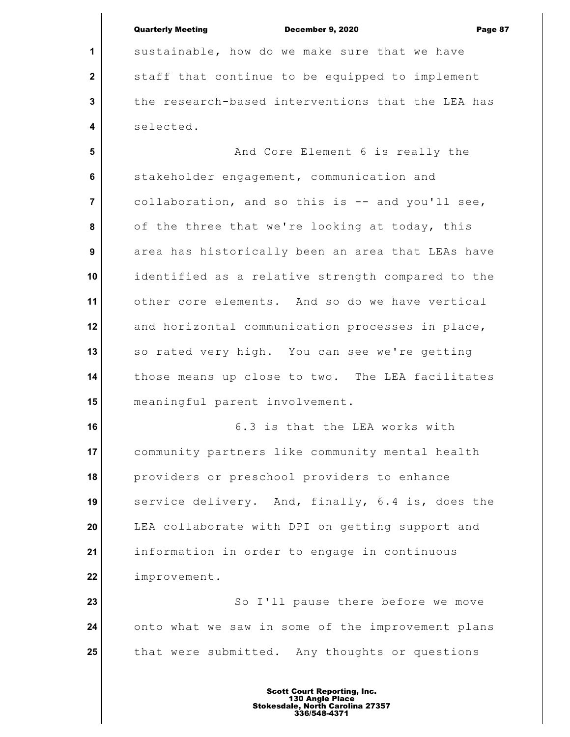|                | <b>Quarterly Meeting</b><br><b>December 9, 2020</b><br>Page 87 |
|----------------|----------------------------------------------------------------|
| 1              | sustainable, how do we make sure that we have                  |
| $\mathbf{2}$   | staff that continue to be equipped to implement                |
| $\mathbf 3$    | the research-based interventions that the LEA has              |
| 4              | selected.                                                      |
| $5\phantom{1}$ | And Core Element 6 is really the                               |
| 6              | stakeholder engagement, communication and                      |
| $\overline{7}$ | collaboration, and so this is -- and you'll see,               |
| 8              | of the three that we're looking at today, this                 |
| 9              | area has historically been an area that LEAs have              |
| 10             | identified as a relative strength compared to the              |
| 11             | other core elements. And so do we have vertical                |
| 12             |                                                                |
|                | and horizontal communication processes in place,               |
| 13             | so rated very high. You can see we're getting                  |
| 14             | those means up close to two. The LEA facilitates               |
| 15             | meaningful parent involvement.                                 |
| 16             | 6.3 is that the LEA works with                                 |
| 17             | community partners like community mental health                |
| 18             | providers or preschool providers to enhance                    |
| 19             | service delivery. And, finally, 6.4 is, does the               |
| 20             | LEA collaborate with DPI on getting support and                |
| 21             | information in order to engage in continuous                   |
| 22             | improvement.                                                   |
| 23             | So I'll pause there before we move                             |
| 24             | onto what we saw in some of the improvement plans              |
| 25             | that were submitted. Any thoughts or questions                 |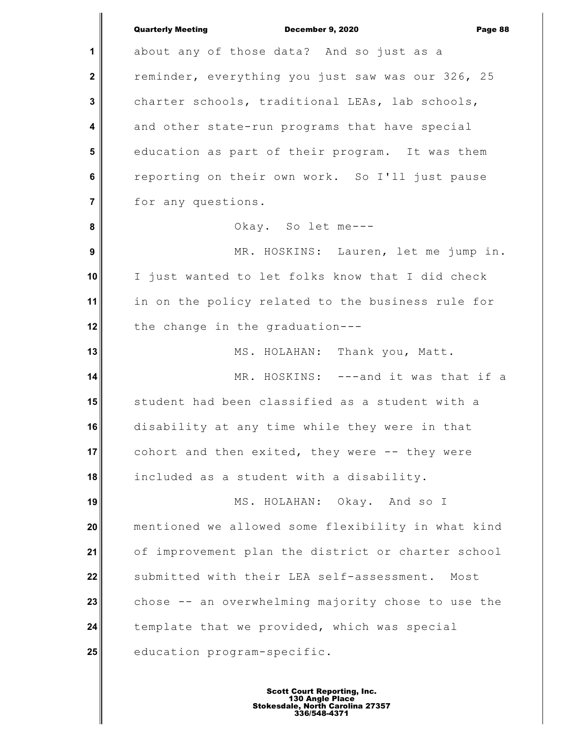|                         | <b>Quarterly Meeting</b><br>December 9, 2020<br>Page 88 |
|-------------------------|---------------------------------------------------------|
| 1                       | about any of those data? And so just as a               |
| $\mathbf 2$             | reminder, everything you just saw was our 326, 25       |
| 3                       | charter schools, traditional LEAs, lab schools,         |
| $\overline{\mathbf{4}}$ | and other state-run programs that have special          |
| 5                       | education as part of their program. It was them         |
| 6                       | reporting on their own work. So I'll just pause         |
| $\overline{7}$          | for any questions.                                      |
| 8                       | Okay. So let me---                                      |
| $\boldsymbol{9}$        | MR. HOSKINS: Lauren, let me jump in.                    |
| 10                      | I just wanted to let folks know that I did check        |
| 11                      | in on the policy related to the business rule for       |
| 12                      | the change in the graduation---                         |
| 13                      | MS. HOLAHAN: Thank you, Matt.                           |
| 14                      | MR. HOSKINS: ---and it was that if a                    |
| 15                      | student had been classified as a student with a         |
| 16                      | disability at any time while they were in that          |
| 17                      | cohort and then exited, they were -- they were          |
| 18                      | included as a student with a disability.                |
| 19                      | MS. HOLAHAN: Okay. And so I                             |
| 20                      | mentioned we allowed some flexibility in what kind      |
| 21                      | of improvement plan the district or charter school      |
| 22                      | submitted with their LEA self-assessment. Most          |
| 23                      | chose -- an overwhelming majority chose to use the      |
| 24                      | template that we provided, which was special            |
| 25                      | education program-specific.                             |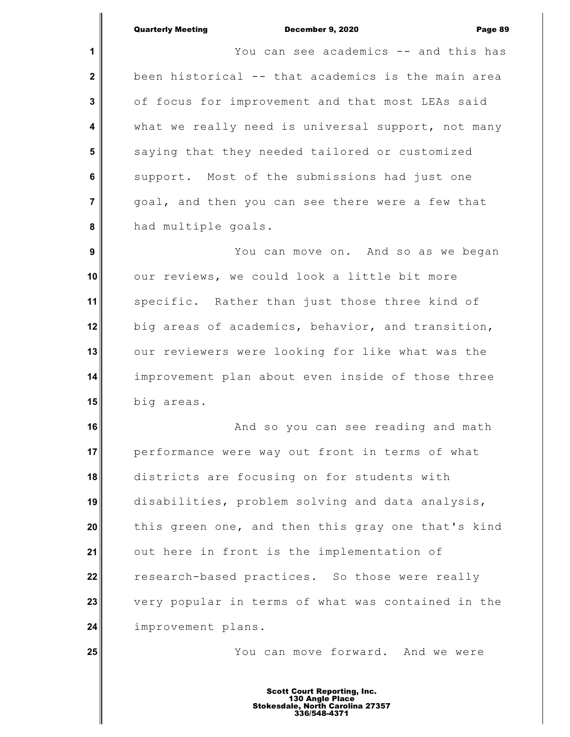**25**

**1 2 3 4 5 6 7 8** You can see academics -- and this has been historical -- that academics is the main area of focus for improvement and that most LEAs said what we really need is universal support, not many saying that they needed tailored or customized support. Most of the submissions had just one goal, and then you can see there were a few that had multiple goals.

 **9 10 11 12 13 14 15** You can move on. And so as we began our reviews, we could look a little bit more specific. Rather than just those three kind of big areas of academics, behavior, and transition, our reviewers were looking for like what was the improvement plan about even inside of those three big areas.

**16 17 18 19 20 21 22 23 24** And so you can see reading and math performance were way out front in terms of what districts are focusing on for students with disabilities, problem solving and data analysis, this green one, and then this gray one that's kind out here in front is the implementation of research-based practices. So those were really very popular in terms of what was contained in the improvement plans.

You can move forward. And we were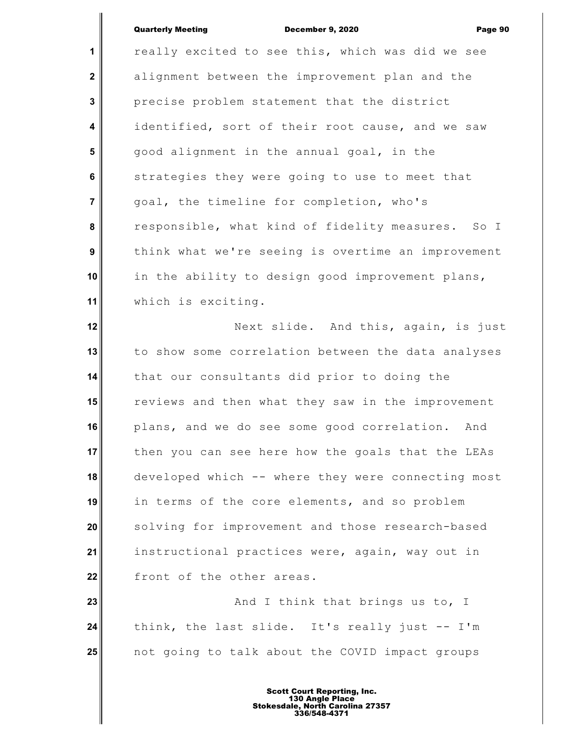**1 2 3 4 5 6 7 8 9 10 11 12 13** really excited to see this, which was did we see alignment between the improvement plan and the precise problem statement that the district identified, sort of their root cause, and we saw good alignment in the annual goal, in the strategies they were going to use to meet that goal, the timeline for completion, who's responsible, what kind of fidelity measures. So I think what we're seeing is overtime an improvement in the ability to design good improvement plans, which is exciting. Next slide. And this, again, is just to show some correlation between the data analyses

**14 15 16 17 18 19 20 21 22** that our consultants did prior to doing the reviews and then what they saw in the improvement plans, and we do see some good correlation. And then you can see here how the goals that the LEAs developed which -- where they were connecting most in terms of the core elements, and so problem solving for improvement and those research-based instructional practices were, again, way out in front of the other areas.

**23 24 25** And I think that brings us to, I think, the last slide. It's really just -- I'm not going to talk about the COVID impact groups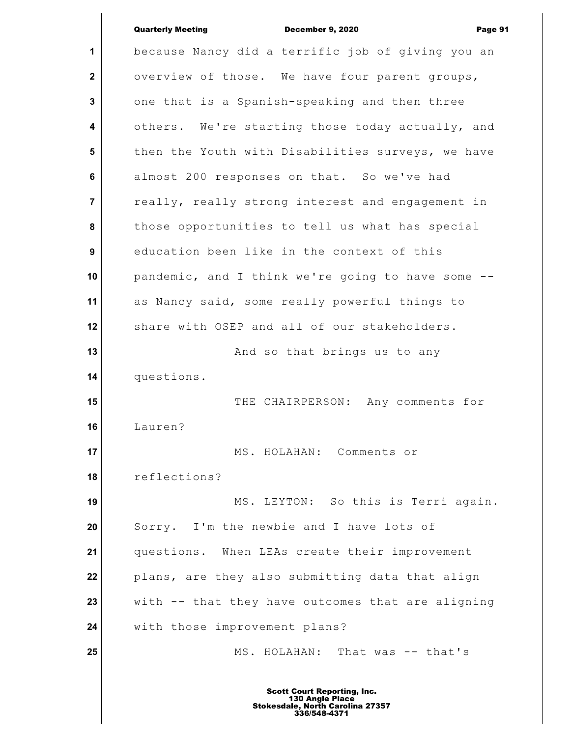**1 2 3 4 5 6 7 8 9 10 11 12 13 14 15 16 17 18 19 20 21 22 23 24 25** because Nancy did a terrific job of giving you an overview of those. We have four parent groups, one that is a Spanish-speaking and then three others. We're starting those today actually, and then the Youth with Disabilities surveys, we have almost 200 responses on that. So we've had really, really strong interest and engagement in those opportunities to tell us what has special education been like in the context of this pandemic, and I think we're going to have some - as Nancy said, some really powerful things to share with OSEP and all of our stakeholders. And so that brings us to any questions. THE CHAIRPERSON: Any comments for Lauren? MS. HOLAHAN: Comments or reflections? MS. LEYTON: So this is Terri again. Sorry. I'm the newbie and I have lots of questions. When LEAs create their improvement plans, are they also submitting data that align with -- that they have outcomes that are aligning with those improvement plans? MS. HOLAHAN: That was -- that's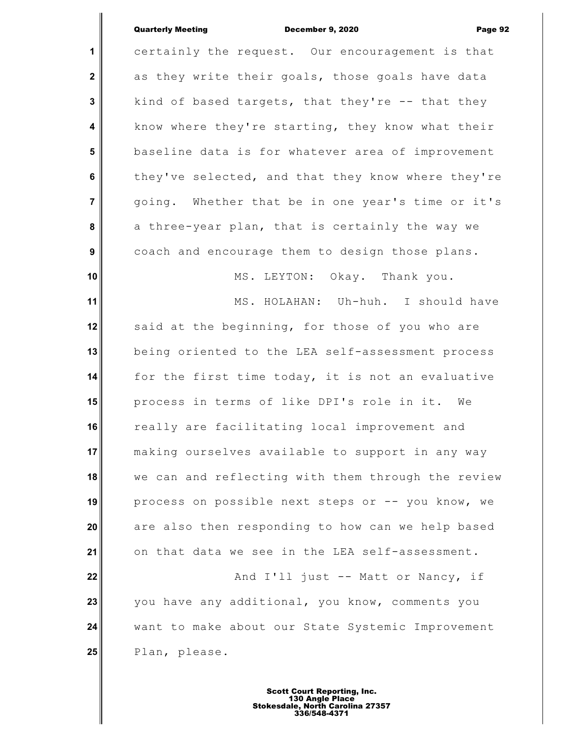**1 2 3 4 5 6 7 8 9 10 11 12 13 14 15 16 17 18 19 20 21 22 23 24 25** certainly the request. Our encouragement is that as they write their goals, those goals have data kind of based targets, that they're  $-$ - that they know where they're starting, they know what their baseline data is for whatever area of improvement they've selected, and that they know where they're going. Whether that be in one year's time or it's a three-year plan, that is certainly the way we coach and encourage them to design those plans. MS. LEYTON: Okay. Thank you. MS. HOLAHAN: Uh-huh. I should have said at the beginning, for those of you who are being oriented to the LEA self-assessment process for the first time today, it is not an evaluative process in terms of like DPI's role in it. We really are facilitating local improvement and making ourselves available to support in any way we can and reflecting with them through the review process on possible next steps or -- you know, we are also then responding to how can we help based on that data we see in the LEA self-assessment. And I'll just -- Matt or Nancy, if you have any additional, you know, comments you want to make about our State Systemic Improvement Plan, please.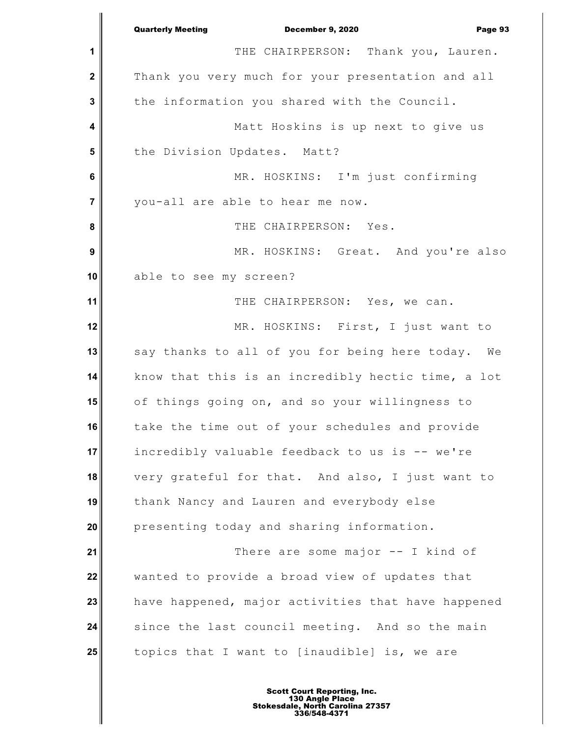**1 2 3 4 5 6 7 8 9 10 11 12 13 14 15 16 17 18 19 20 21 22 23 24 25** Quarterly Meeting December 9, 2020 Page 93 THE CHAIRPERSON: Thank you, Lauren. Thank you very much for your presentation and all the information you shared with the Council. Matt Hoskins is up next to give us the Division Updates. Matt? MR. HOSKINS: I'm just confirming you-all are able to hear me now. THE CHAIRPERSON: Yes. MR. HOSKINS: Great. And you're also able to see my screen? THE CHAIRPERSON: Yes, we can. MR. HOSKINS: First, I just want to say thanks to all of you for being here today. We know that this is an incredibly hectic time, a lot of things going on, and so your willingness to take the time out of your schedules and provide incredibly valuable feedback to us is -- we're very grateful for that. And also, I just want to thank Nancy and Lauren and everybody else presenting today and sharing information. There are some major -- I kind of wanted to provide a broad view of updates that have happened, major activities that have happened since the last council meeting. And so the main topics that I want to [inaudible] is, we are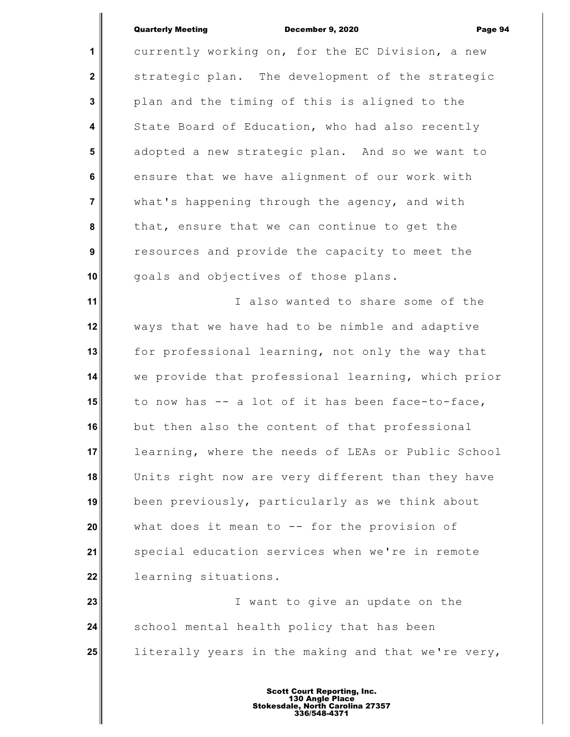**1 2 3 4 5 6 7 8 9 10 11 12 13 14 15 16 17 18 19 20 21 22 23 24 25** currently working on, for the EC Division, a new strategic plan. The development of the strategic plan and the timing of this is aligned to the State Board of Education, who had also recently adopted a new strategic plan. And so we want to ensure that we have alignment of our work with what's happening through the agency, and with that, ensure that we can continue to get the resources and provide the capacity to meet the goals and objectives of those plans. I also wanted to share some of the ways that we have had to be nimble and adaptive for professional learning, not only the way that we provide that professional learning, which prior to now has -- a lot of it has been face-to-face, but then also the content of that professional learning, where the needs of LEAs or Public School Units right now are very different than they have been previously, particularly as we think about what does it mean to  $-$  for the provision of special education services when we're in remote learning situations. I want to give an update on the school mental health policy that has been literally years in the making and that we're very,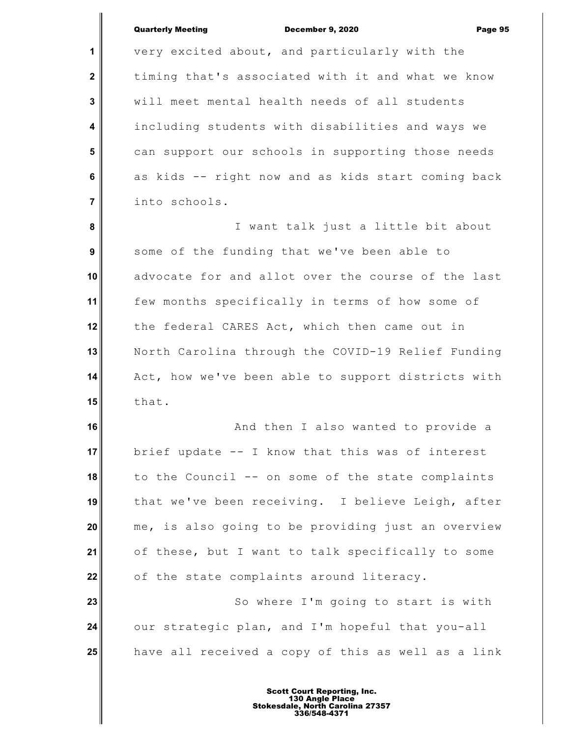**1 2 3 4 5 6 7 8 9 10 11 12 13 14 15 16 17 18 19 20 21 22 23 24 25** very excited about, and particularly with the timing that's associated with it and what we know will meet mental health needs of all students including students with disabilities and ways we can support our schools in supporting those needs as kids -- right now and as kids start coming back into schools. I want talk just a little bit about some of the funding that we've been able to advocate for and allot over the course of the last few months specifically in terms of how some of the federal CARES Act, which then came out in North Carolina through the COVID-19 Relief Funding Act, how we've been able to support districts with that. And then I also wanted to provide a brief update -- I know that this was of interest to the Council -- on some of the state complaints that we've been receiving. I believe Leigh, after me, is also going to be providing just an overview of these, but I want to talk specifically to some of the state complaints around literacy. So where I'm going to start is with our strategic plan, and I'm hopeful that you-all have all received a copy of this as well as a link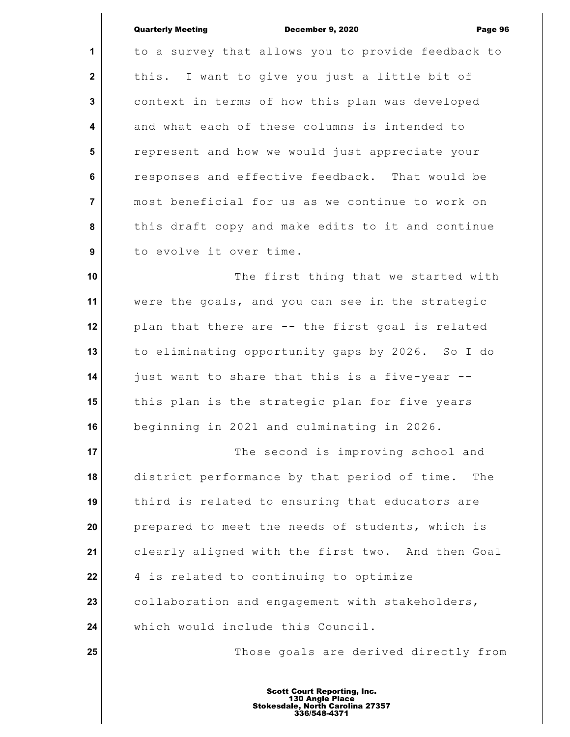**1 2 3 4 5 6 7 8 9 10 11 12 13 14 15 16 17 18 19 20 21 22 23 24 25** to a survey that allows you to provide feedback to this. I want to give you just a little bit of context in terms of how this plan was developed and what each of these columns is intended to represent and how we would just appreciate your responses and effective feedback. That would be most beneficial for us as we continue to work on this draft copy and make edits to it and continue to evolve it over time. The first thing that we started with were the goals, and you can see in the strategic plan that there are -- the first goal is related to eliminating opportunity gaps by 2026. So I do just want to share that this is a five-year - this plan is the strategic plan for five years beginning in 2021 and culminating in 2026. The second is improving school and district performance by that period of time. The third is related to ensuring that educators are prepared to meet the needs of students, which is clearly aligned with the first two. And then Goal 4 is related to continuing to optimize collaboration and engagement with stakeholders, which would include this Council. Those goals are derived directly from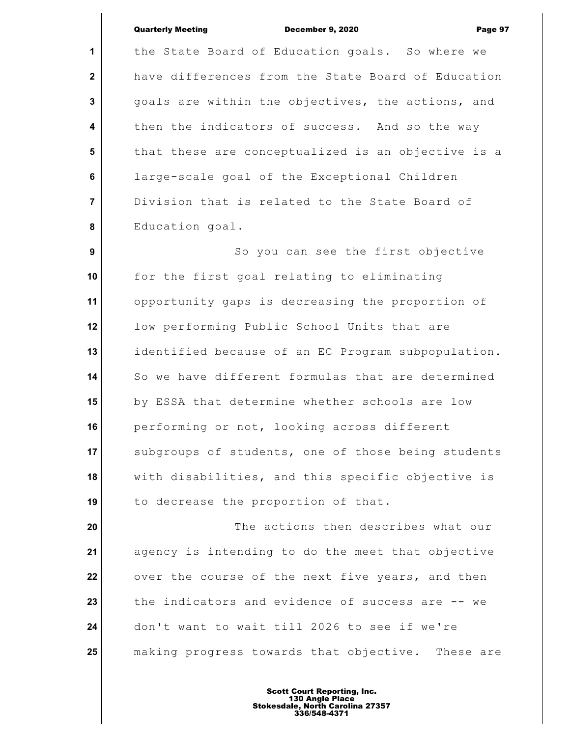**1 2 3 4 5 6 7 8** the State Board of Education goals. So where we have differences from the State Board of Education goals are within the objectives, the actions, and then the indicators of success. And so the way that these are conceptualized is an objective is a large-scale goal of the Exceptional Children Division that is related to the State Board of Education goal.

 **9 10 11 12 13 14 15 16 17 18 19** So you can see the first objective for the first goal relating to eliminating opportunity gaps is decreasing the proportion of low performing Public School Units that are identified because of an EC Program subpopulation. So we have different formulas that are determined by ESSA that determine whether schools are low performing or not, looking across different subgroups of students, one of those being students with disabilities, and this specific objective is to decrease the proportion of that.

**20 21 22 23 24 25** The actions then describes what our agency is intending to do the meet that objective over the course of the next five years, and then the indicators and evidence of success are -- we don't want to wait till 2026 to see if we're making progress towards that objective. These are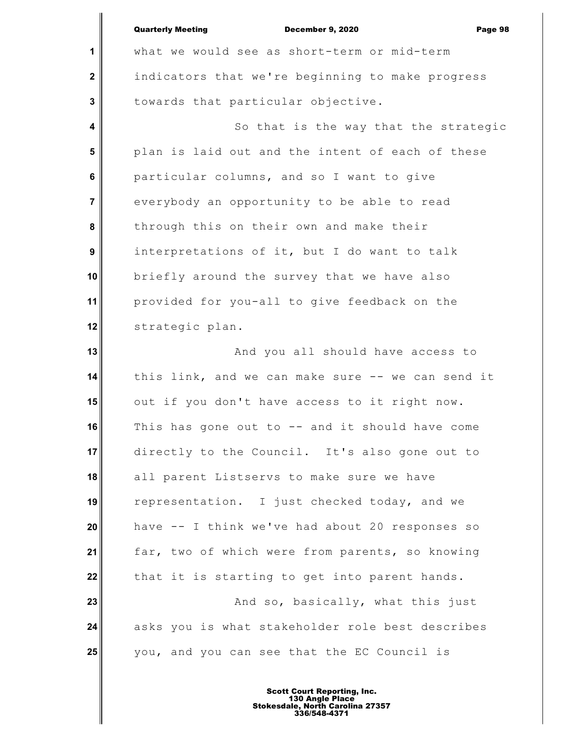|                  | <b>Quarterly Meeting</b><br><b>December 9, 2020</b><br>Page 98 |
|------------------|----------------------------------------------------------------|
| 1                | what we would see as short-term or mid-term                    |
| $\mathbf 2$      | indicators that we're beginning to make progress               |
| $\mathbf{3}$     | towards that particular objective.                             |
| 4                | So that is the way that the strategic                          |
| 5                | plan is laid out and the intent of each of these               |
| 6                | particular columns, and so I want to give                      |
| $\overline{7}$   | everybody an opportunity to be able to read                    |
| 8                | through this on their own and make their                       |
| $\boldsymbol{9}$ | interpretations of it, but I do want to talk                   |
| 10               | briefly around the survey that we have also                    |
| 11               | provided for you-all to give feedback on the                   |
| 12               | strategic plan.                                                |
| 13               | And you all should have access to                              |
| 14               | this link, and we can make sure -- we can send it              |
| 15               | out if you don't have access to it right now.                  |
| 16               | This has gone out to -- and it should have come                |
| 17               | directly to the Council. It's also gone out to                 |
| 18               | all parent Listservs to make sure we have                      |
| 19               | representation. I just checked today, and we                   |
| 20               | have -- I think we've had about 20 responses so                |
| 21               | far, two of which were from parents, so knowing                |
| 22               | that it is starting to get into parent hands.                  |
| 23               | And so, basically, what this just                              |
| 24               | asks you is what stakeholder role best describes               |
| 25               | you, and you can see that the EC Council is                    |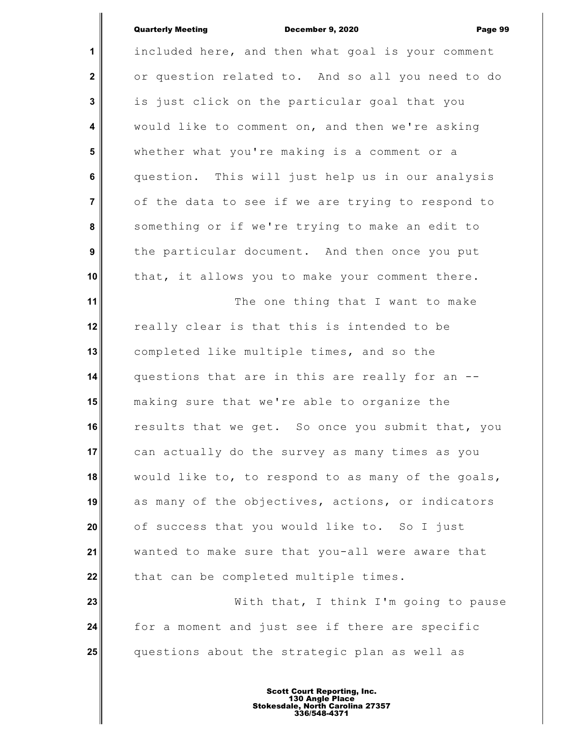I

| $\mathbf{1}$            | included here, and then what goal is your comment  |
|-------------------------|----------------------------------------------------|
| $\mathbf 2$             | or question related to. And so all you need to do  |
| $\mathbf{3}$            | is just click on the particular goal that you      |
| $\overline{\mathbf{4}}$ | would like to comment on, and then we're asking    |
| 5                       | whether what you're making is a comment or a       |
| $\bf 6$                 | question. This will just help us in our analysis   |
| $\overline{7}$          | of the data to see if we are trying to respond to  |
| 8                       | something or if we're trying to make an edit to    |
| 9                       | the particular document. And then once you put     |
| 10                      | that, it allows you to make your comment there.    |
| 11                      | The one thing that I want to make                  |
| 12                      | really clear is that this is intended to be        |
| 13                      | completed like multiple times, and so the          |
| 14                      | questions that are in this are really for an --    |
| 15                      | making sure that we're able to organize the        |
| 16                      | results that we get. So once you submit that, you  |
| 17                      | can actually do the survey as many times as you    |
| 18                      | would like to, to respond to as many of the goals, |
| 19                      | as many of the objectives, actions, or indicators  |
| 20                      | of success that you would like to. So I just       |
| 21                      | wanted to make sure that you-all were aware that   |
| 22                      | that can be completed multiple times.              |
| 23                      | With that, I think I'm going to pause              |
| 24                      | for a moment and just see if there are specific    |
| 25                      | questions about the strategic plan as well as      |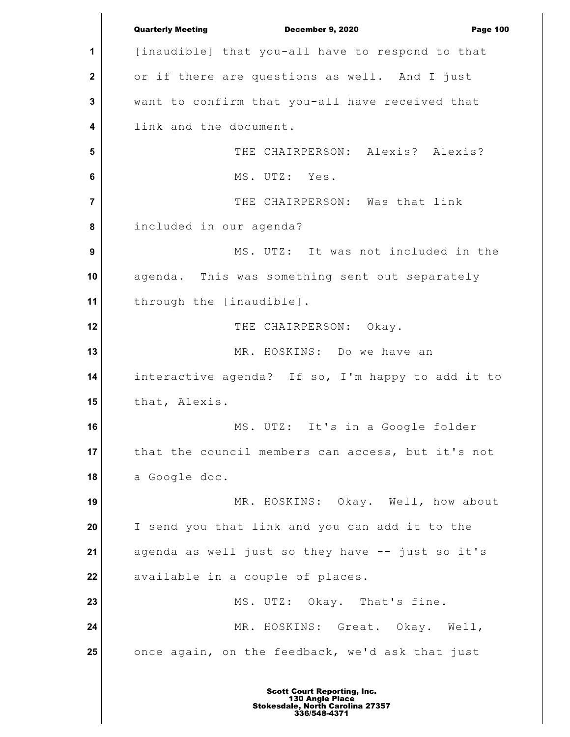**1 2 3 4 5 6 7 8 9 10 11 12 13 14 15 16 17 18 19 20 21 22 23 24 25** Quarterly Meeting December 9, 2020 Page 100 [inaudible] that you-all have to respond to that or if there are questions as well. And I just want to confirm that you-all have received that link and the document. THE CHAIRPERSON: Alexis? Alexis? MS. UTZ: Yes. THE CHAIRPERSON: Was that link included in our agenda? MS. UTZ: It was not included in the agenda. This was something sent out separately through the [inaudible]. THE CHAIRPERSON: Okay. MR. HOSKINS: Do we have an interactive agenda? If so, I'm happy to add it to that, Alexis. MS. UTZ: It's in a Google folder that the council members can access, but it's not a Google doc. MR. HOSKINS: Okay. Well, how about I send you that link and you can add it to the agenda as well just so they have -- just so it's available in a couple of places. MS. UTZ: Okay. That's fine. MR. HOSKINS: Great. Okay. Well, once again, on the feedback, we'd ask that just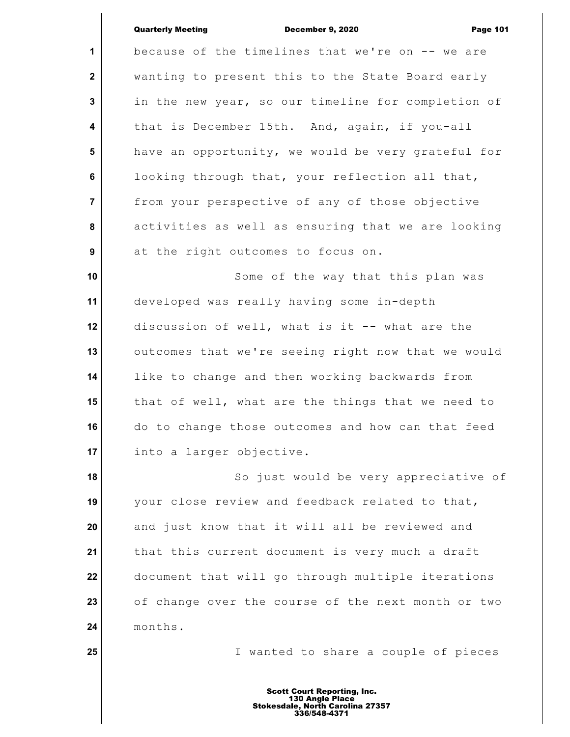|                         | <b>Quarterly Meeting</b><br><b>December 9, 2020</b><br><b>Page 101</b> |
|-------------------------|------------------------------------------------------------------------|
| 1                       | because of the timelines that we're on -- we are                       |
| $\overline{\mathbf{2}}$ | wanting to present this to the State Board early                       |
| $\mathbf{3}$            | in the new year, so our timeline for completion of                     |
| $\overline{\mathbf{4}}$ | that is December 15th. And, again, if you-all                          |
| 5                       | have an opportunity, we would be very grateful for                     |
| 6                       | looking through that, your reflection all that,                        |
| $\overline{7}$          | from your perspective of any of those objective                        |
| 8                       | activities as well as ensuring that we are looking                     |
| 9                       | at the right outcomes to focus on.                                     |
| 10                      | Some of the way that this plan was                                     |
| 11                      | developed was really having some in-depth                              |
| 12                      | discussion of well, what is it -- what are the                         |
| 13                      | outcomes that we're seeing right now that we would                     |
| 14                      | like to change and then working backwards from                         |
| 15                      | that of well, what are the things that we need to                      |
| 16                      | do to change those outcomes and how can that feed                      |
| 17                      | into a larger objective.                                               |
| 18                      | So just would be very appreciative of                                  |
| 19                      | your close review and feedback related to that,                        |
| 20                      | and just know that it will all be reviewed and                         |
| 21                      | that this current document is very much a draft                        |
| 22                      | document that will go through multiple iterations                      |
| 23                      | of change over the course of the next month or two                     |
| 24                      | months.                                                                |
| 25                      | I wanted to share a couple of pieces                                   |
|                         |                                                                        |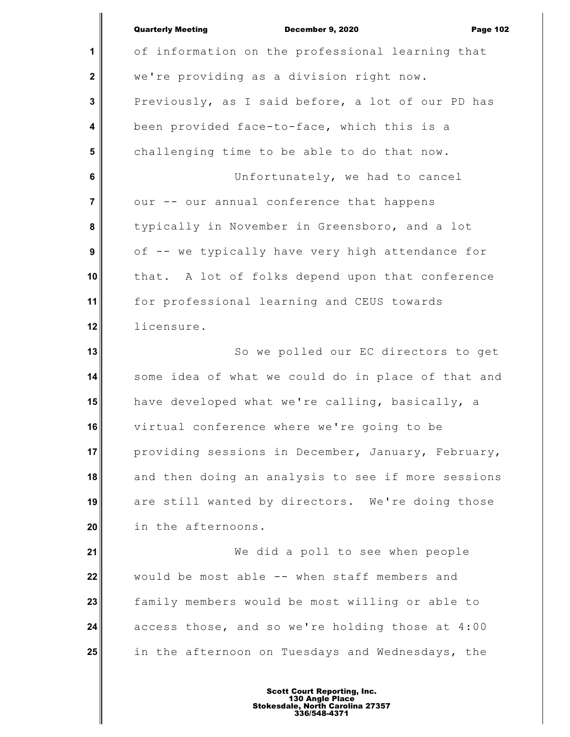December 9, 2020 Page 102

**1 2 3 4 5 6 7 8 9 10 11 12 13 14 15 16 17 18 19 20 21 22 23 24 25** of information on the professional learning that we're providing as a division right now. Previously, as I said before, a lot of our PD has been provided face-to-face, which this is a challenging time to be able to do that now. Unfortunately, we had to cancel our -- our annual conference that happens typically in November in Greensboro, and a lot of -- we typically have very high attendance for that. A lot of folks depend upon that conference for professional learning and CEUS towards licensure. So we polled our EC directors to get some idea of what we could do in place of that and have developed what we're calling, basically, a virtual conference where we're going to be providing sessions in December, January, February, and then doing an analysis to see if more sessions are still wanted by directors. We're doing those in the afternoons. We did a poll to see when people would be most able -- when staff members and family members would be most willing or able to access those, and so we're holding those at 4:00 in the afternoon on Tuesdays and Wednesdays, the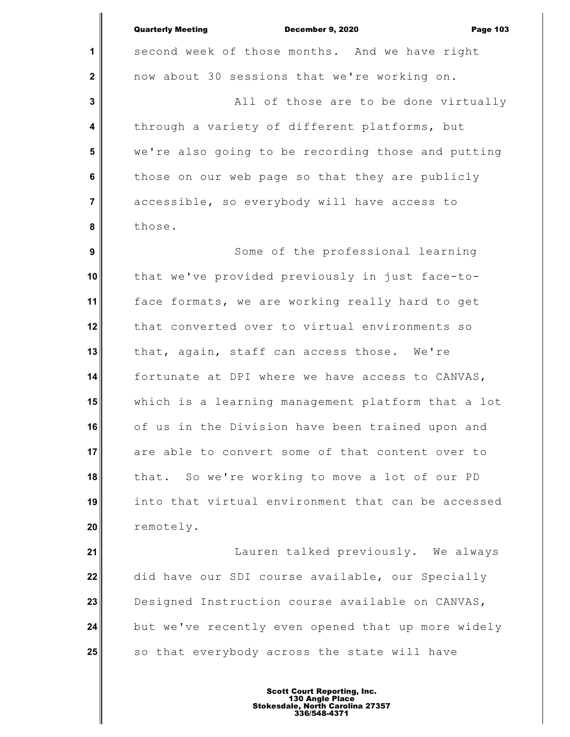**1**

 **2**

 **3**

 **4**

 **5**

 **6**

 **7**

 **8**

second week of those months. And we have right now about 30 sessions that we're working on. All of those are to be done virtually through a variety of different platforms, but

we're also going to be recording those and putting those on our web page so that they are publicly accessible, so everybody will have access to those.

 **9 10 11 12 13 14 15 16 17 18 19 20** Some of the professional learning that we've provided previously in just face-toface formats, we are working really hard to get that converted over to virtual environments so that, again, staff can access those. We're fortunate at DPI where we have access to CANVAS, which is a learning management platform that a lot of us in the Division have been trained upon and are able to convert some of that content over to that. So we're working to move a lot of our PD into that virtual environment that can be accessed remotely.

**21 22 23 24 25** Lauren talked previously. We always did have our SDI course available, our Specially Designed Instruction course available on CANVAS, but we've recently even opened that up more widely so that everybody across the state will have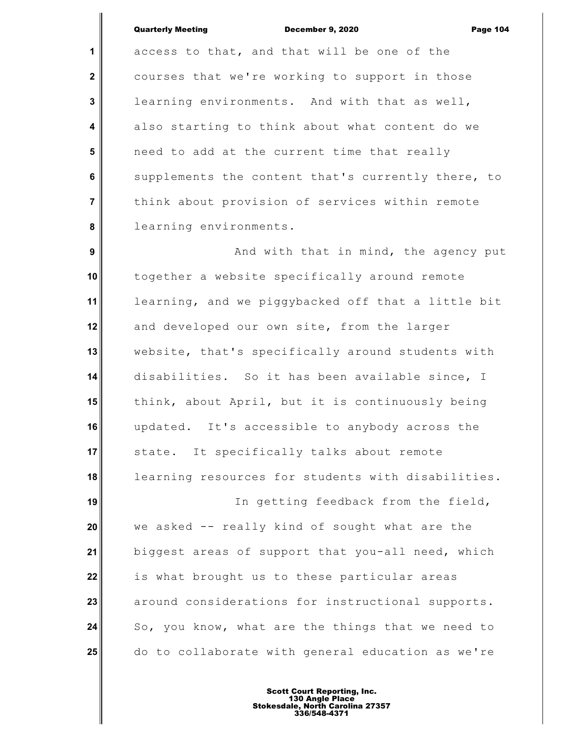**1**

 **2**

 **3**

 **4**

 **5**

 **6**

 **7**

 **8**

access to that, and that will be one of the courses that we're working to support in those learning environments. And with that as well, also starting to think about what content do we need to add at the current time that really supplements the content that's currently there, to think about provision of services within remote learning environments.

 **9 10 11 12 13 14 15 16 17 18 19 20 21 22** And with that in mind, the agency put together a website specifically around remote learning, and we piggybacked off that a little bit and developed our own site, from the larger website, that's specifically around students with disabilities. So it has been available since, I think, about April, but it is continuously being updated. It's accessible to anybody across the state. It specifically talks about remote learning resources for students with disabilities. In getting feedback from the field, we asked -- really kind of sought what are the biggest areas of support that you-all need, which is what brought us to these particular areas

**23 24 25** around considerations for instructional supports. So, you know, what are the things that we need to do to collaborate with general education as we're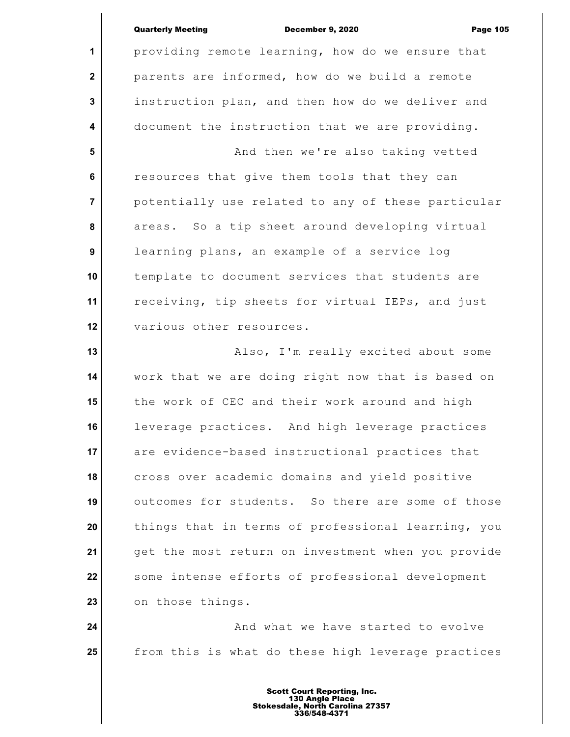**1 2 3 4 5 6 7 8 9 10 11 12** providing remote learning, how do we ensure that parents are informed, how do we build a remote instruction plan, and then how do we deliver and document the instruction that we are providing. And then we're also taking vetted resources that give them tools that they can potentially use related to any of these particular areas. So a tip sheet around developing virtual learning plans, an example of a service log template to document services that students are receiving, tip sheets for virtual IEPs, and just various other resources.

**13 14 15 16 17 18 19 20 21 22 23** Also, I'm really excited about some work that we are doing right now that is based on the work of CEC and their work around and high leverage practices. And high leverage practices are evidence-based instructional practices that cross over academic domains and yield positive outcomes for students. So there are some of those things that in terms of professional learning, you get the most return on investment when you provide some intense efforts of professional development on those things.

**24 25** And what we have started to evolve from this is what do these high leverage practices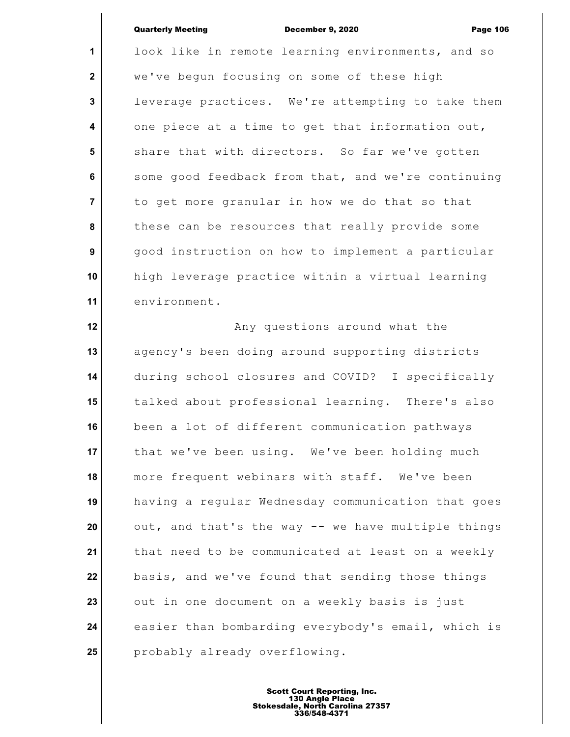**1 2 3 4 5 6 7 8 9 10 11** look like in remote learning environments, and so we've begun focusing on some of these high leverage practices. We're attempting to take them one piece at a time to get that information out, share that with directors. So far we've gotten some good feedback from that, and we're continuing to get more granular in how we do that so that these can be resources that really provide some good instruction on how to implement a particular high leverage practice within a virtual learning environment.

**12 13 14 15 16 17 18 19 20 21 22 23 24 25** Any questions around what the agency's been doing around supporting districts during school closures and COVID? I specifically talked about professional learning. There's also been a lot of different communication pathways that we've been using. We've been holding much more frequent webinars with staff. We've been having a regular Wednesday communication that goes out, and that's the way -- we have multiple things that need to be communicated at least on a weekly basis, and we've found that sending those things out in one document on a weekly basis is just easier than bombarding everybody's email, which is probably already overflowing.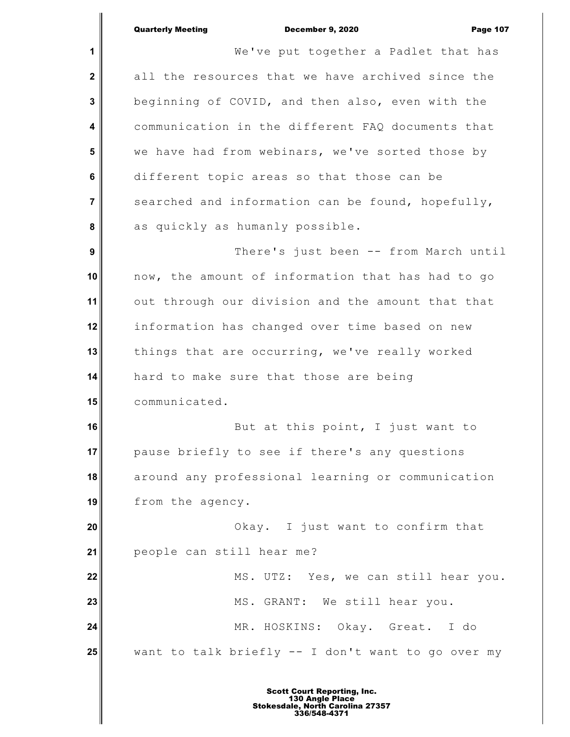**1 2 3 4 5 6 7 8 9 10 11 12 13 14 15 16 17 18 19 20 21 22 23 24 25** We've put together a Padlet that has all the resources that we have archived since the beginning of COVID, and then also, even with the communication in the different FAQ documents that we have had from webinars, we've sorted those by different topic areas so that those can be searched and information can be found, hopefully, as quickly as humanly possible. There's just been -- from March until now, the amount of information that has had to go out through our division and the amount that that information has changed over time based on new things that are occurring, we've really worked hard to make sure that those are being communicated. But at this point, I just want to pause briefly to see if there's any questions around any professional learning or communication from the agency. Okay. I just want to confirm that people can still hear me? MS. UTZ: Yes, we can still hear you. MS. GRANT: We still hear you. MR. HOSKINS: Okay. Great. I do want to talk briefly -- I don't want to go over my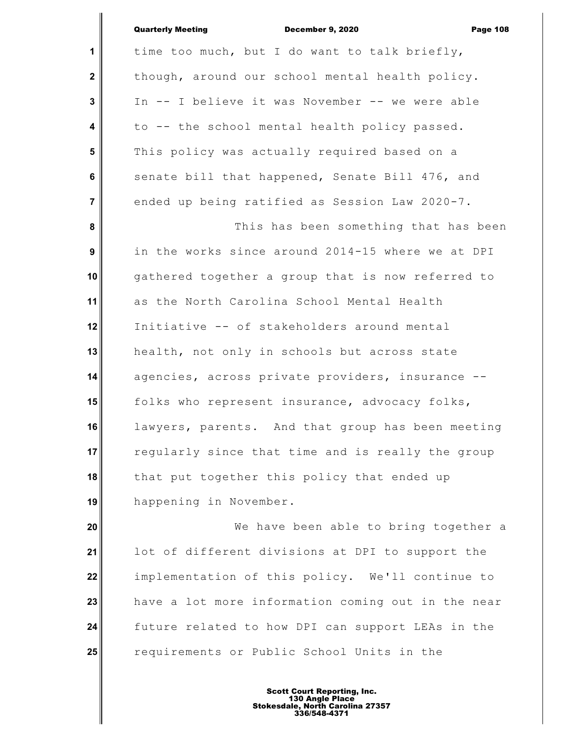|                | <b>Quarterly Meeting</b><br><b>December 9, 2020</b><br><b>Page 108</b> |
|----------------|------------------------------------------------------------------------|
| 1              | time too much, but I do want to talk briefly,                          |
| $\mathbf{2}$   | though, around our school mental health policy.                        |
| $\mathbf{3}$   | In -- I believe it was November -- we were able                        |
| 4              | to -- the school mental health policy passed.                          |
| $5\phantom{1}$ | This policy was actually required based on a                           |
| 6              | senate bill that happened, Senate Bill 476, and                        |
| $\overline{7}$ | ended up being ratified as Session Law 2020-7.                         |
| 8              | This has been something that has been                                  |
| 9              | in the works since around 2014-15 where we at DPI                      |
| 10             | gathered together a group that is now referred to                      |
| 11             | as the North Carolina School Mental Health                             |
| 12             | Initiative -- of stakeholders around mental                            |
| 13             | health, not only in schools but across state                           |
| 14             | agencies, across private providers, insurance --                       |
| 15             | folks who represent insurance, advocacy folks,                         |
| 16             | lawyers, parents. And that group has been meeting                      |
| 17             | regularly since that time and is really the group                      |
| 18             | that put together this policy that ended up                            |
| 19             | happening in November.                                                 |
| 20             | We have been able to bring together a                                  |
| 21             | lot of different divisions at DPI to support the                       |
| 22             | implementation of this policy. We'll continue to                       |
|                |                                                                        |

**23 24 25** have a lot more information coming out in the near future related to how DPI can support LEAs in the requirements or Public School Units in the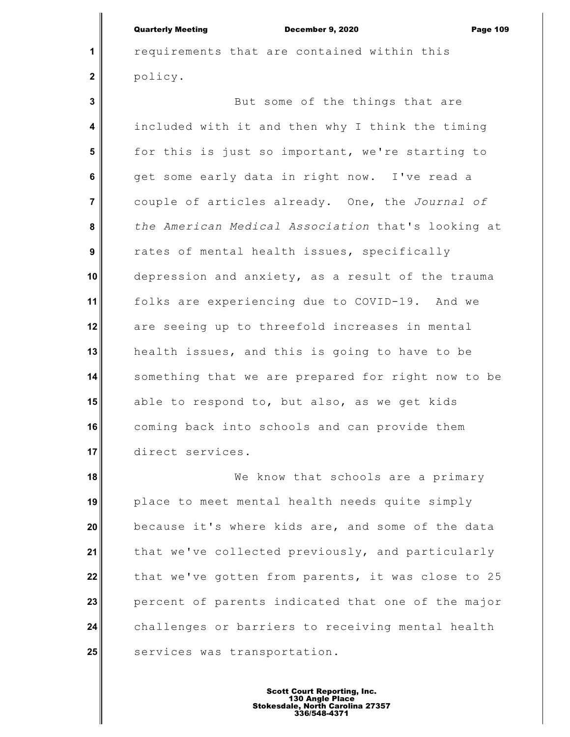**1**

 **2**

requirements that are contained within this policy.

 **3 4 5 6 7 8 9 10 11 12 13 14 15 16 17** But some of the things that are included with it and then why I think the timing for this is just so important, we're starting to get some early data in right now. I've read a couple of articles already. One, the *Journal of the American Medical Association* that's looking at rates of mental health issues, specifically depression and anxiety, as a result of the trauma folks are experiencing due to COVID-19. And we are seeing up to threefold increases in mental health issues, and this is going to have to be something that we are prepared for right now to be able to respond to, but also, as we get kids coming back into schools and can provide them direct services.

**18 19 20 21 22 23 24 25** We know that schools are a primary place to meet mental health needs quite simply because it's where kids are, and some of the data that we've collected previously, and particularly that we've gotten from parents, it was close to 25 percent of parents indicated that one of the major challenges or barriers to receiving mental health services was transportation.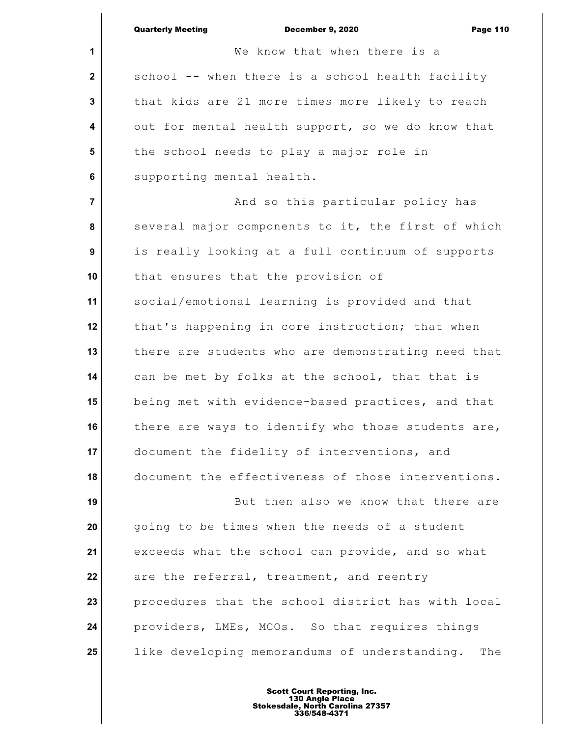|                | <b>Quarterly Meeting</b><br>December 9, 2020<br><b>Page 110</b> |
|----------------|-----------------------------------------------------------------|
| 1              | We know that when there is a                                    |
| $\mathbf 2$    | school -- when there is a school health facility                |
| 3              | that kids are 21 more times more likely to reach                |
| 4              | out for mental health support, so we do know that               |
| 5              | the school needs to play a major role in                        |
| 6              | supporting mental health.                                       |
| $\overline{7}$ | And so this particular policy has                               |
| 8              | several major components to it, the first of which              |
| 9              | is really looking at a full continuum of supports               |
| 10             | that ensures that the provision of                              |
| 11             | social/emotional learning is provided and that                  |
| 12             | that's happening in core instruction; that when                 |
| 13             | there are students who are demonstrating need that              |
| 14             | can be met by folks at the school, that that is                 |
| 15             | being met with evidence-based practices, and that               |
| 16             | there are ways to identify who those students are,              |
| 17             | document the fidelity of interventions, and                     |
| 18             | document the effectiveness of those interventions.              |
| 19             | But then also we know that there are                            |
| 20             | going to be times when the needs of a student                   |
| 21             | exceeds what the school can provide, and so what                |
| 22             | are the referral, treatment, and reentry                        |
| 23             | procedures that the school district has with local              |
| 24             | providers, LMEs, MCOs. So that requires things                  |
| 25             | like developing memorandums of understanding.<br>The            |
|                |                                                                 |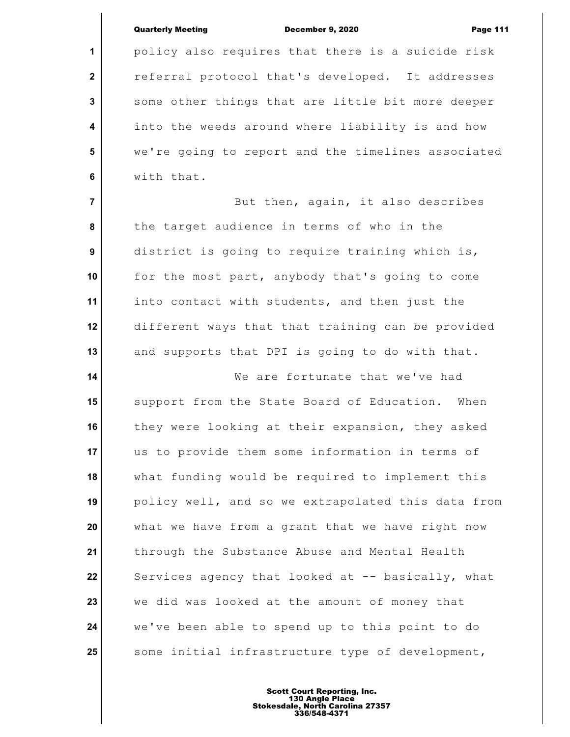**1**

 **2**

 **3**

 **4**

 **5**

 **6**

policy also requires that there is a suicide risk referral protocol that's developed. It addresses some other things that are little bit more deeper into the weeds around where liability is and how we're going to report and the timelines associated with that.

 **7 8 9 10 11 12 13** But then, again, it also describes the target audience in terms of who in the district is going to require training which is, for the most part, anybody that's going to come into contact with students, and then just the different ways that that training can be provided and supports that DPI is going to do with that.

**14 15 16 17 18 19 20 21 22 23 24 25** We are fortunate that we've had support from the State Board of Education. When they were looking at their expansion, they asked us to provide them some information in terms of what funding would be required to implement this policy well, and so we extrapolated this data from what we have from a grant that we have right now through the Substance Abuse and Mental Health Services agency that looked at -- basically, what we did was looked at the amount of money that we've been able to spend up to this point to do some initial infrastructure type of development,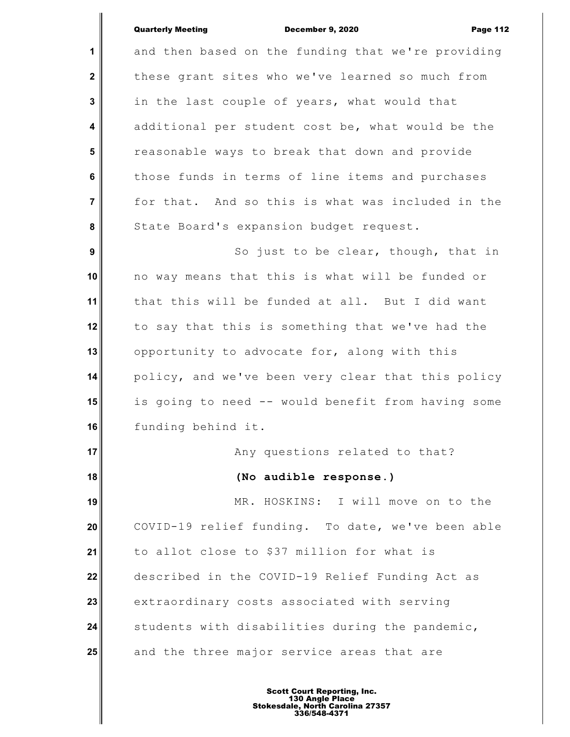**1 2 3 4 5 6 7 8 9 10 11 12 13 14 15 16 17 18 19 20 21 22 23 24 25** and then based on the funding that we're providing these grant sites who we've learned so much from in the last couple of years, what would that additional per student cost be, what would be the reasonable ways to break that down and provide those funds in terms of line items and purchases for that. And so this is what was included in the State Board's expansion budget request. So just to be clear, though, that in no way means that this is what will be funded or that this will be funded at all. But I did want to say that this is something that we've had the opportunity to advocate for, along with this policy, and we've been very clear that this policy is going to need -- would benefit from having some funding behind it. Any questions related to that? **(No audible response.)** MR. HOSKINS: I will move on to the COVID-19 relief funding. To date, we've been able to allot close to \$37 million for what is described in the COVID-19 Relief Funding Act as extraordinary costs associated with serving students with disabilities during the pandemic, and the three major service areas that are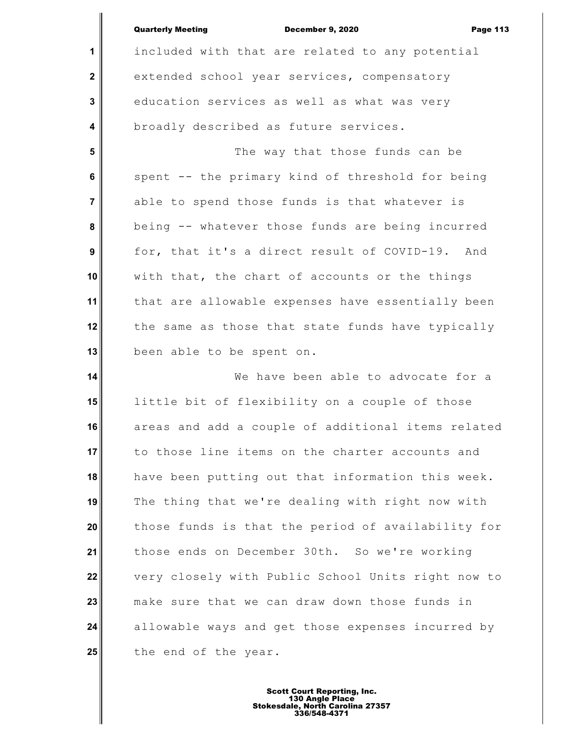|                         | <b>Quarterly Meeting</b><br><b>December 9, 2020</b><br><b>Page 113</b> |
|-------------------------|------------------------------------------------------------------------|
| 1                       | included with that are related to any potential                        |
| $\mathbf 2$             | extended school year services, compensatory                            |
| $\mathbf{3}$            | education services as well as what was very                            |
| $\overline{\mathbf{4}}$ | broadly described as future services.                                  |
| $5\phantom{1}$          | The way that those funds can be                                        |
| 6                       | spent -- the primary kind of threshold for being                       |
| $\overline{7}$          | able to spend those funds is that whatever is                          |
| 8                       | being -- whatever those funds are being incurred                       |
| 9                       | for, that it's a direct result of COVID-19. And                        |
| 10                      | with that, the chart of accounts or the things                         |
| 11                      | that are allowable expenses have essentially been                      |
| 12                      | the same as those that state funds have typically                      |
| 13                      | been able to be spent on.                                              |
| 14                      | We have been able to advocate for a                                    |
| 15                      | little bit of flexibility on a couple of those                         |
| 16                      | areas and add a couple of additional items related                     |
| 17                      | to those line items on the charter accounts and                        |
| 18                      | have been putting out that information this week.                      |
| 19                      | The thing that we're dealing with right now with                       |
| 20                      | those funds is that the period of availability for                     |
| 21                      | those ends on December 30th. So we're working                          |
| 22                      | very closely with Public School Units right now to                     |
| 23                      | make sure that we can draw down those funds in                         |
| 24                      | allowable ways and get those expenses incurred by                      |
| 25                      | the end of the year.                                                   |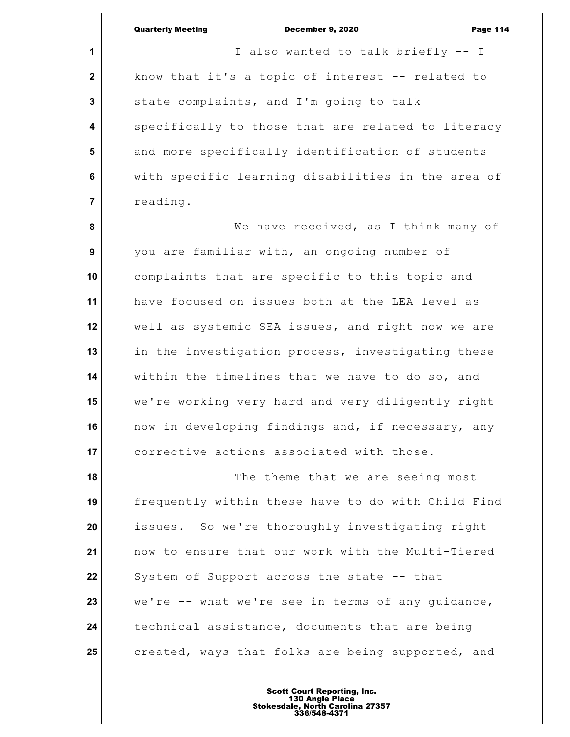**1 2 3 4 5 6 7 8 9 10 11 12 13 14 15 16 17 18 19 20 21 22 23 24** I also wanted to talk briefly -- I know that it's a topic of interest -- related to state complaints, and I'm going to talk specifically to those that are related to literacy and more specifically identification of students with specific learning disabilities in the area of reading. We have received, as I think many of you are familiar with, an ongoing number of complaints that are specific to this topic and have focused on issues both at the LEA level as well as systemic SEA issues, and right now we are in the investigation process, investigating these within the timelines that we have to do so, and we're working very hard and very diligently right now in developing findings and, if necessary, any corrective actions associated with those. The theme that we are seeing most frequently within these have to do with Child Find issues. So we're thoroughly investigating right now to ensure that our work with the Multi-Tiered System of Support across the state -- that we're -- what we're see in terms of any guidance, technical assistance, documents that are being

**25** created, ways that folks are being supported, and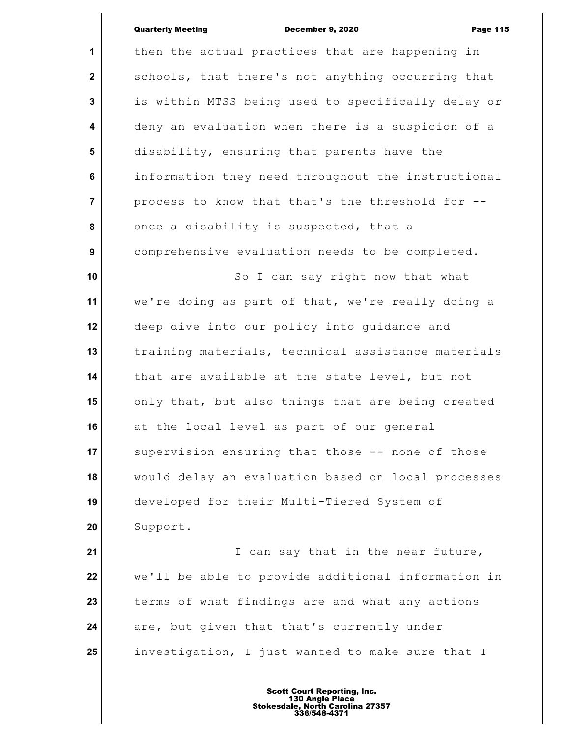| $\mathbf{1}$    | then the actual practices that are happening in    |
|-----------------|----------------------------------------------------|
| $\mathbf 2$     | schools, that there's not anything occurring that  |
| 3               | is within MTSS being used to specifically delay or |
| 4               | deny an evaluation when there is a suspicion of a  |
| 5               | disability, ensuring that parents have the         |
| 6               | information they need throughout the instructional |
| $\overline{7}$  | process to know that that's the threshold for --   |
| 8               | once a disability is suspected, that a             |
| 9               | comprehensive evaluation needs to be completed.    |
| 10              | So I can say right now that what                   |
| 11              | we're doing as part of that, we're really doing a  |
| 12              | deep dive into our policy into guidance and        |
| 13              | training materials, technical assistance materials |
| 14              | that are available at the state level, but not     |
| 15              | only that, but also things that are being created  |
| 16              | at the local level as part of our general          |
| 17 <sup>1</sup> | supervision ensuring that those -- none of those   |
| 18              | would delay an evaluation based on local processes |
| 19              | developed for their Multi-Tiered System of         |
| 20              | Support.                                           |
| 21              | can say that in the near future,<br>I              |
|                 |                                                    |

**22 23 24 25** we'll be able to provide additional information in terms of what findings are and what any actions are, but given that that's currently under investigation, I just wanted to make sure that I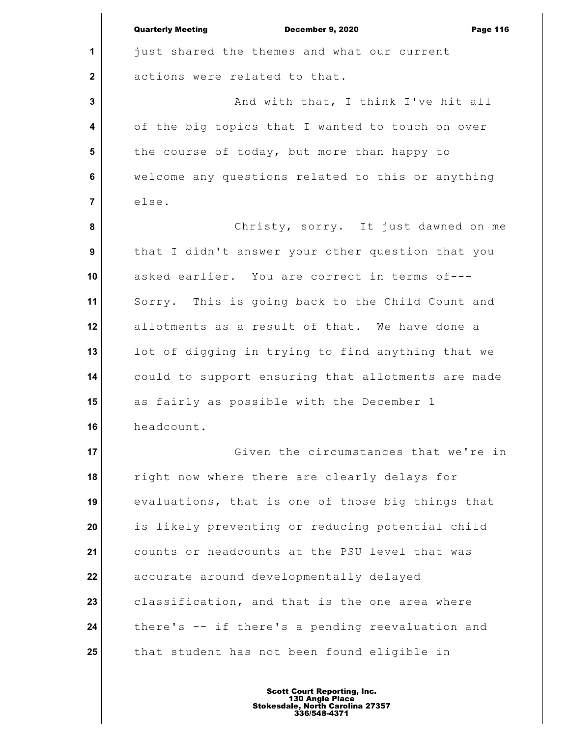|                         | <b>Quarterly Meeting</b><br><b>December 9, 2020</b><br><b>Page 116</b> |
|-------------------------|------------------------------------------------------------------------|
| 1                       | just shared the themes and what our current                            |
| $\mathbf 2$             | actions were related to that.                                          |
| 3                       | And with that, I think I've hit all                                    |
| $\overline{\mathbf{4}}$ | of the big topics that I wanted to touch on over                       |
| 5                       | the course of today, but more than happy to                            |
| 6                       | welcome any questions related to this or anything                      |
| $\overline{7}$          | else.                                                                  |
| 8                       | Christy, sorry. It just dawned on me                                   |
| $\boldsymbol{9}$        | that I didn't answer your other question that you                      |
| 10                      | asked earlier. You are correct in terms of---                          |
| 11                      | Sorry. This is going back to the Child Count and                       |
| 12                      | allotments as a result of that. We have done a                         |
| 13                      | lot of digging in trying to find anything that we                      |
| 14                      | could to support ensuring that allotments are made                     |
| 15                      | as fairly as possible with the December 1                              |
| 16                      | headcount.                                                             |
| 17                      | Given the circumstances that we're in                                  |
| 18                      | right now where there are clearly delays for                           |
| 19                      | evaluations, that is one of those big things that                      |
| 20                      | is likely preventing or reducing potential child                       |
| 21                      | counts or headcounts at the PSU level that was                         |
| 22                      | accurate around developmentally delayed                                |
| 23                      | classification, and that is the one area where                         |
| 24                      | there's -- if there's a pending reevaluation and                       |
| 25                      | that student has not been found eligible in                            |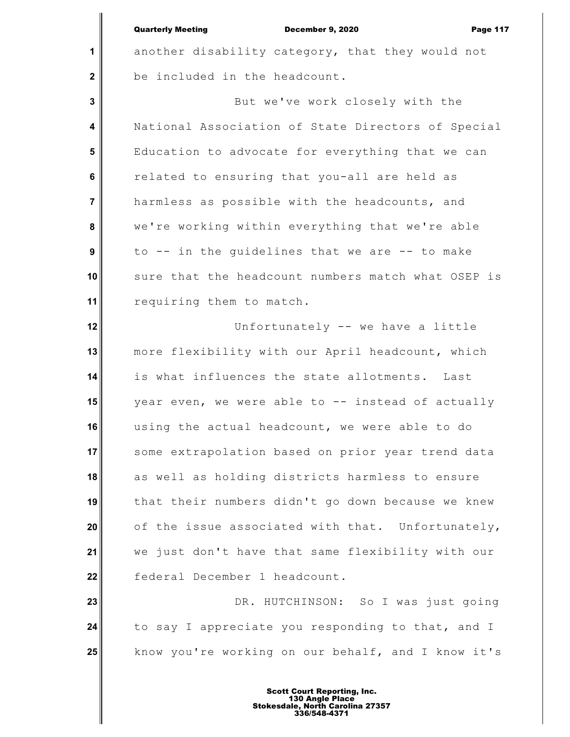**1**

 **2**

December 9, 2020 Page 117

another disability category, that they would not be included in the headcount.

 **3 4 5 6 7 8 9 10 11** But we've work closely with the National Association of State Directors of Special Education to advocate for everything that we can related to ensuring that you-all are held as harmless as possible with the headcounts, and we're working within everything that we're able to -- in the guidelines that we are -- to make sure that the headcount numbers match what OSEP is requiring them to match.

**12 13 14 15 16 17 18 19 20 21 22** Unfortunately -- we have a little more flexibility with our April headcount, which is what influences the state allotments. Last year even, we were able to -- instead of actually using the actual headcount, we were able to do some extrapolation based on prior year trend data as well as holding districts harmless to ensure that their numbers didn't go down because we knew of the issue associated with that. Unfortunately, we just don't have that same flexibility with our federal December 1 headcount.

**23 24 25** DR. HUTCHINSON: So I was just going to say I appreciate you responding to that, and I know you're working on our behalf, and I know it's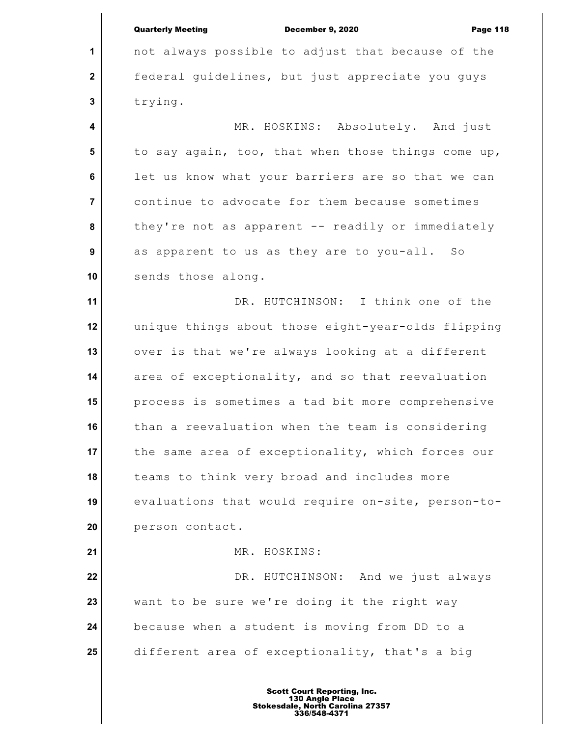|                         | <b>Quarterly Meeting</b><br>December 9, 2020<br><b>Page 118</b> |
|-------------------------|-----------------------------------------------------------------|
| 1                       | not always possible to adjust that because of the               |
| $\mathbf 2$             | federal guidelines, but just appreciate you guys                |
| $\mathbf 3$             | trying.                                                         |
| $\overline{\mathbf{4}}$ | MR. HOSKINS: Absolutely. And just                               |
| 5                       | to say again, too, that when those things come up,              |
| $\bf 6$                 | let us know what your barriers are so that we can               |
| $\overline{\mathbf{7}}$ | continue to advocate for them because sometimes                 |
| 8                       | they're not as apparent -- readily or immediately               |
| 9                       | as apparent to us as they are to you-all. So                    |
| 10                      | sends those along.                                              |
| 11                      | DR. HUTCHINSON: I think one of the                              |
| 12                      | unique things about those eight-year-olds flipping              |
| 13                      | over is that we're always looking at a different                |
| 14                      | area of exceptionality, and so that reevaluation                |
| 15                      | process is sometimes a tad bit more comprehensive               |
| 16                      | than a reevaluation when the team is considering                |
| 17                      | the same area of exceptionality, which forces our               |
| 18                      | teams to think very broad and includes more                     |
| 19                      | evaluations that would require on-site, person-to-              |
| 20                      | person contact.                                                 |
| 21                      | MR. HOSKINS:                                                    |
| 22                      | DR. HUTCHINSON: And we just always                              |
| 23                      | want to be sure we're doing it the right way                    |
| 24                      | because when a student is moving from DD to a                   |
| 25                      | different area of exceptionality, that's a big                  |
|                         |                                                                 |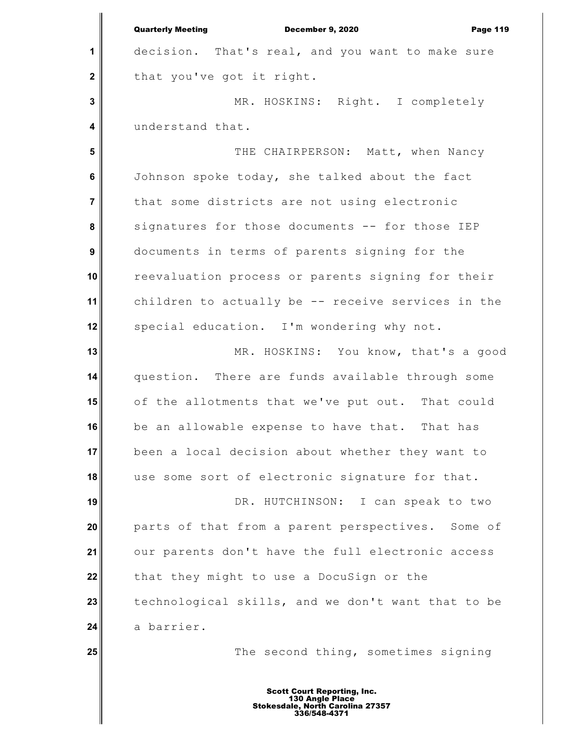**1 2 3 4 5 6 7 8 9 10 11 12 13 14 15 16 17 18 19 20 21 22 23 24 25** Quarterly Meeting December 9, 2020 Page 119 decision. That's real, and you want to make sure that you've got it right. MR. HOSKINS: Right. I completely understand that. THE CHAIRPERSON: Matt, when Nancy Johnson spoke today, she talked about the fact that some districts are not using electronic signatures for those documents -- for those IEP documents in terms of parents signing for the reevaluation process or parents signing for their children to actually be -- receive services in the special education. I'm wondering why not. MR. HOSKINS: You know, that's a good question. There are funds available through some of the allotments that we've put out. That could be an allowable expense to have that. That has been a local decision about whether they want to use some sort of electronic signature for that. DR. HUTCHINSON: I can speak to two parts of that from a parent perspectives. Some of our parents don't have the full electronic access that they might to use a DocuSign or the technological skills, and we don't want that to be a barrier. The second thing, sometimes signing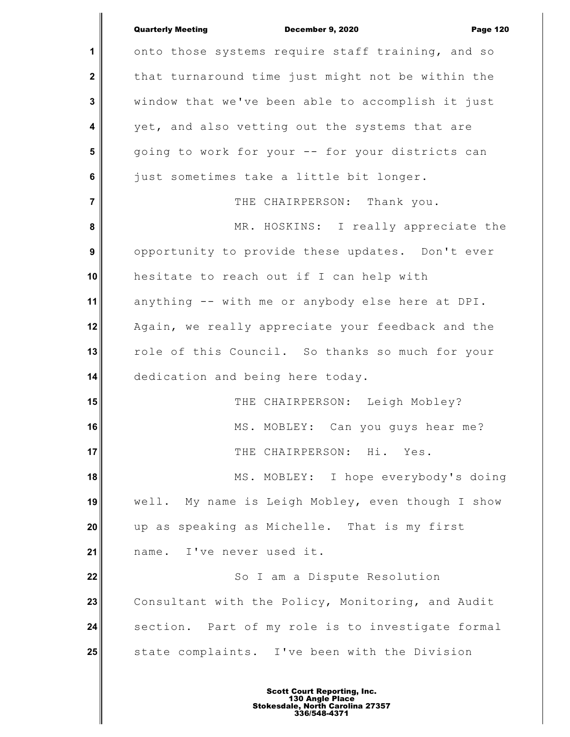|                  | <b>Quarterly Meeting</b><br><b>December 9, 2020</b><br><b>Page 120</b> |
|------------------|------------------------------------------------------------------------|
| 1                | onto those systems require staff training, and so                      |
| $\mathbf 2$      | that turnaround time just might not be within the                      |
| 3                | window that we've been able to accomplish it just                      |
| 4                | yet, and also vetting out the systems that are                         |
| 5                | going to work for your -- for your districts can                       |
| 6                | just sometimes take a little bit longer.                               |
| $\overline{7}$   | THE CHAIRPERSON: Thank you.                                            |
| 8                | MR. HOSKINS: I really appreciate the                                   |
| $\boldsymbol{9}$ | opportunity to provide these updates. Don't ever                       |
| 10               | hesitate to reach out if I can help with                               |
| 11               | anything -- with me or anybody else here at DPI.                       |
| 12               | Again, we really appreciate your feedback and the                      |
| 13               | role of this Council. So thanks so much for your                       |
| 14               | dedication and being here today.                                       |
| 15               | THE CHAIRPERSON: Leigh Mobley?                                         |
| 16               | MS. MOBLEY: Can you guys hear me?                                      |
| 17               | THE CHAIRPERSON: Hi.<br>Yes.                                           |
| 18               | MS. MOBLEY: I hope everybody's doing                                   |
| 19               | well. My name is Leigh Mobley, even though I show                      |
| 20               | up as speaking as Michelle. That is my first                           |
| 21               | name. I've never used it.                                              |
| 22               | So I am a Dispute Resolution                                           |
| 23               | Consultant with the Policy, Monitoring, and Audit                      |
| 24               | section. Part of my role is to investigate formal                      |
| 25               | state complaints. I've been with the Division                          |
|                  |                                                                        |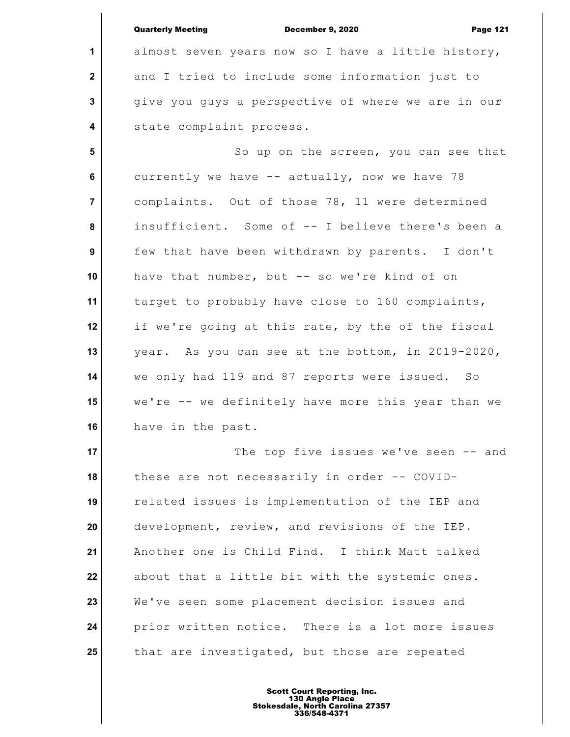**1 2 3 4 5 6 7 8 9 10 11 12 13 14 15 16 17 18 19 20 21 22 23 24 25** Quarterly Meeting December 9, 2020 Page 121 almost seven years now so I have a little history, and I tried to include some information just to give you guys a perspective of where we are in our state complaint process. So up on the screen, you can see that currently we have -- actually, now we have 78 complaints. Out of those 78, 11 were determined insufficient. Some of -- I believe there's been a few that have been withdrawn by parents. I don't have that number, but -- so we're kind of on target to probably have close to 160 complaints, if we're going at this rate, by the of the fiscal year. As you can see at the bottom, in 2019-2020, we only had 119 and 87 reports were issued. So we're -- we definitely have more this year than we have in the past. The top five issues we've seen -- and these are not necessarily in order -- COVIDrelated issues is implementation of the IEP and development, review, and revisions of the IEP. Another one is Child Find. I think Matt talked about that a little bit with the systemic ones. We've seen some placement decision issues and prior written notice. There is a lot more issues that are investigated, but those are repeated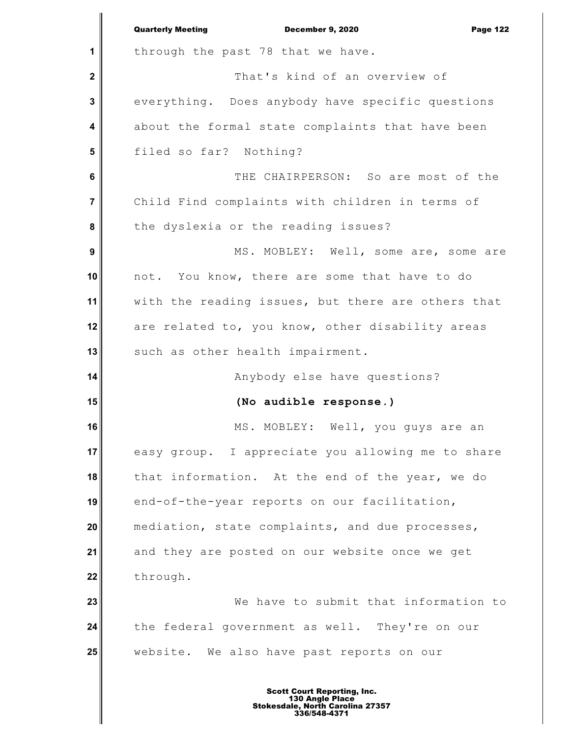|                  | <b>Quarterly Meeting</b><br><b>December 9, 2020</b><br><b>Page 122</b> |
|------------------|------------------------------------------------------------------------|
| 1                | through the past 78 that we have.                                      |
| $\boldsymbol{2}$ | That's kind of an overview of                                          |
| 3                | everything. Does anybody have specific questions                       |
| 4                | about the formal state complaints that have been                       |
| 5                | filed so far? Nothing?                                                 |
| 6                | THE CHAIRPERSON: So are most of the                                    |
| $\overline{7}$   | Child Find complaints with children in terms of                        |
| 8                | the dyslexia or the reading issues?                                    |
| 9                | MS. MOBLEY: Well, some are, some are                                   |
| 10               | not. You know, there are some that have to do                          |
| 11               | with the reading issues, but there are others that                     |
| 12               | are related to, you know, other disability areas                       |
| 13               | such as other health impairment.                                       |
| 14               | Anybody else have questions?                                           |
| 15               | (No audible response.)                                                 |
| 16               | MS. MOBLEY: Well, you guys are an                                      |
| 17               | easy group. I appreciate you allowing me to share                      |
| 18               | that information. At the end of the year, we do                        |
| 19               | end-of-the-year reports on our facilitation,                           |
| 20               | mediation, state complaints, and due processes,                        |
| 21               | and they are posted on our website once we get                         |
| 22               | through.                                                               |
| 23               | We have to submit that information to                                  |
| 24               | the federal government as well. They're on our                         |
| 25               | website. We also have past reports on our                              |
|                  |                                                                        |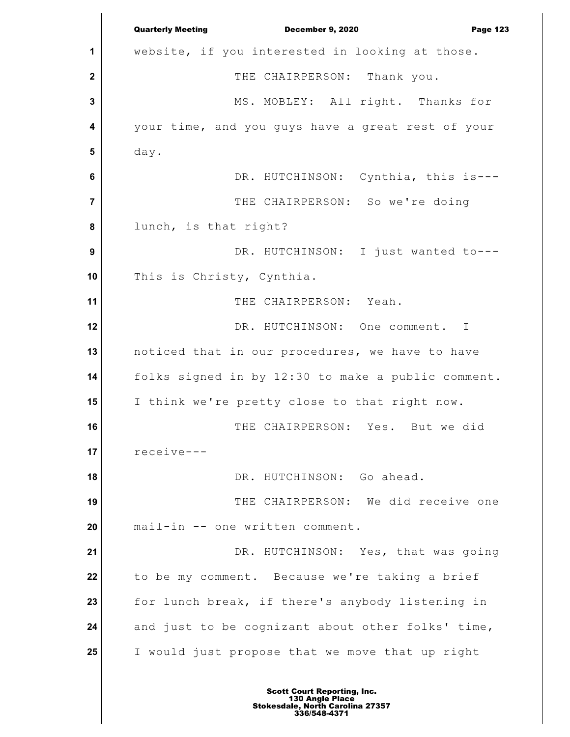**1 2 3 4 5 6 7 8 9 10 11 12 13 14 15 16 17 18 19 20 21 22 23 24 25** Quarterly Meeting December 9, 2020 Page 123 website, if you interested in looking at those. THE CHAIRPERSON: Thank you. MS. MOBLEY: All right. Thanks for your time, and you guys have a great rest of your day. DR. HUTCHINSON: Cynthia, this is--- THE CHAIRPERSON: So we're doing lunch, is that right? DR. HUTCHINSON: I just wanted to---This is Christy, Cynthia. THE CHAIRPERSON: Yeah. DR. HUTCHINSON: One comment. I noticed that in our procedures, we have to have folks signed in by 12:30 to make a public comment. I think we're pretty close to that right now. THE CHAIRPERSON: Yes. But we did receive--- DR. HUTCHINSON: Go ahead. THE CHAIRPERSON: We did receive one mail-in -- one written comment. DR. HUTCHINSON: Yes, that was going to be my comment. Because we're taking a brief for lunch break, if there's anybody listening in and just to be cognizant about other folks' time, I would just propose that we move that up right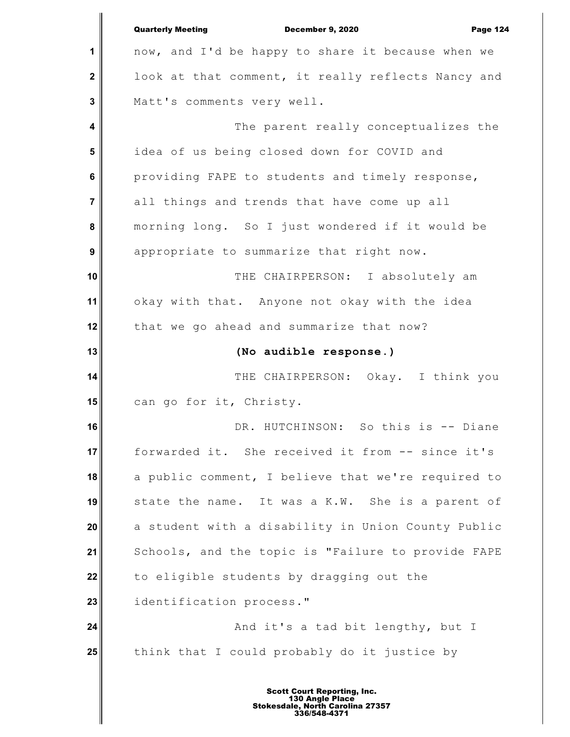|                | <b>Quarterly Meeting</b><br><b>December 9, 2020</b><br><b>Page 124</b> |
|----------------|------------------------------------------------------------------------|
| 1              | now, and I'd be happy to share it because when we                      |
| $\mathbf 2$    | look at that comment, it really reflects Nancy and                     |
| 3              | Matt's comments very well.                                             |
| 4              | The parent really conceptualizes the                                   |
| 5              | idea of us being closed down for COVID and                             |
| 6              | providing FAPE to students and timely response,                        |
| $\overline{7}$ | all things and trends that have come up all                            |
| 8              | morning long. So I just wondered if it would be                        |
| 9              | appropriate to summarize that right now.                               |
| 10             | THE CHAIRPERSON: I absolutely am                                       |
| 11             | okay with that. Anyone not okay with the idea                          |
| 12             | that we go ahead and summarize that now?                               |
| 13             | (No audible response.)                                                 |
| 14             | THE CHAIRPERSON: Okay. I think you                                     |
| 15             | can go for it, Christy.                                                |
| 16             | DR. HUTCHINSON: So this is -- Diane                                    |
| 17             | forwarded it. She received it from -- since it's                       |
| 18             | a public comment, I believe that we're required to                     |
| 19             | state the name. It was a K.W. She is a parent of                       |
| 20             | a student with a disability in Union County Public                     |
| 21             | Schools, and the topic is "Failure to provide FAPE                     |
| 22             | to eligible students by dragging out the                               |
| 23             | identification process."                                               |
| 24             | And it's a tad bit lengthy, but I                                      |
|                |                                                                        |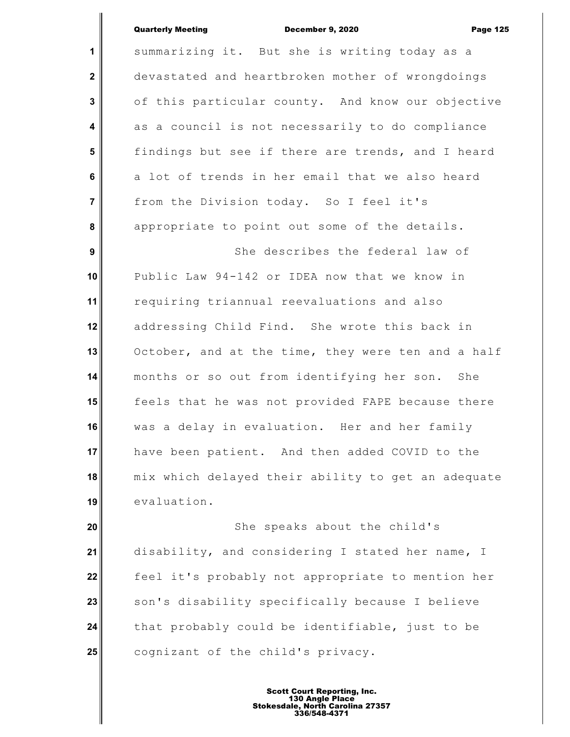**1 2 3 4 5 6 7 8 9 10 11 12 13 14 15 16 17 18 19** summarizing it. But she is writing today as a devastated and heartbroken mother of wrongdoings of this particular county. And know our objective as a council is not necessarily to do compliance findings but see if there are trends, and I heard a lot of trends in her email that we also heard from the Division today. So I feel it's appropriate to point out some of the details. She describes the federal law of Public Law 94-142 or IDEA now that we know in requiring triannual reevaluations and also addressing Child Find. She wrote this back in October, and at the time, they were ten and a half months or so out from identifying her son. She feels that he was not provided FAPE because there was a delay in evaluation. Her and her family have been patient. And then added COVID to the mix which delayed their ability to get an adequate evaluation.

**20 21 22 23 24 25** She speaks about the child's disability, and considering I stated her name, I feel it's probably not appropriate to mention her son's disability specifically because I believe that probably could be identifiable, just to be cognizant of the child's privacy.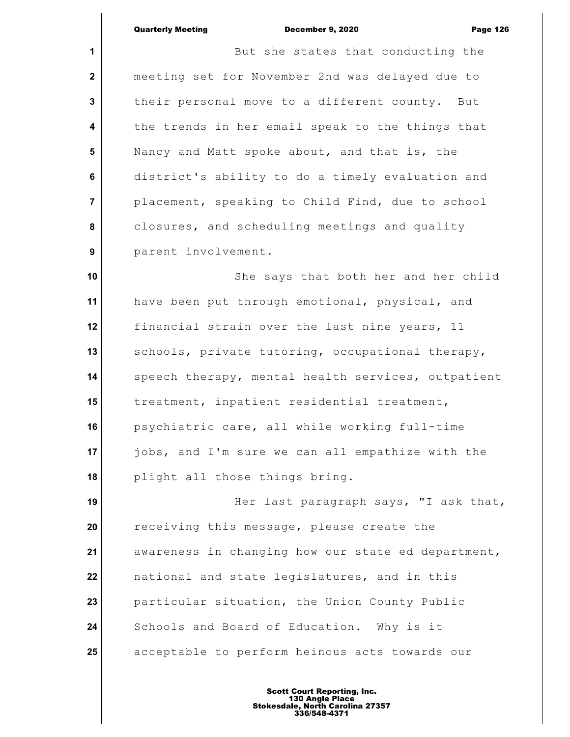**1**

 **4**

 **7**

 **9**

 **2 3 5 6 8** But she states that conducting the meeting set for November 2nd was delayed due to their personal move to a different county. But the trends in her email speak to the things that Nancy and Matt spoke about, and that is, the district's ability to do a timely evaluation and placement, speaking to Child Find, due to school closures, and scheduling meetings and quality parent involvement.

**10 11 12 13 14 15 16 17 18** She says that both her and her child have been put through emotional, physical, and financial strain over the last nine years, 11 schools, private tutoring, occupational therapy, speech therapy, mental health services, outpatient treatment, inpatient residential treatment, psychiatric care, all while working full-time jobs, and I'm sure we can all empathize with the plight all those things bring.

**19 20 21 22 23 24 25** Her last paragraph says, "I ask that, receiving this message, please create the awareness in changing how our state ed department, national and state legislatures, and in this particular situation, the Union County Public Schools and Board of Education. Why is it acceptable to perform heinous acts towards our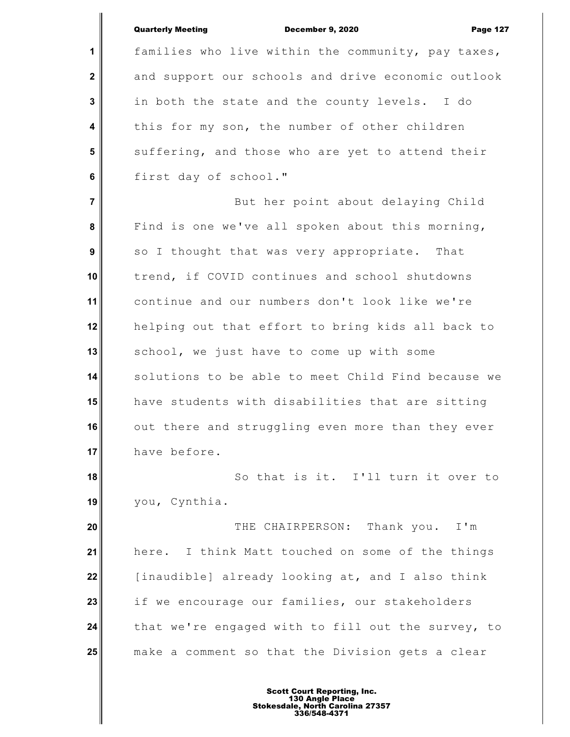**1**

 **2**

 **3**

 **4**

 **5**

 **6**

Quarterly Meeting December 9, 2020 Page 127

families who live within the community, pay taxes, and support our schools and drive economic outlook in both the state and the county levels. I do this for my son, the number of other children suffering, and those who are yet to attend their first day of school."

 **7 8 9 10 11 12 13 14 15 16 17** But her point about delaying Child Find is one we've all spoken about this morning, so I thought that was very appropriate. That trend, if COVID continues and school shutdowns continue and our numbers don't look like we're helping out that effort to bring kids all back to school, we just have to come up with some solutions to be able to meet Child Find because we have students with disabilities that are sitting out there and struggling even more than they ever have before.

**18 19** So that is it. I'll turn it over to you, Cynthia.

**20 21 22 23 24 25** THE CHAIRPERSON: Thank you. I'm here. I think Matt touched on some of the things [inaudible] already looking at, and I also think if we encourage our families, our stakeholders that we're engaged with to fill out the survey, to make a comment so that the Division gets a clear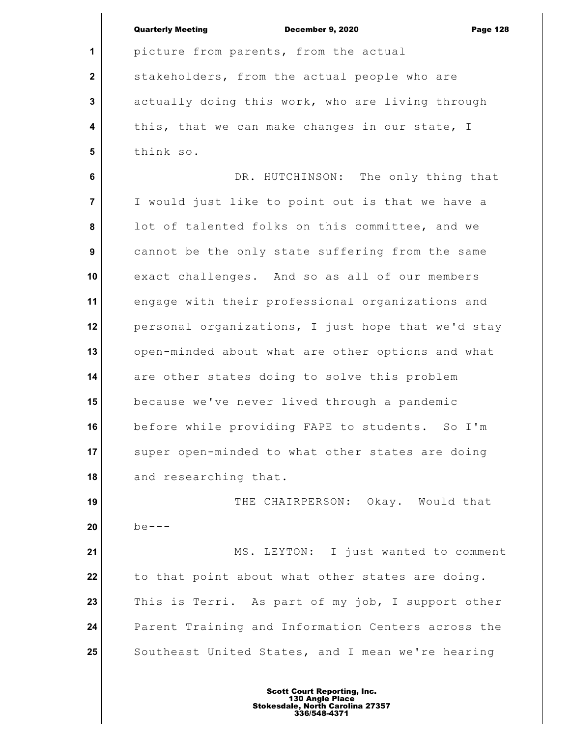|                         | <b>Quarterly Meeting</b><br>December 9, 2020<br><b>Page 128</b> |
|-------------------------|-----------------------------------------------------------------|
| 1                       | picture from parents, from the actual                           |
| $\mathbf{2}$            | stakeholders, from the actual people who are                    |
| 3                       | actually doing this work, who are living through                |
| $\overline{\mathbf{4}}$ | this, that we can make changes in our state, I                  |
| 5                       | think so.                                                       |
| 6                       | DR. HUTCHINSON: The only thing that                             |
| $\overline{7}$          | I would just like to point out is that we have a                |
| 8                       | lot of talented folks on this committee, and we                 |
| 9                       | cannot be the only state suffering from the same                |
| 10                      | exact challenges. And so as all of our members                  |
| 11                      | engage with their professional organizations and                |
| 12                      | personal organizations, I just hope that we'd stay              |
| 13                      | open-minded about what are other options and what               |
| 14                      | are other states doing to solve this problem                    |
| 15                      | because we've never lived through a pandemic                    |
| 16                      | before while providing FAPE to students. So I'm                 |
| 17                      | super open-minded to what other states are doing                |
| 18                      | and researching that.                                           |
| 19                      | THE CHAIRPERSON: Okay. Would that                               |
| 20                      | $be---$                                                         |
| 21                      | MS. LEYTON: I just wanted to comment                            |
| 22                      | to that point about what other states are doing.                |
| 23                      | This is Terri. As part of my job, I support other               |
| 24                      | Parent Training and Information Centers across the              |
| 25                      | Southeast United States, and I mean we're hearing               |
|                         |                                                                 |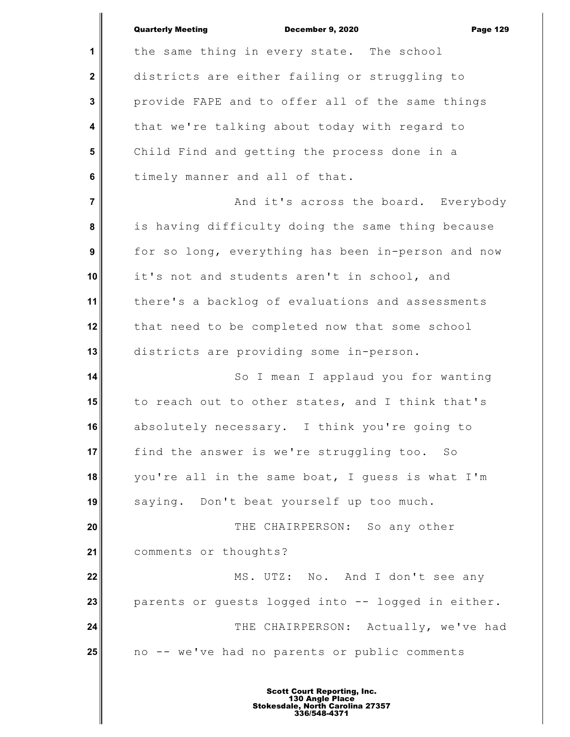|                | <b>Quarterly Meeting</b><br>December 9, 2020<br><b>Page 129</b> |
|----------------|-----------------------------------------------------------------|
| $\mathbf 1$    | the same thing in every state. The school                       |
| $\mathbf{2}$   | districts are either failing or struggling to                   |
| $\mathbf{3}$   | provide FAPE and to offer all of the same things                |
| 4              | that we're talking about today with regard to                   |
| $5\phantom{1}$ | Child Find and getting the process done in a                    |
| 6              | timely manner and all of that.                                  |
| $\overline{7}$ | And it's across the board. Everybody                            |
| 8              | is having difficulty doing the same thing because               |
| 9              | for so long, everything has been in-person and now              |
| 10             | it's not and students aren't in school, and                     |
| 11             | there's a backlog of evaluations and assessments                |
| 12             | that need to be completed now that some school                  |
| 13             | districts are providing some in-person.                         |
| 14             | So I mean I applaud you for wanting                             |
| 15             | to reach out to other states, and I think that's                |
| 16             | absolutely necessary. I think you're going to                   |
| 17             | find the answer is we're struggling too. So                     |
| 18             | you're all in the same boat, I guess is what I'm                |
| 19             | saying. Don't beat yourself up too much.                        |
| 20             | THE CHAIRPERSON: So any other                                   |
| 21             | comments or thoughts?                                           |
| 22             | MS. UTZ: No. And I don't see any                                |
| 23             | parents or guests logged into -- logged in either.              |
| 24             | THE CHAIRPERSON: Actually, we've had                            |
| 25             | no -- we've had no parents or public comments                   |
|                |                                                                 |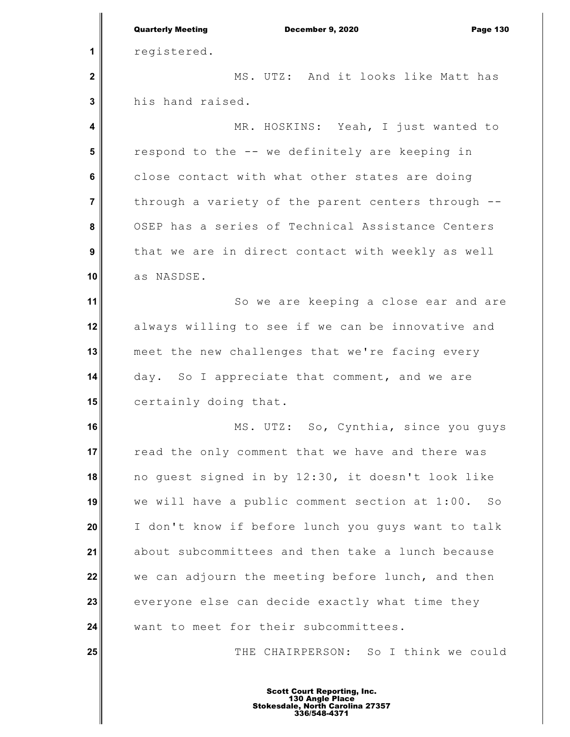|                | <b>Quarterly Meeting</b><br><b>December 9, 2020</b><br><b>Page 130</b> |
|----------------|------------------------------------------------------------------------|
| 1              | registered.                                                            |
| $\mathbf 2$    | MS. UTZ: And it looks like Matt has                                    |
| 3              | his hand raised.                                                       |
| 4              | MR. HOSKINS: Yeah, I just wanted to                                    |
| 5              | respond to the -- we definitely are keeping in                         |
| $6\phantom{1}$ | close contact with what other states are doing                         |
| $\overline{7}$ | through a variety of the parent centers through --                     |
| 8              | OSEP has a series of Technical Assistance Centers                      |
| 9              | that we are in direct contact with weekly as well                      |
| 10             | as NASDSE.                                                             |
| 11             | So we are keeping a close ear and are                                  |
| 12             | always willing to see if we can be innovative and                      |
| 13             | meet the new challenges that we're facing every                        |
| 14             | day. So I appreciate that comment, and we are                          |
| 15             | certainly doing that.                                                  |
| 16             | MS. UTZ: So, Cynthia, since you guys                                   |
| 17             | read the only comment that we have and there was                       |
| 18             | no guest signed in by 12:30, it doesn't look like                      |
| 19             | we will have a public comment section at 1:00. So                      |
| 20             | I don't know if before lunch you guys want to talk                     |
| 21             | about subcommittees and then take a lunch because                      |
| 22             | we can adjourn the meeting before lunch, and then                      |
| 23             | everyone else can decide exactly what time they                        |
| 24             | want to meet for their subcommittees.                                  |
| 25             | THE CHAIRPERSON: So I think we could                                   |
|                |                                                                        |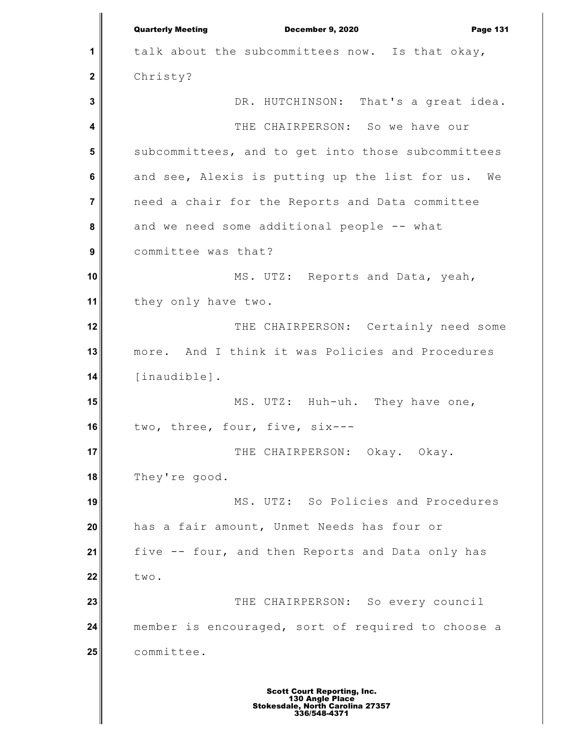**1 2 3 4 5 6 7 8 9 10 11 12 13 14 15 16 17 18 19 20 21 22 23 24 25** Quarterly Meeting December 9, 2020 Page 131 talk about the subcommittees now. Is that okay, Christy? DR. HUTCHINSON: That's a great idea. THE CHAIRPERSON: So we have our subcommittees, and to get into those subcommittees and see, Alexis is putting up the list for us. We need a chair for the Reports and Data committee and we need some additional people -- what committee was that? MS. UTZ: Reports and Data, yeah, they only have two. THE CHAIRPERSON: Certainly need some more. And I think it was Policies and Procedures [inaudible]. MS. UTZ: Huh-uh. They have one, two, three, four, five, six--- THE CHAIRPERSON: Okay. Okay. They're good. MS. UTZ: So Policies and Procedures has a fair amount, Unmet Needs has four or five -- four, and then Reports and Data only has two. THE CHAIRPERSON: So every council member is encouraged, sort of required to choose a committee.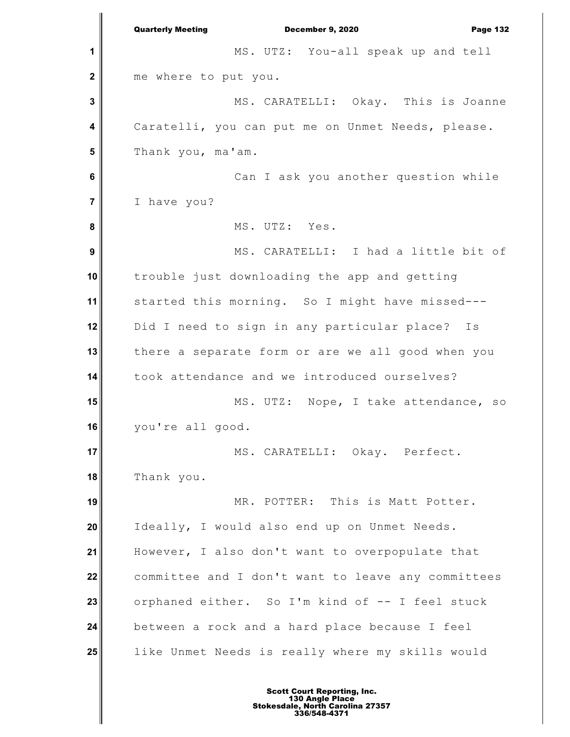**1 2 3 4 5 6 7 8 9 10 11 12 13 14 15 16 17 18 19 20 21 22 23 24 25** Quarterly Meeting December 9, 2020 Page 132 MS. UTZ: You-all speak up and tell me where to put you. MS. CARATELLI: Okay. This is Joanne Caratelli, you can put me on Unmet Needs, please. Thank you, ma'am. Can I ask you another question while I have you? MS. UTZ: Yes. MS. CARATELLI: I had a little bit of trouble just downloading the app and getting started this morning. So I might have missed--- Did I need to sign in any particular place? Is there a separate form or are we all good when you took attendance and we introduced ourselves? MS. UTZ: Nope, I take attendance, so you're all good. MS. CARATELLI: Okay. Perfect. Thank you. MR. POTTER: This is Matt Potter. Ideally, I would also end up on Unmet Needs. However, I also don't want to overpopulate that committee and I don't want to leave any committees orphaned either. So I'm kind of -- I feel stuck between a rock and a hard place because I feel like Unmet Needs is really where my skills would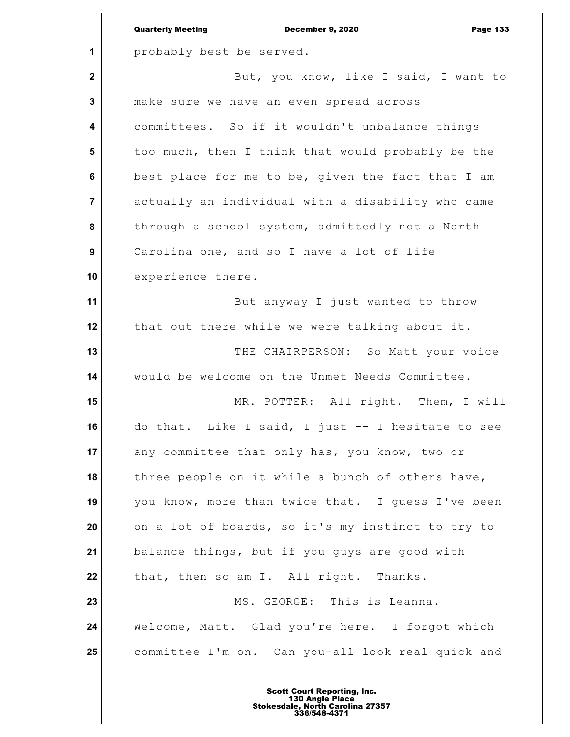|                | <b>Quarterly Meeting</b><br><b>December 9, 2020</b><br><b>Page 133</b> |
|----------------|------------------------------------------------------------------------|
| 1              | probably best be served.                                               |
| $\mathbf 2$    | But, you know, like I said, I want to                                  |
| 3              | make sure we have an even spread across                                |
| 4              | committees. So if it wouldn't unbalance things                         |
| 5              | too much, then I think that would probably be the                      |
| 6              | best place for me to be, given the fact that I am                      |
| $\overline{7}$ | actually an individual with a disability who came                      |
| 8              | through a school system, admittedly not a North                        |
| 9              | Carolina one, and so I have a lot of life                              |
| 10             | experience there.                                                      |
| 11             | But anyway I just wanted to throw                                      |
| 12             | that out there while we were talking about it.                         |
| 13             | THE CHAIRPERSON: So Matt your voice                                    |
| 14             | would be welcome on the Unmet Needs Committee.                         |
| 15             | MR. POTTER: All right. Them, I will                                    |
| 16             | do that. Like I said, I just -- I hesitate to see                      |
| 17             | any committee that only has, you know, two or                          |
| 18             | three people on it while a bunch of others have,                       |
| 19             | you know, more than twice that. I guess I've been                      |
| 20             | on a lot of boards, so it's my instinct to try to                      |
| 21             | balance things, but if you guys are good with                          |
| 22             | that, then so am I. All right. Thanks.                                 |
| 23             | MS. GEORGE: This is Leanna.                                            |
| 24             | Welcome, Matt. Glad you're here. I forgot which                        |
| 25             | committee I'm on. Can you-all look real quick and                      |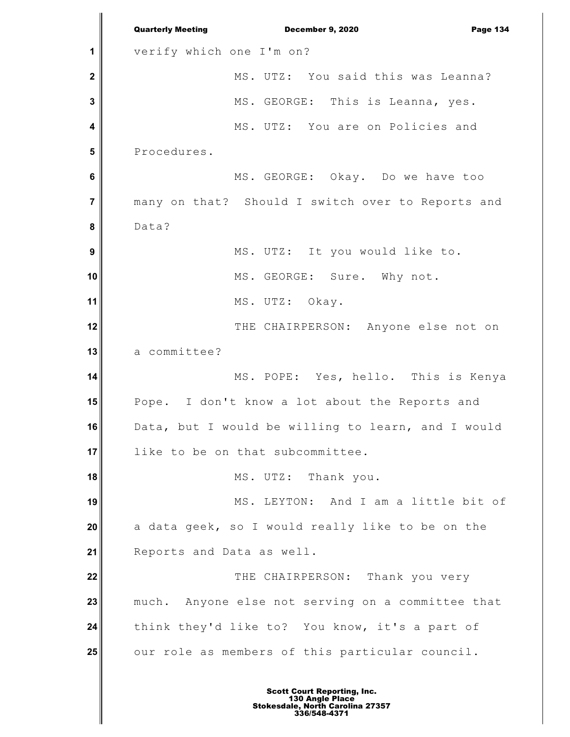**1 2 3 4 5 6 7 8 9 10 11 12 13 14 15 16 17 18 19 20 21 22 23 24 25** Quarterly Meeting December 9, 2020 Page 134 verify which one I'm on? MS. UTZ: You said this was Leanna? MS. GEORGE: This is Leanna, yes. MS. UTZ: You are on Policies and Procedures. MS. GEORGE: Okay. Do we have too many on that? Should I switch over to Reports and Data? MS. UTZ: It you would like to. MS. GEORGE: Sure. Why not. MS. UTZ: Okay. THE CHAIRPERSON: Anyone else not on a committee? MS. POPE: Yes, hello. This is Kenya Pope. I don't know a lot about the Reports and Data, but I would be willing to learn, and I would like to be on that subcommittee. MS. UTZ: Thank you. MS. LEYTON: And I am a little bit of a data geek, so I would really like to be on the Reports and Data as well. THE CHAIRPERSON: Thank you very much. Anyone else not serving on a committee that think they'd like to? You know, it's a part of our role as members of this particular council.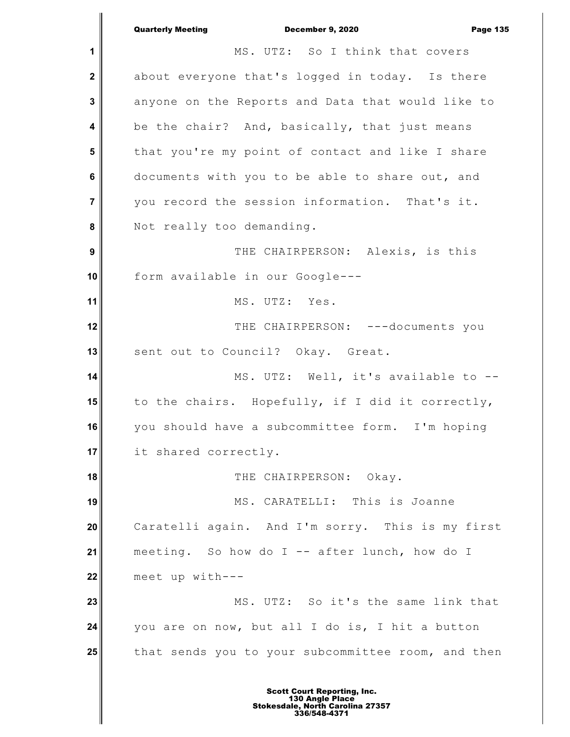**1 2 3 4 5 6 7 8 9 10 11 12 13 14 15 16 17 18 19 20 21 22 23 24 25** Quarterly Meeting December 9, 2020 Page 135 MS. UTZ: So I think that covers about everyone that's logged in today. Is there anyone on the Reports and Data that would like to be the chair? And, basically, that just means that you're my point of contact and like I share documents with you to be able to share out, and you record the session information. That's it. Not really too demanding. THE CHAIRPERSON: Alexis, is this form available in our Google--- MS. UTZ: Yes. THE CHAIRPERSON: ---documents you sent out to Council? Okay. Great. MS. UTZ: Well, it's available to - to the chairs. Hopefully, if I did it correctly, you should have a subcommittee form. I'm hoping it shared correctly. THE CHAIRPERSON: Okay. MS. CARATELLI: This is Joanne Caratelli again. And I'm sorry. This is my first meeting. So how do I -- after lunch, how do I meet up with--- MS. UTZ: So it's the same link that you are on now, but all I do is, I hit a button that sends you to your subcommittee room, and then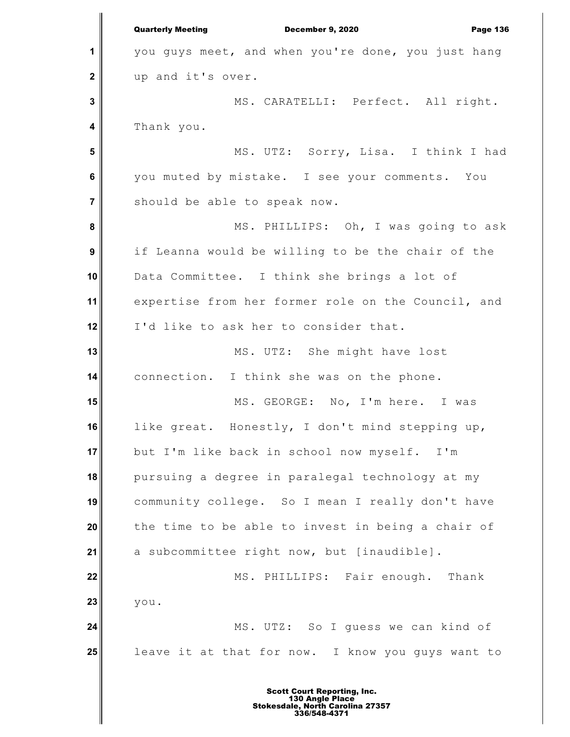**1 2 3 4 5 6 7 8 9 10 11 12 13 14 15 16 17 18 19 20 21 22 23 24 25** Quarterly Meeting December 9, 2020 Page 136 you guys meet, and when you're done, you just hang up and it's over. MS. CARATELLI: Perfect. All right. Thank you. MS. UTZ: Sorry, Lisa. I think I had you muted by mistake. I see your comments. You should be able to speak now. MS. PHILLIPS: Oh, I was going to ask if Leanna would be willing to be the chair of the Data Committee. I think she brings a lot of expertise from her former role on the Council, and I'd like to ask her to consider that. MS. UTZ: She might have lost connection. I think she was on the phone. MS. GEORGE: No, I'm here. I was like great. Honestly, I don't mind stepping up, but I'm like back in school now myself. I'm pursuing a degree in paralegal technology at my community college. So I mean I really don't have the time to be able to invest in being a chair of a subcommittee right now, but [inaudible]. MS. PHILLIPS: Fair enough. Thank you. MS. UTZ: So I guess we can kind of leave it at that for now. I know you guys want to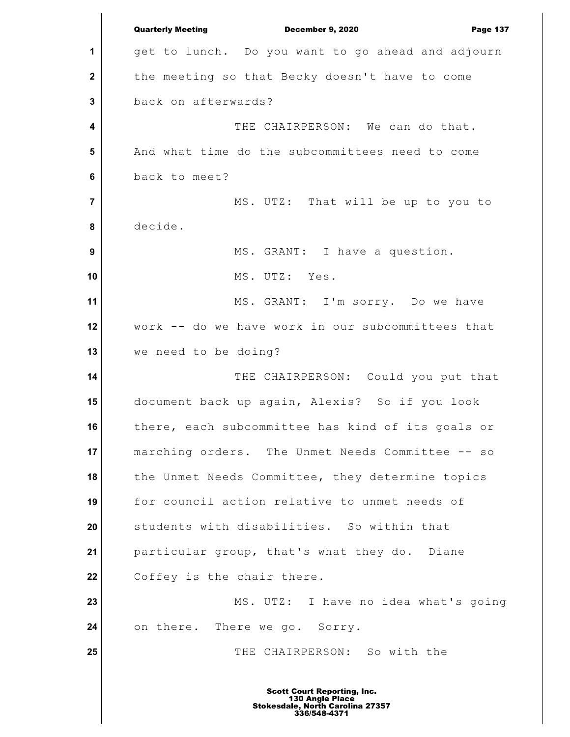**1 2 3 4 5 6 7 8 9 10 11 12 13 14 15 16 17 18 19 20 21 22 23 24 25** Quarterly Meeting December 9, 2020 Page 137 get to lunch. Do you want to go ahead and adjourn the meeting so that Becky doesn't have to come back on afterwards? THE CHAIRPERSON: We can do that. And what time do the subcommittees need to come back to meet? MS. UTZ: That will be up to you to decide. MS. GRANT: I have a question. MS. UTZ: Yes. MS. GRANT: I'm sorry. Do we have work -- do we have work in our subcommittees that we need to be doing? THE CHAIRPERSON: Could you put that document back up again, Alexis? So if you look there, each subcommittee has kind of its goals or marching orders. The Unmet Needs Committee -- so the Unmet Needs Committee, they determine topics for council action relative to unmet needs of students with disabilities. So within that particular group, that's what they do. Diane Coffey is the chair there. MS. UTZ: I have no idea what's going on there. There we go. Sorry. THE CHAIRPERSON: So with the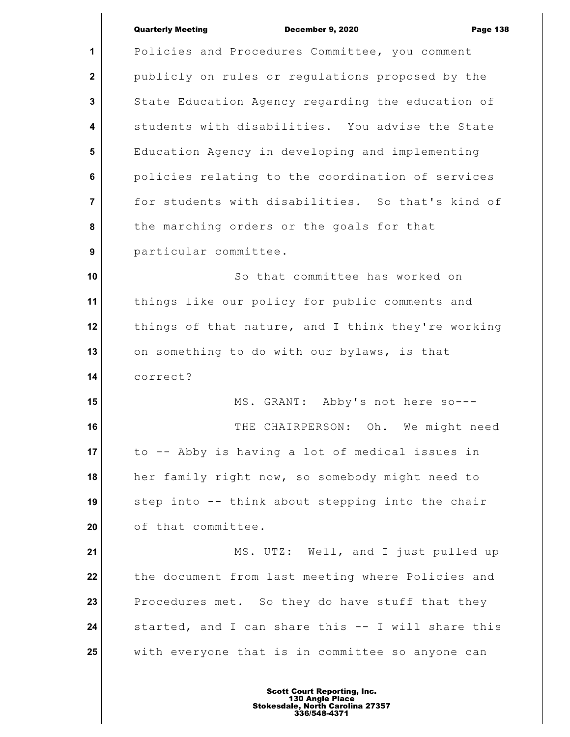**1 2 3 4 5 6 7 8 9 10 11 12 13 14 15 16 17 18 19 20 21 22 23 24 25** Policies and Procedures Committee, you comment publicly on rules or regulations proposed by the State Education Agency regarding the education of students with disabilities. You advise the State Education Agency in developing and implementing policies relating to the coordination of services for students with disabilities. So that's kind of the marching orders or the goals for that particular committee. So that committee has worked on things like our policy for public comments and things of that nature, and I think they're working on something to do with our bylaws, is that correct? MS. GRANT: Abby's not here so--- THE CHAIRPERSON: Oh. We might need to -- Abby is having a lot of medical issues in her family right now, so somebody might need to step into -- think about stepping into the chair of that committee. MS. UTZ: Well, and I just pulled up the document from last meeting where Policies and Procedures met. So they do have stuff that they started, and I can share this -- I will share this with everyone that is in committee so anyone can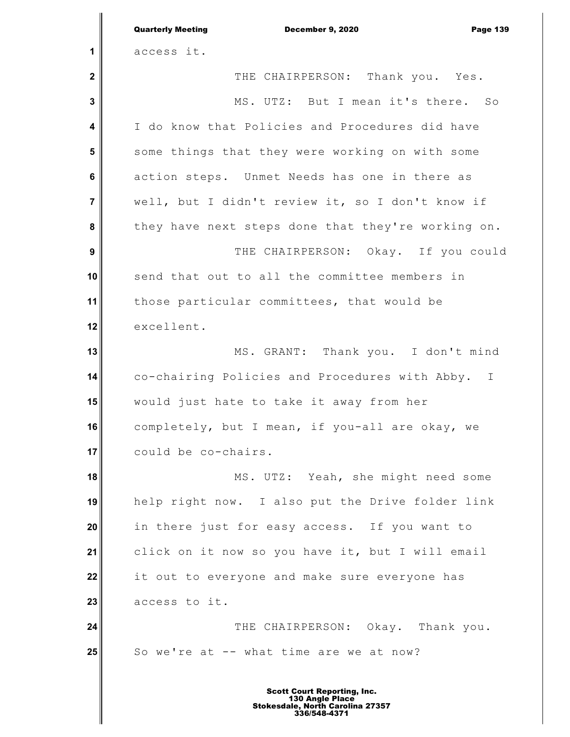|                         | <b>Quarterly Meeting</b><br><b>December 9, 2020</b><br><b>Page 139</b> |
|-------------------------|------------------------------------------------------------------------|
| 1                       | access it.                                                             |
| $\mathbf{2}$            | THE CHAIRPERSON: Thank you. Yes.                                       |
| 3                       | MS. UTZ: But I mean it's there. So                                     |
| $\overline{\mathbf{4}}$ | I do know that Policies and Procedures did have                        |
| 5                       | some things that they were working on with some                        |
| 6                       | action steps. Unmet Needs has one in there as                          |
| $\overline{7}$          | well, but I didn't review it, so I don't know if                       |
| 8                       | they have next steps done that they're working on.                     |
| 9                       | THE CHAIRPERSON: Okay. If you could                                    |
| 10                      | send that out to all the committee members in                          |
| 11                      | those particular committees, that would be                             |
| 12                      | excellent.                                                             |
| 13                      | MS. GRANT: Thank you. I don't mind                                     |
| 14                      | co-chairing Policies and Procedures with Abby. I                       |
| 15                      | would just hate to take it away from her                               |
| 16                      | completely, but I mean, if you-all are okay, we                        |
| 17                      | could be co-chairs.                                                    |
| 18                      | MS. UTZ: Yeah, she might need some                                     |
| 19                      | help right now. I also put the Drive folder link                       |
| 20                      | in there just for easy access. If you want to                          |
| 21                      | click on it now so you have it, but I will email                       |
| 22                      | it out to everyone and make sure everyone has                          |
| 23                      | access to it.                                                          |
| 24                      | THE CHAIRPERSON: Okay. Thank you.                                      |
| 25                      | So we're at -- what time are we at now?                                |
|                         |                                                                        |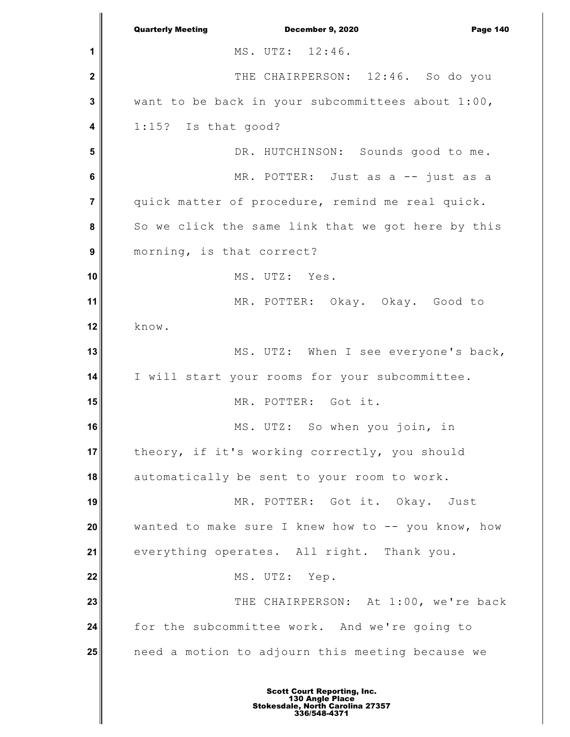**1 2 3 4 5 6 7 8 9 10 11 12 13 14 15 16 17 18 19 20 21 22 23 24 25** Quarterly Meeting December 9, 2020 Page 140 MS. UTZ: 12:46. THE CHAIRPERSON: 12:46. So do you want to be back in your subcommittees about 1:00, 1:15? Is that good? DR. HUTCHINSON: Sounds good to me. MR. POTTER: Just as a -- just as a quick matter of procedure, remind me real quick. So we click the same link that we got here by this morning, is that correct? MS. UTZ: Yes. MR. POTTER: Okay. Okay. Good to know. MS. UTZ: When I see everyone's back, I will start your rooms for your subcommittee. MR. POTTER: Got it. MS. UTZ: So when you join, in theory, if it's working correctly, you should automatically be sent to your room to work. MR. POTTER: Got it. Okay. Just wanted to make sure I knew how to  $-$ - you know, how everything operates. All right. Thank you. MS. UTZ: Yep. THE CHAIRPERSON: At 1:00, we're back for the subcommittee work. And we're going to need a motion to adjourn this meeting because we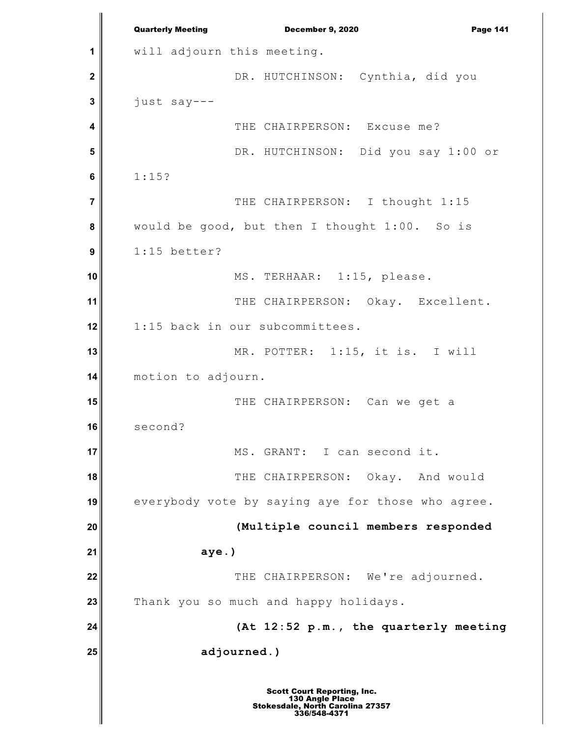**1 2 3 4 5 6 7 8 9 10 11 12 13 14 15 16 17 18 19 20 21 22 23 24 25** Quarterly Meeting December 9, 2020 Page 141 will adjourn this meeting. DR. HUTCHINSON: Cynthia, did you just say--- THE CHAIRPERSON: Excuse me? DR. HUTCHINSON: Did you say 1:00 or 1:15? THE CHAIRPERSON: I thought 1:15 would be good, but then I thought 1:00. So is 1:15 better? MS. TERHAAR: 1:15, please. THE CHAIRPERSON: Okay. Excellent. 1:15 back in our subcommittees. MR. POTTER: 1:15, it is. I will motion to adjourn. THE CHAIRPERSON: Can we get a second? MS. GRANT: I can second it. THE CHAIRPERSON: Okay. And would everybody vote by saying aye for those who agree. **(Multiple council members responded aye.)** THE CHAIRPERSON: We're adjourned. Thank you so much and happy holidays. **(At 12:52 p.m., the quarterly meeting adjourned.)**